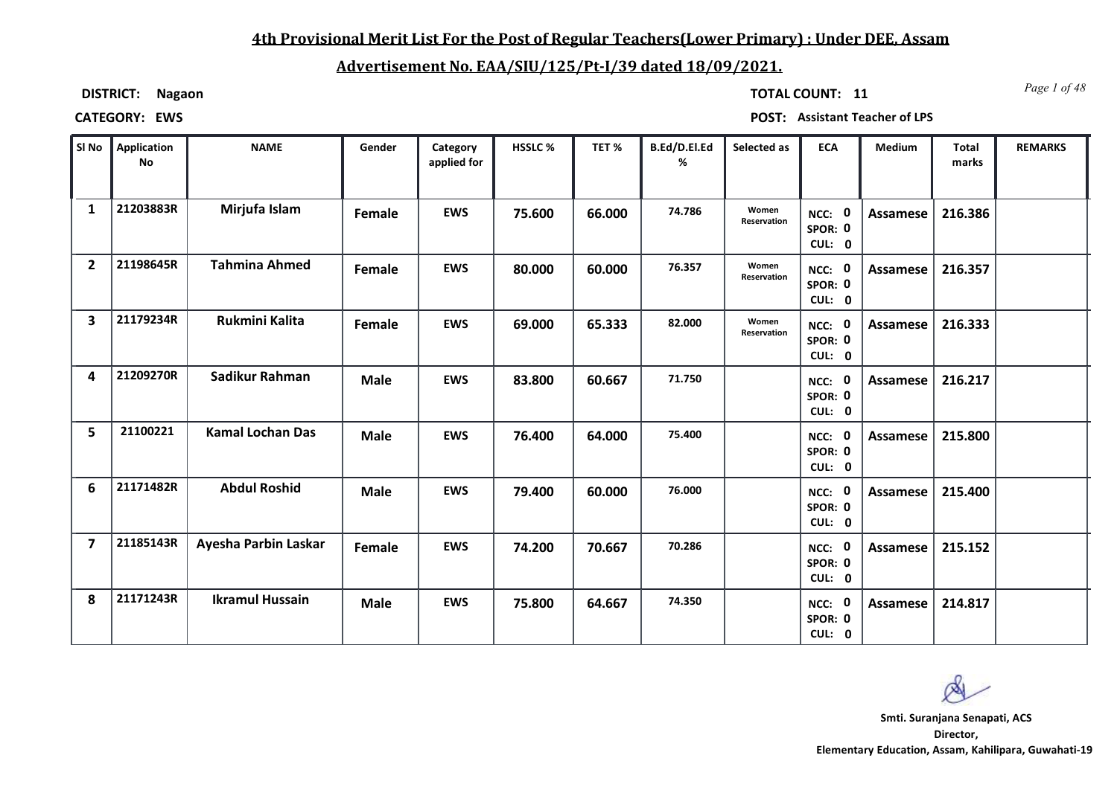### **4th Provisional Merit List For the Post of Regular Teachers(Lower Primary) : Under DEE, Assam**

### **Advertisement No. EAA/SIU/125/Pt-I/39 dated 18/09/2021.**

**DISTRICT: Nagaon**

*Page 1 of 48* **TOTAL COUNT: 11**

| SI No                   | Application<br><b>No</b> | <b>NAME</b>             | Gender      | Category<br>applied for | HSSLC% | TET%   | B.Ed/D.El.Ed<br>% | Selected as          | <b>ECA</b>                  | Medium   | Total<br>marks | <b>REMARKS</b> |
|-------------------------|--------------------------|-------------------------|-------------|-------------------------|--------|--------|-------------------|----------------------|-----------------------------|----------|----------------|----------------|
| $\mathbf{1}$            | 21203883R                | Mirjufa Islam           | Female      | <b>EWS</b>              | 75.600 | 66.000 | 74.786            | Women<br>Reservation | NCC: 0<br>SPOR: 0<br>CUL: 0 | Assamese | 216.386        |                |
| $\overline{2}$          | 21198645R                | <b>Tahmina Ahmed</b>    | Female      | <b>EWS</b>              | 80.000 | 60.000 | 76.357            | Women<br>Reservation | NCC: 0<br>SPOR: 0<br>CUL: 0 | Assamese | 216.357        |                |
| $\overline{\mathbf{3}}$ | 21179234R                | <b>Rukmini Kalita</b>   | Female      | <b>EWS</b>              | 69.000 | 65.333 | 82.000            | Women<br>Reservation | NCC: 0<br>SPOR: 0<br>CUL: 0 | Assamese | 216.333        |                |
| 4                       | 21209270R                | Sadikur Rahman          | <b>Male</b> | <b>EWS</b>              | 83.800 | 60.667 | 71.750            |                      | NCC: 0<br>SPOR: 0<br>CUL: 0 | Assamese | 216.217        |                |
| 5                       | 21100221                 | <b>Kamal Lochan Das</b> | <b>Male</b> | <b>EWS</b>              | 76.400 | 64.000 | 75.400            |                      | NCC: 0<br>SPOR: 0<br>CUL: 0 | Assamese | 215.800        |                |
| 6                       | 21171482R                | <b>Abdul Roshid</b>     | <b>Male</b> | <b>EWS</b>              | 79.400 | 60.000 | 76.000            |                      | NCC: 0<br>SPOR: 0<br>CUL: 0 | Assamese | 215.400        |                |
| $\overline{\mathbf{z}}$ | 21185143R                | Ayesha Parbin Laskar    | Female      | <b>EWS</b>              | 74.200 | 70.667 | 70.286            |                      | NCC: 0<br>SPOR: 0<br>CUL: 0 | Assamese | 215.152        |                |
| 8                       | 21171243R                | <b>Ikramul Hussain</b>  | <b>Male</b> | <b>EWS</b>              | 75.800 | 64.667 | 74.350            |                      | NCC: 0<br>SPOR: 0<br>CUL: 0 | Assamese | 214.817        |                |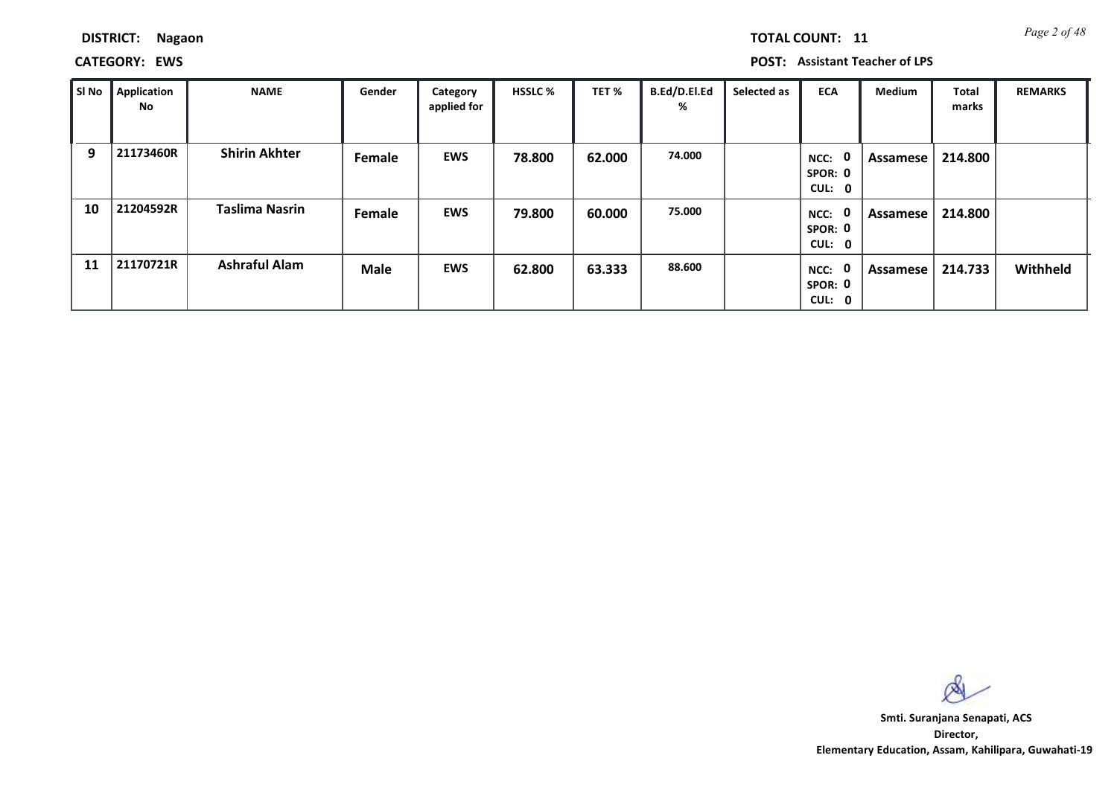*Page 2 of 48* **TOTAL COUNT: 11**

**CATEGORY: EWS POST: Assistant Teacher of LPS**

| SI No | <b>Application</b><br>No | <b>NAME</b>           | Gender      | Category<br>applied for | <b>HSSLC %</b> | TET %  | B.Ed/D.El.Ed<br>% | Selected as | <b>ECA</b>                        | <b>Medium</b> | <b>Total</b><br>marks | <b>REMARKS</b> |
|-------|--------------------------|-----------------------|-------------|-------------------------|----------------|--------|-------------------|-------------|-----------------------------------|---------------|-----------------------|----------------|
| 9     | 21173460R                | <b>Shirin Akhter</b>  | Female      | <b>EWS</b>              | 78.800         | 62.000 | 74.000            |             | 0<br>NCC:<br>SPOR: 0<br>CUL: 0    | Assamese      | 214.800               |                |
| 10    | 21204592R                | <b>Taslima Nasrin</b> | Female      | <b>EWS</b>              | 79.800         | 60.000 | 75.000            |             | 0<br>NCC:<br>SPOR: 0<br>CUL: 0    | Assamese      | 214.800               |                |
| 11    | 21170721R                | <b>Ashraful Alam</b>  | <b>Male</b> | <b>EWS</b>              | 62.800         | 63.333 | 88.600            |             | 0<br>$NCC$ :<br>SPOR: 0<br>CUL: 0 | Assamese      | 214.733               | Withheld       |

 $\infty$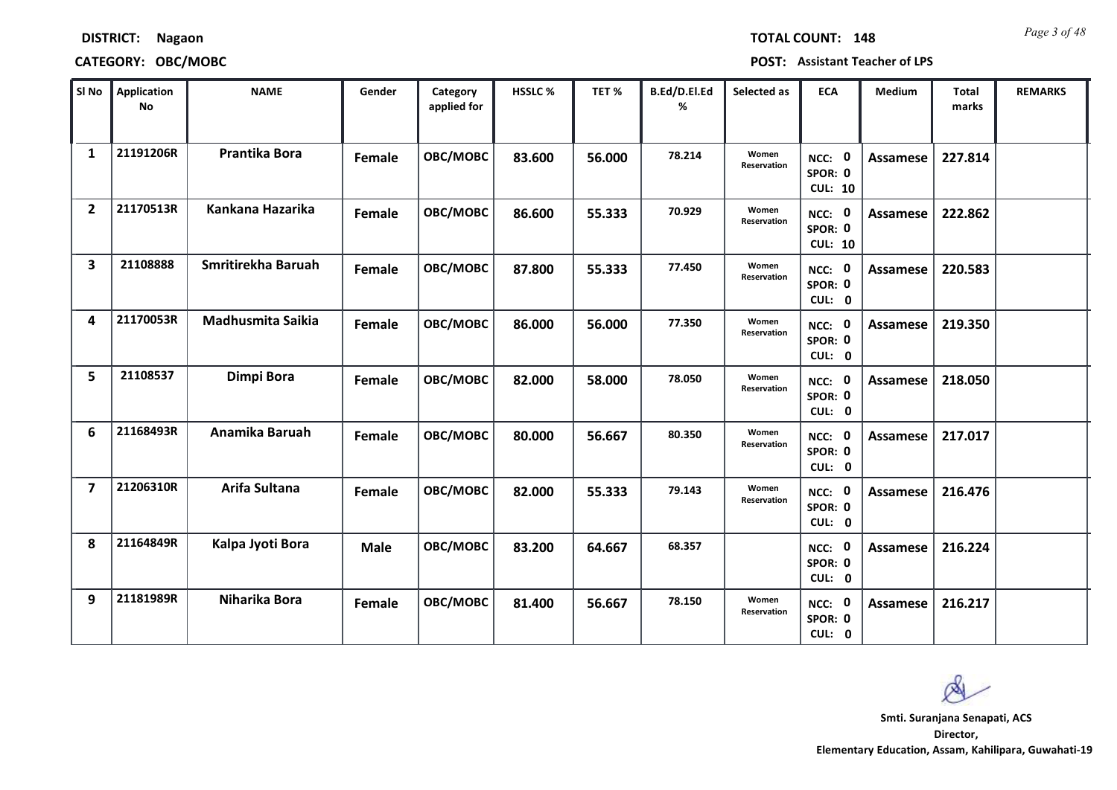|                | No        |                          |               | applied for |        |        | %      |                      |                                     |                 | marks   |  |
|----------------|-----------|--------------------------|---------------|-------------|--------|--------|--------|----------------------|-------------------------------------|-----------------|---------|--|
| $\mathbf{1}$   | 21191206R | Prantika Bora            | Female        | OBC/MOBC    | 83.600 | 56.000 | 78.214 | Women<br>Reservation | NCC: 0<br>SPOR: 0<br><b>CUL: 10</b> | <b>Assamese</b> | 227.814 |  |
| $\overline{2}$ | 21170513R | Kankana Hazarika         | Female        | OBC/MOBC    | 86.600 | 55.333 | 70.929 | Women<br>Reservation | NCC: 0<br>SPOR: 0<br><b>CUL: 10</b> | <b>Assamese</b> | 222.862 |  |
| 3              | 21108888  | Smritirekha Baruah       | Female        | OBC/MOBC    | 87.800 | 55.333 | 77.450 | Women<br>Reservation | NCC: 0<br>SPOR: 0<br>CUL: 0         | <b>Assamese</b> | 220.583 |  |
| 4              | 21170053R | <b>Madhusmita Saikia</b> | Female        | OBC/MOBC    | 86.000 | 56.000 | 77.350 | Women<br>Reservation | NCC: 0<br>SPOR: 0<br>CUL: 0         | Assamese        | 219.350 |  |
| 5              | 21108537  | Dimpi Bora               | Female        | OBC/MOBC    | 82.000 | 58.000 | 78.050 | Women<br>Reservation | NCC: 0<br>SPOR: 0<br>CUL: 0         | <b>Assamese</b> | 218.050 |  |
| 6              | 21168493R | Anamika Baruah           | <b>Female</b> | OBC/MOBC    | 80.000 | 56.667 | 80.350 | Women<br>Reservation | NCC: 0<br>SPOR: 0<br>CUL: 0         | <b>Assamese</b> | 217.017 |  |
| 7              | 21206310R | Arifa Sultana            | Female        | OBC/MOBC    | 82.000 | 55.333 | 79.143 | Women<br>Reservation | NCC: 0<br>SPOR: 0<br>CUL: 0         | <b>Assamese</b> | 216.476 |  |
| 8              | 21164849R | Kalpa Jyoti Bora         | <b>Male</b>   | OBC/MOBC    | 83.200 | 64.667 | 68.357 |                      | NCC: 0<br>SPOR: 0<br>CUL: 0         | Assamese        | 216.224 |  |
| 9              | 21181989R | Niharika Bora            | Female        | OBC/MOBC    | 81.400 | 56.667 | 78.150 | Women<br>Reservation | NCC: 0<br>SPOR: 0<br>CUL: 0         | <b>Assamese</b> | 216.217 |  |

**Application Sl No HSSLC % TET % ECA Total REMARKS**

**NAME Gender Category HSSLC**% **TET**<sup>%</sup> B.Ed/D.El.Ed

**Category** 

**DISTRICT: Nagaon**

### **CATEGORY: OBC/MOBC POST: Assistant Teacher of LPS**

*Page 3 of 48* **TOTAL COUNT: 148**

**Selected as** 

**Medium**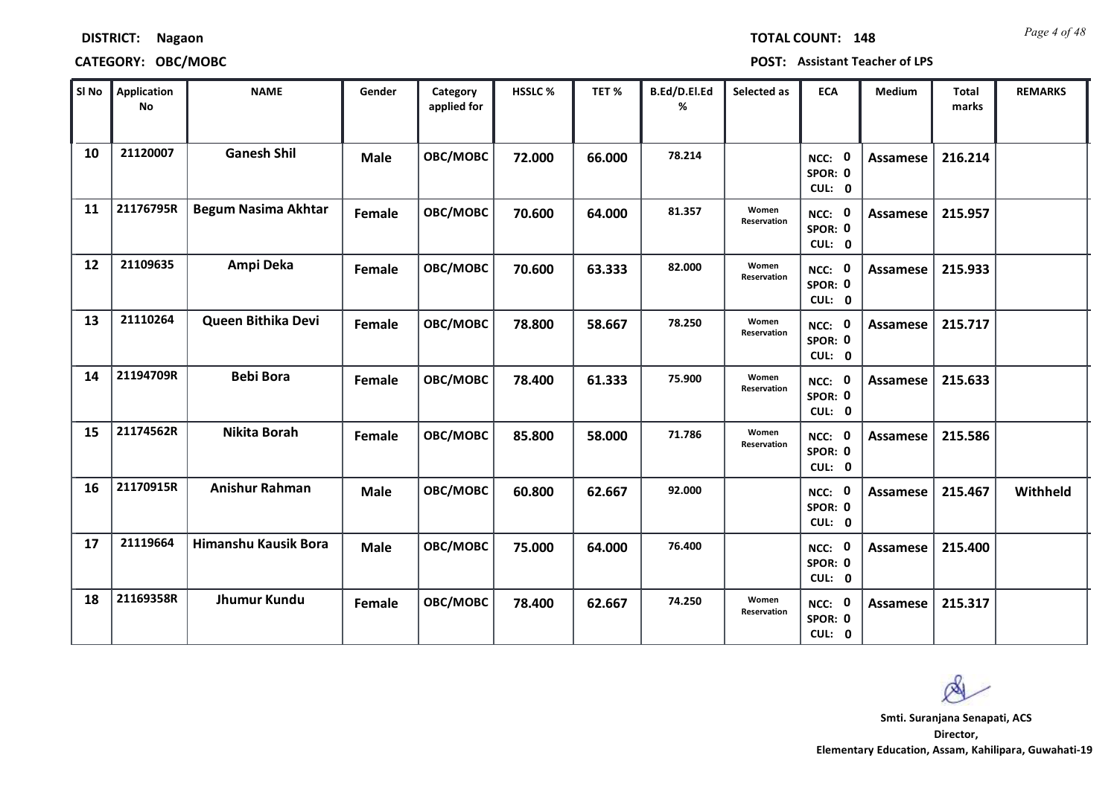| SI No     | Application<br><b>No</b> | <b>NAME</b>                | Gender      | Category<br>applied for | HSSLC% | TET %  | B.Ed/D.El.Ed<br>% | Selected as                 | <b>ECA</b>                         | Medium          | <b>Total</b><br>marks | <b>REMARKS</b> |
|-----------|--------------------------|----------------------------|-------------|-------------------------|--------|--------|-------------------|-----------------------------|------------------------------------|-----------------|-----------------------|----------------|
| 10        | 21120007                 | <b>Ganesh Shil</b>         | <b>Male</b> | OBC/MOBC                | 72.000 | 66.000 | 78.214            |                             | NCC: 0<br>SPOR: 0<br>CUL: 0        | <b>Assamese</b> | 216.214               |                |
| 11        | 21176795R                | <b>Begum Nasima Akhtar</b> | Female      | OBC/MOBC                | 70.600 | 64.000 | 81.357            | Women<br>Reservation        | NCC: 0<br>SPOR: 0<br>CUL: 0        | <b>Assamese</b> | 215.957               |                |
| 12        | 21109635                 | Ampi Deka                  | Female      | OBC/MOBC                | 70.600 | 63.333 | 82.000            | Women<br><b>Reservation</b> | <b>NCC: 0</b><br>SPOR: 0<br>CUL: 0 | <b>Assamese</b> | 215.933               |                |
| 13        | 21110264                 | Queen Bithika Devi         | Female      | OBC/MOBC                | 78.800 | 58.667 | 78.250            | Women<br>Reservation        | NCC: 0<br>SPOR: 0<br>CUL: 0        | <b>Assamese</b> | 215.717               |                |
| 14        | 21194709R                | <b>Bebi Bora</b>           | Female      | OBC/MOBC                | 78.400 | 61.333 | 75.900            | Women<br>Reservation        | NCC: 0<br>SPOR: 0<br>CUL: 0        | Assamese        | 215.633               |                |
| 15        | 21174562R                | Nikita Borah               | Female      | OBC/MOBC                | 85.800 | 58.000 | 71.786            | Women<br>Reservation        | NCC: 0<br>SPOR: 0<br>CUL: 0        | Assamese        | 215.586               |                |
| <b>16</b> | 21170915R                | <b>Anishur Rahman</b>      | <b>Male</b> | OBC/MOBC                | 60.800 | 62.667 | 92.000            |                             | NCC: 0<br>SPOR: 0<br>CUL: 0        | <b>Assamese</b> | 215.467               | Withheld       |
| 17        | 21119664                 | Himanshu Kausik Bora       | <b>Male</b> | OBC/MOBC                | 75.000 | 64.000 | 76.400            |                             | NCC: 0<br>SPOR: 0<br>CUL: 0        | <b>Assamese</b> | 215.400               |                |
| 18        | 21169358R                | Jhumur Kundu               | Female      | OBC/MOBC                | 78.400 | 62.667 | 74.250            | Women<br>Reservation        | NCC: 0<br>SPOR: 0<br>CUL: 0        | <b>Assamese</b> | 215.317               |                |

### **CATEGORY: OBC/MOBC POST: Assistant Teacher of LPS**

*Page 4 of 48* **TOTAL COUNT: 148**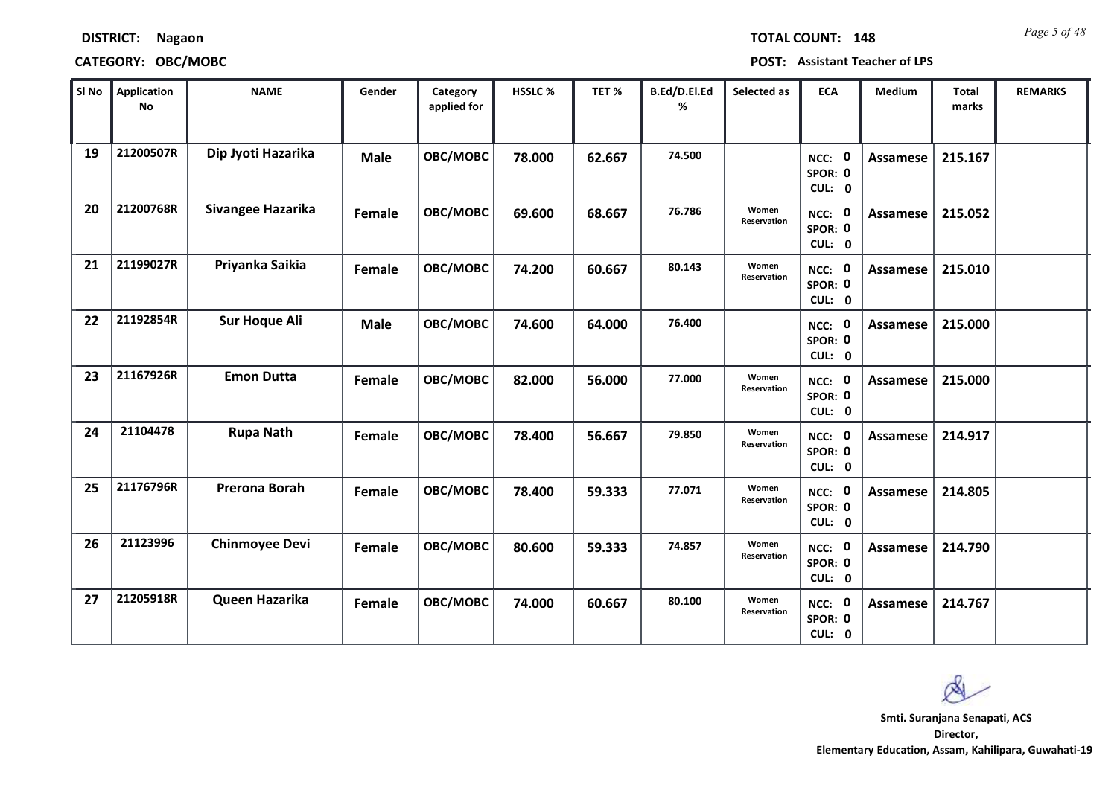| SI No | Application<br><b>No</b> | <b>NAME</b>           | Gender      | Category<br>applied for | HSSLC% | TET%   | B.Ed/D.El.Ed<br>% | Selected as          | <b>ECA</b>                  | Medium          | <b>Total</b><br>marks | <b>REMARKS</b> |
|-------|--------------------------|-----------------------|-------------|-------------------------|--------|--------|-------------------|----------------------|-----------------------------|-----------------|-----------------------|----------------|
| 19    | 21200507R                | Dip Jyoti Hazarika    | <b>Male</b> | OBC/MOBC                | 78.000 | 62.667 | 74.500            |                      | NCC: 0<br>SPOR: 0<br>CUL: 0 | <b>Assamese</b> | 215.167               |                |
| 20    | 21200768R                | Sivangee Hazarika     | Female      | OBC/MOBC                | 69.600 | 68.667 | 76.786            | Women<br>Reservation | NCC: 0<br>SPOR: 0<br>CUL: 0 | Assamese        | 215.052               |                |
| 21    | 21199027R                | Priyanka Saikia       | Female      | OBC/MOBC                | 74.200 | 60.667 | 80.143            | Women<br>Reservation | NCC: 0<br>SPOR: 0<br>CUL: 0 | <b>Assamese</b> | 215.010               |                |
| 22    | 21192854R                | <b>Sur Hoque Ali</b>  | <b>Male</b> | OBC/MOBC                | 74.600 | 64.000 | 76.400            |                      | NCC: 0<br>SPOR: 0<br>CUL: 0 | Assamese        | 215.000               |                |
| 23    | 21167926R                | <b>Emon Dutta</b>     | Female      | OBC/MOBC                | 82.000 | 56.000 | 77.000            | Women<br>Reservation | NCC: 0<br>SPOR: 0<br>CUL: 0 | Assamese        | 215.000               |                |
| 24    | 21104478                 | <b>Rupa Nath</b>      | Female      | OBC/MOBC                | 78.400 | 56.667 | 79.850            | Women<br>Reservation | NCC: 0<br>SPOR: 0<br>CUL: 0 | Assamese        | 214.917               |                |
| 25    | 21176796R                | Prerona Borah         | Female      | OBC/MOBC                | 78.400 | 59.333 | 77.071            | Women<br>Reservation | NCC: 0<br>SPOR: 0<br>CUL: 0 | Assamese        | 214.805               |                |
| 26    | 21123996                 | <b>Chinmoyee Devi</b> | Female      | OBC/MOBC                | 80.600 | 59.333 | 74.857            | Women<br>Reservation | NCC: 0<br>SPOR: 0<br>CUL: 0 | <b>Assamese</b> | 214.790               |                |
| 27    | 21205918R                | Queen Hazarika        | Female      | OBC/MOBC                | 74.000 | 60.667 | 80.100            | Women<br>Reservation | NCC: 0<br>SPOR: 0<br>CUL: 0 | Assamese        | 214.767               |                |

**Director, Elementary Education, Assam, Kahilipara, Guwahati-19 Smti. Suranjana Senapati, ACS**

*Page 5 of 48* **TOTAL COUNT: 148**

**DISTRICT: Nagaon**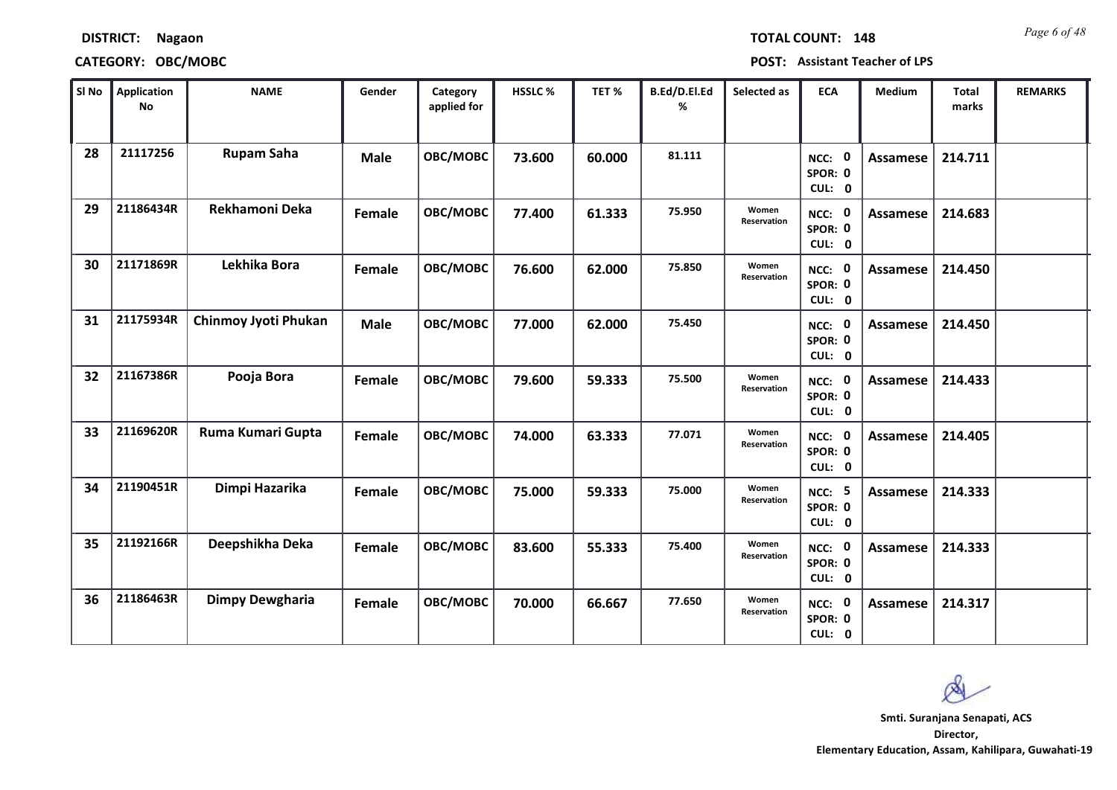| SI No | Application<br><b>No</b> | <b>NAME</b>                 | Gender      | Category<br>applied for | HSSLC% | TET%   | B.Ed/D.El.Ed<br>% | Selected as          | <b>ECA</b>                         | Medium          | Total<br>marks | <b>REMARKS</b> |
|-------|--------------------------|-----------------------------|-------------|-------------------------|--------|--------|-------------------|----------------------|------------------------------------|-----------------|----------------|----------------|
| 28    | 21117256                 | <b>Rupam Saha</b>           | <b>Male</b> | OBC/MOBC                | 73.600 | 60.000 | 81.111            |                      | NCC: 0<br>SPOR: 0<br>CUL: 0        | <b>Assamese</b> | 214.711        |                |
| 29    | 21186434R                | Rekhamoni Deka              | Female      | OBC/MOBC                | 77.400 | 61.333 | 75.950            | Women<br>Reservation | NCC: 0<br>SPOR: 0<br>CUL: 0        | Assamese        | 214.683        |                |
| 30    | 21171869R                | Lekhika Bora                | Female      | OBC/MOBC                | 76.600 | 62.000 | 75.850            | Women<br>Reservation | NCC: 0<br>SPOR: 0<br>CUL: 0        | <b>Assamese</b> | 214.450        |                |
| 31    | 21175934R                | <b>Chinmoy Jyoti Phukan</b> | <b>Male</b> | OBC/MOBC                | 77.000 | 62.000 | 75.450            |                      | NCC: 0<br>SPOR: 0<br>CUL: 0        | Assamese        | 214.450        |                |
| 32    | 21167386R                | Pooja Bora                  | Female      | OBC/MOBC                | 79.600 | 59.333 | 75.500            | Women<br>Reservation | NCC: 0<br>SPOR: 0<br>CUL: 0        | <b>Assamese</b> | 214.433        |                |
| 33    | 21169620R                | Ruma Kumari Gupta           | Female      | OBC/MOBC                | 74.000 | 63.333 | 77.071            | Women<br>Reservation | NCC: 0<br>SPOR: 0<br>CUL: 0        | Assamese        | 214.405        |                |
| 34    | 21190451R                | Dimpi Hazarika              | Female      | OBC/MOBC                | 75.000 | 59.333 | 75.000            | Women<br>Reservation | <b>NCC: 5</b><br>SPOR: 0<br>CUL: 0 | Assamese        | 214.333        |                |
| 35    | 21192166R                | Deepshikha Deka             | Female      | OBC/MOBC                | 83.600 | 55.333 | 75.400            | Women<br>Reservation | NCC: 0<br>SPOR: 0<br>CUL: 0        | <b>Assamese</b> | 214.333        |                |
| 36    | 21186463R                | <b>Dimpy Dewgharia</b>      | Female      | OBC/MOBC                | 70.000 | 66.667 | 77.650            | Women<br>Reservation | NCC: 0<br>SPOR: 0<br>CUL: 0        | Assamese        | 214.317        |                |

**DISTRICT: Nagaon**

*Page 6 of 48* **TOTAL COUNT: 148**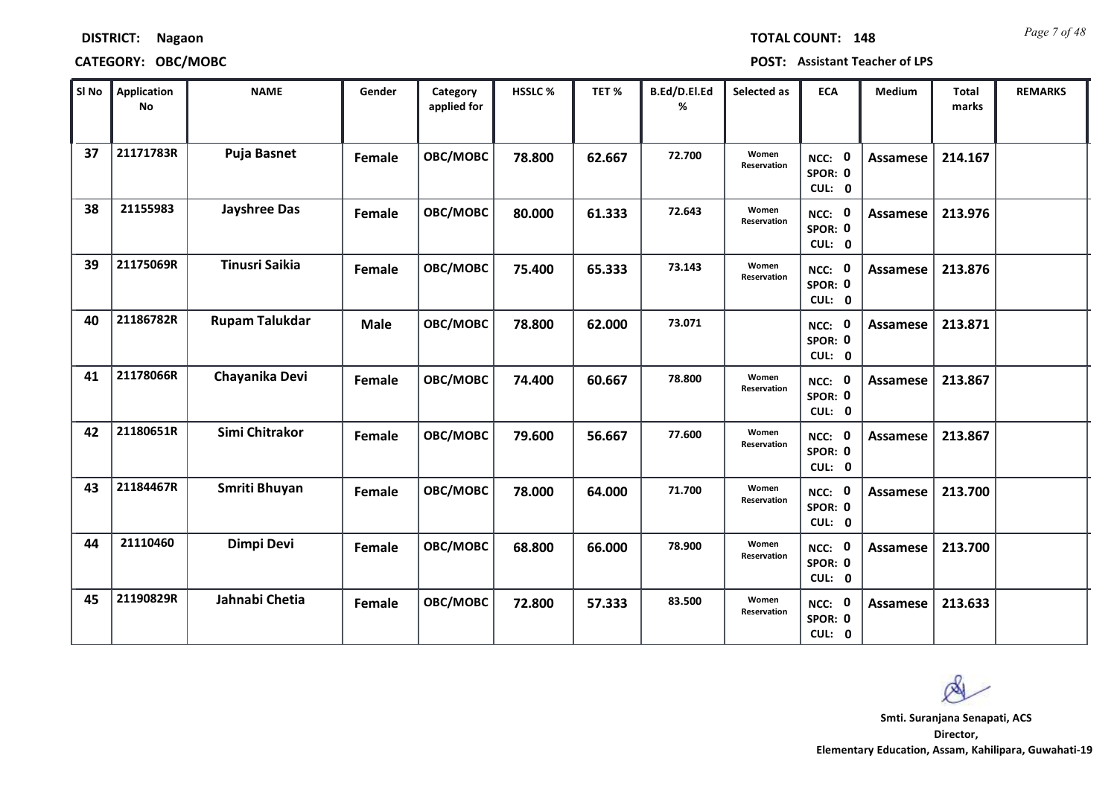| <b>DISTRICT:</b> | <b>Nagaon</b> |
|------------------|---------------|
|------------------|---------------|

*Page 7 of 48* **TOTAL COUNT: 148**

| SI No | Application<br><b>No</b> | <b>NAME</b>           | Gender      | Category<br>applied for | HSSLC% | TET %  | B.Ed/D.El.Ed<br>% | Selected as                 | <b>ECA</b>                  | Medium          | <b>Total</b><br>marks | <b>REMARKS</b> |
|-------|--------------------------|-----------------------|-------------|-------------------------|--------|--------|-------------------|-----------------------------|-----------------------------|-----------------|-----------------------|----------------|
| 37    | 21171783R                | <b>Puja Basnet</b>    | Female      | OBC/MOBC                | 78.800 | 62.667 | 72.700            | Women<br>Reservation        | NCC: 0<br>SPOR: 0<br>CUL: 0 | <b>Assamese</b> | 214.167               |                |
| 38    | 21155983                 | <b>Jayshree Das</b>   | Female      | OBC/MOBC                | 80.000 | 61.333 | 72.643            | Women<br>Reservation        | NCC: 0<br>SPOR: 0<br>CUL: 0 | Assamese        | 213.976               |                |
| 39    | 21175069R                | <b>Tinusri Saikia</b> | Female      | OBC/MOBC                | 75.400 | 65.333 | 73.143            | Women<br>Reservation        | NCC: 0<br>SPOR: 0<br>CUL: 0 | Assamese        | 213.876               |                |
| 40    | 21186782R                | <b>Rupam Talukdar</b> | <b>Male</b> | OBC/MOBC                | 78.800 | 62.000 | 73.071            |                             | NCC: 0<br>SPOR: 0<br>CUL: 0 | Assamese        | 213.871               |                |
| 41    | 21178066R                | Chayanika Devi        | Female      | OBC/MOBC                | 74.400 | 60.667 | 78.800            | Women<br><b>Reservation</b> | NCC: 0<br>SPOR: 0<br>CUL: 0 | Assamese        | 213.867               |                |
| 42    | 21180651R                | Simi Chitrakor        | Female      | OBC/MOBC                | 79.600 | 56.667 | 77.600            | Women<br>Reservation        | NCC: 0<br>SPOR: 0<br>CUL: 0 | <b>Assamese</b> | 213.867               |                |
| 43    | 21184467R                | Smriti Bhuyan         | Female      | OBC/MOBC                | 78.000 | 64.000 | 71.700            | Women<br>Reservation        | NCC: 0<br>SPOR: 0<br>CUL: 0 | <b>Assamese</b> | 213.700               |                |
| 44    | 21110460                 | Dimpi Devi            | Female      | OBC/MOBC                | 68.800 | 66.000 | 78.900            | Women<br>Reservation        | NCC: 0<br>SPOR: 0<br>CUL: 0 | <b>Assamese</b> | 213.700               |                |
| 45    | 21190829R                | Jahnabi Chetia        | Female      | OBC/MOBC                | 72.800 | 57.333 | 83.500            | Women<br>Reservation        | NCC: 0<br>SPOR: 0<br>CUL: 0 | Assamese        | 213.633               |                |

 $\infty$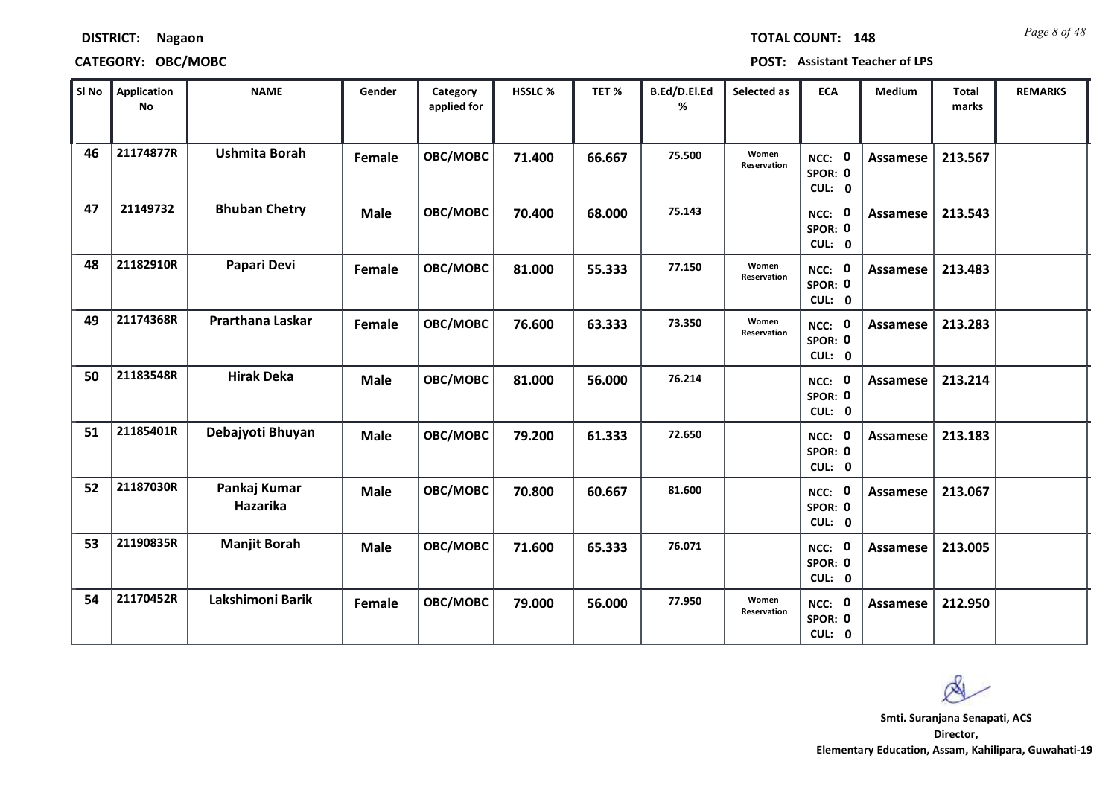| <b>DISTRICT:</b> | <b>Nagaon</b> |
|------------------|---------------|
|------------------|---------------|

*Page 8 of 48* **TOTAL COUNT: 148**

**CATEGORY: OBC/MOBC POST: Assistant Teacher of LPS**

| SI No | <b>Application</b><br><b>No</b> | <b>NAME</b>              | Gender      | Category<br>applied for | HSSLC % | TET%   | B.Ed/D.El.Ed<br>% | Selected as          | <b>ECA</b>                  | <b>Medium</b>   | <b>Total</b><br>marks | <b>REMARKS</b> |
|-------|---------------------------------|--------------------------|-------------|-------------------------|---------|--------|-------------------|----------------------|-----------------------------|-----------------|-----------------------|----------------|
| 46    | 21174877R                       | <b>Ushmita Borah</b>     | Female      | OBC/MOBC                | 71.400  | 66.667 | 75.500            | Women<br>Reservation | NCC: 0<br>SPOR: 0<br>CUL: 0 | Assamese        | 213.567               |                |
| 47    | 21149732                        | <b>Bhuban Chetry</b>     | <b>Male</b> | OBC/MOBC                | 70.400  | 68.000 | 75.143            |                      | NCC: 0<br>SPOR: 0<br>CUL: 0 | Assamese        | 213.543               |                |
| 48    | 21182910R                       | Papari Devi              | Female      | OBC/MOBC                | 81.000  | 55.333 | 77.150            | Women<br>Reservation | NCC: 0<br>SPOR: 0<br>CUL: 0 | <b>Assamese</b> | 213.483               |                |
| 49    | 21174368R                       | Prarthana Laskar         | Female      | OBC/MOBC                | 76.600  | 63.333 | 73.350            | Women<br>Reservation | NCC: 0<br>SPOR: 0<br>CUL: 0 | Assamese        | 213.283               |                |
| 50    | 21183548R                       | <b>Hirak Deka</b>        | <b>Male</b> | OBC/MOBC                | 81.000  | 56.000 | 76.214            |                      | NCC: 0<br>SPOR: 0<br>CUL: 0 | Assamese        | 213.214               |                |
| 51    | 21185401R                       | Debajyoti Bhuyan         | <b>Male</b> | OBC/MOBC                | 79.200  | 61.333 | 72.650            |                      | NCC: 0<br>SPOR: 0<br>CUL: 0 | <b>Assamese</b> | 213.183               |                |
| 52    | 21187030R                       | Pankaj Kumar<br>Hazarika | <b>Male</b> | OBC/MOBC                | 70.800  | 60.667 | 81.600            |                      | NCC: 0<br>SPOR: 0<br>CUL: 0 | Assamese        | 213.067               |                |
| 53    | 21190835R                       | <b>Manjit Borah</b>      | <b>Male</b> | OBC/MOBC                | 71.600  | 65.333 | 76.071            |                      | NCC: 0<br>SPOR: 0<br>CUL: 0 | <b>Assamese</b> | 213.005               |                |
| 54    | 21170452R                       | Lakshimoni Barik         | Female      | OBC/MOBC                | 79.000  | 56.000 | 77.950            | Women<br>Reservation | NCC: 0<br>SPOR: 0<br>CUL: 0 | Assamese        | 212.950               |                |

 $\infty$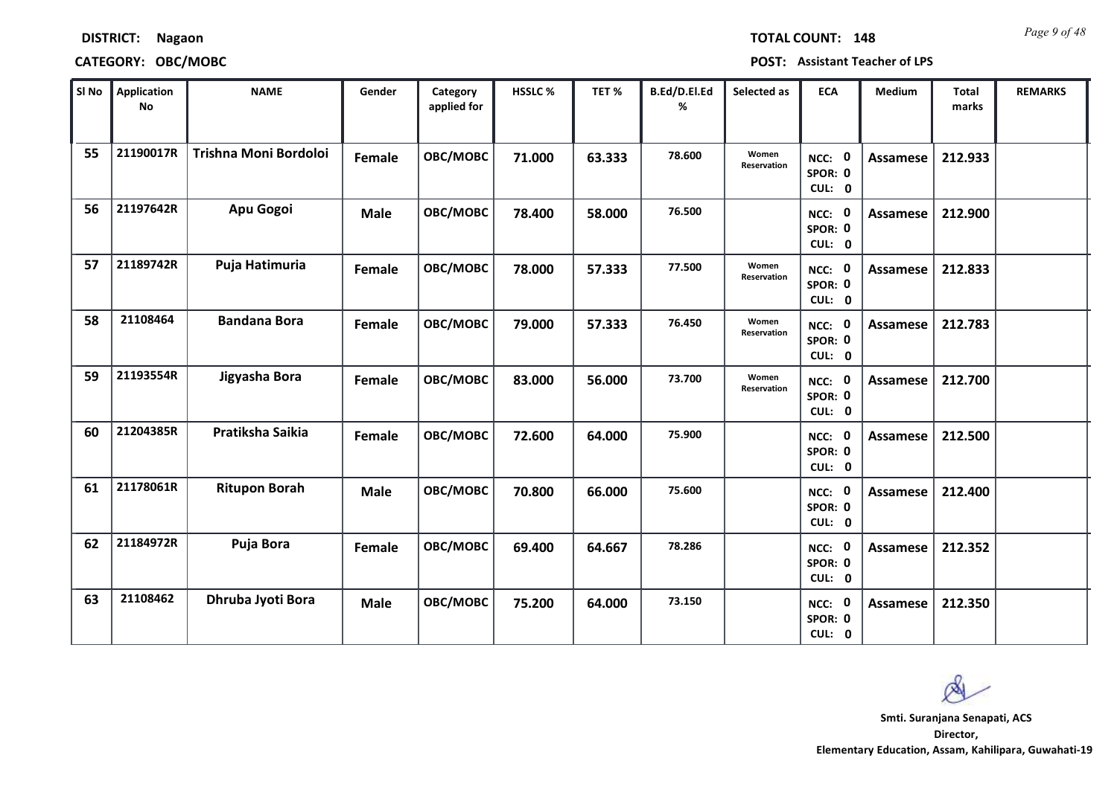| <b>TOTAL COU</b> |  |  |
|------------------|--|--|
|                  |  |  |
|                  |  |  |

### **CATEGORY: OBC/MOBC POST: Assistant Teacher of LPS**

| SI No | <b>Application</b><br>No | <b>NAME</b>           | Gender      | Category<br>applied for | <b>HSSLC%</b> | TET %  | <b>B.Ed/D.El.Ed</b><br>% | Selected as          | <b>ECA</b>                  | <b>Medium</b>   | Total<br>marks | <b>REMARKS</b> |
|-------|--------------------------|-----------------------|-------------|-------------------------|---------------|--------|--------------------------|----------------------|-----------------------------|-----------------|----------------|----------------|
| 55    | 21190017R                | Trishna Moni Bordoloi | Female      | OBC/MOBC                | 71.000        | 63.333 | 78.600                   | Women<br>Reservation | NCC: 0<br>SPOR: 0<br>CUL: 0 | Assamese        | 212.933        |                |
| 56    | 21197642R                | Apu Gogoi             | <b>Male</b> | OBC/MOBC                | 78.400        | 58.000 | 76.500                   |                      | NCC: 0<br>SPOR: 0<br>CUL: 0 | <b>Assamese</b> | 212.900        |                |
| 57    | 21189742R                | Puja Hatimuria        | Female      | OBC/MOBC                | 78.000        | 57.333 | 77.500                   | Women<br>Reservation | NCC: 0<br>SPOR: 0<br>CUL: 0 | Assamese        | 212.833        |                |
| 58    | 21108464                 | <b>Bandana Bora</b>   | Female      | OBC/MOBC                | 79.000        | 57.333 | 76.450                   | Women<br>Reservation | NCC: 0<br>SPOR: 0<br>CUL: 0 | Assamese        | 212.783        |                |
| 59    | 21193554R                | Jigyasha Bora         | Female      | OBC/MOBC                | 83.000        | 56.000 | 73.700                   | Women<br>Reservation | NCC: 0<br>SPOR: 0<br>CUL: 0 | <b>Assamese</b> | 212.700        |                |
| 60    | 21204385R                | Pratiksha Saikia      | Female      | OBC/MOBC                | 72.600        | 64.000 | 75.900                   |                      | NCC: 0<br>SPOR: 0<br>CUL: 0 | Assamese        | 212.500        |                |
| 61    | 21178061R                | <b>Ritupon Borah</b>  | <b>Male</b> | OBC/MOBC                | 70.800        | 66.000 | 75.600                   |                      | NCC: 0<br>SPOR: 0<br>CUL: 0 | Assamese        | 212.400        |                |
| 62    | 21184972R                | <b>Puja Bora</b>      | Female      | OBC/MOBC                | 69.400        | 64.667 | 78.286                   |                      | NCC: 0<br>SPOR: 0<br>CUL: 0 | <b>Assamese</b> | 212.352        |                |
| 63    | 21108462                 | Dhruba Jyoti Bora     | <b>Male</b> | OBC/MOBC                | 75.200        | 64.000 | 73.150                   |                      | NCC: 0<br>SPOR: 0<br>CUL: 0 | Assamese        | 212.350        |                |

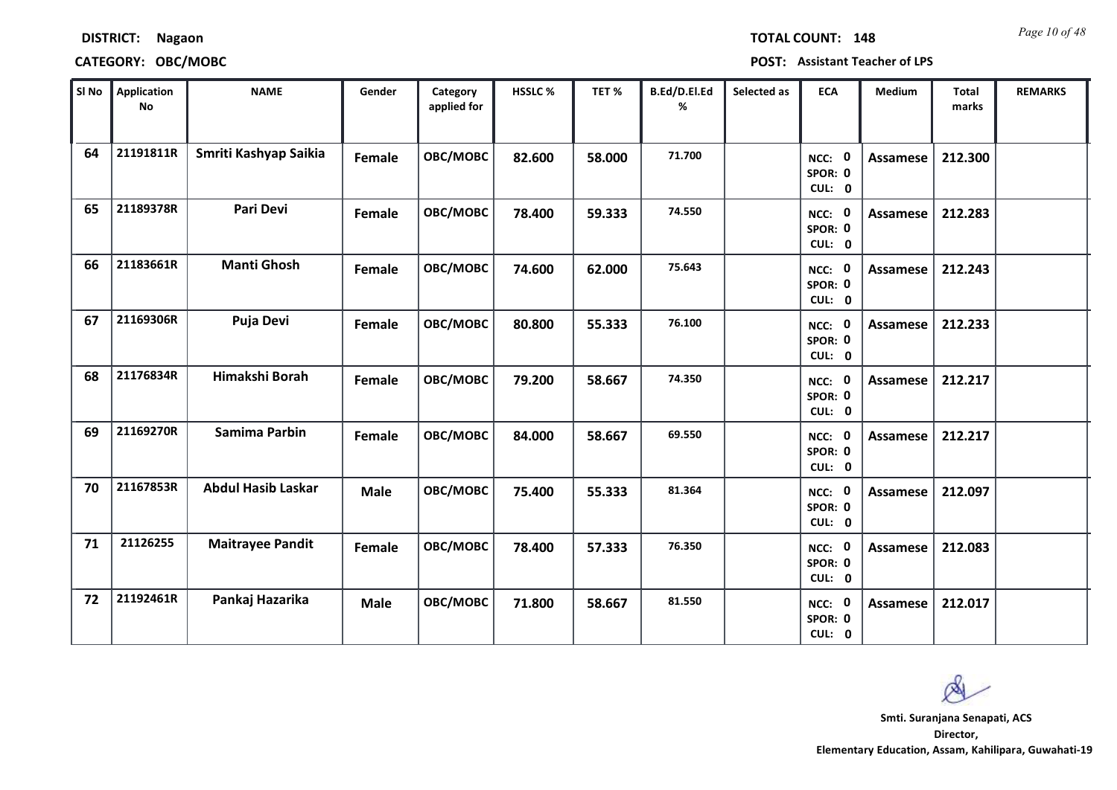| <b>TOTAL COUNT:</b> |  |
|---------------------|--|

### **CATEGORY: OBC/MOBC POST: Assistant Teacher of LPS**

| SI No | <b>Application</b><br>No | <b>NAME</b>               | Gender        | Category<br>applied for | HSSLC % | TET %  | B.Ed/D.El.Ed<br>% | Selected as | <b>ECA</b>                               | <b>Medium</b>   | <b>Total</b><br>marks | <b>REMARKS</b> |
|-------|--------------------------|---------------------------|---------------|-------------------------|---------|--------|-------------------|-------------|------------------------------------------|-----------------|-----------------------|----------------|
| 64    | 21191811R                | Smriti Kashyap Saikia     | Female        | OBC/MOBC                | 82.600  | 58.000 | 71.700            |             | $\mathbf 0$<br>NCC:<br>SPOR: 0<br>CUL: 0 | Assamese        | 212.300               |                |
| 65    | 21189378R                | <b>Pari Devi</b>          | <b>Female</b> | OBC/MOBC                | 78.400  | 59.333 | 74.550            |             | NCC: 0<br>SPOR: 0<br>CUL: 0              | <b>Assamese</b> | 212.283               |                |
| 66    | 21183661R                | <b>Manti Ghosh</b>        | Female        | OBC/MOBC                | 74.600  | 62.000 | 75.643            |             | NCC: 0<br>SPOR: 0<br>CUL: 0              | Assamese        | 212.243               |                |
| 67    | 21169306R                | Puja Devi                 | Female        | OBC/MOBC                | 80.800  | 55.333 | 76.100            |             | $\mathbf 0$<br>NCC:<br>SPOR: 0<br>CUL: 0 | Assamese        | 212.233               |                |
| 68    | 21176834R                | Himakshi Borah            | Female        | OBC/MOBC                | 79.200  | 58.667 | 74.350            |             | NCC: 0<br>SPOR: 0<br>CUL: 0              | Assamese        | 212.217               |                |
| 69    | 21169270R                | Samima Parbin             | <b>Female</b> | OBC/MOBC                | 84.000  | 58.667 | 69.550            |             | NCC: 0<br>SPOR: 0<br>CUL: 0              | <b>Assamese</b> | 212.217               |                |
| 70    | 21167853R                | <b>Abdul Hasib Laskar</b> | <b>Male</b>   | OBC/MOBC                | 75.400  | 55.333 | 81.364            |             | NCC: 0<br>SPOR: 0<br>CUL: 0              | <b>Assamese</b> | 212.097               |                |
| 71    | 21126255                 | <b>Maitrayee Pandit</b>   | Female        | OBC/MOBC                | 78.400  | 57.333 | 76.350            |             | NCC: 0<br>SPOR: 0<br>CUL: 0              | Assamese        | 212.083               |                |
| 72    | 21192461R                | Pankaj Hazarika           | <b>Male</b>   | OBC/MOBC                | 71.800  | 58.667 | 81.550            |             | NCC: 0<br>SPOR: 0<br>CUL: 0              | Assamese        | 212.017               |                |

 $\infty$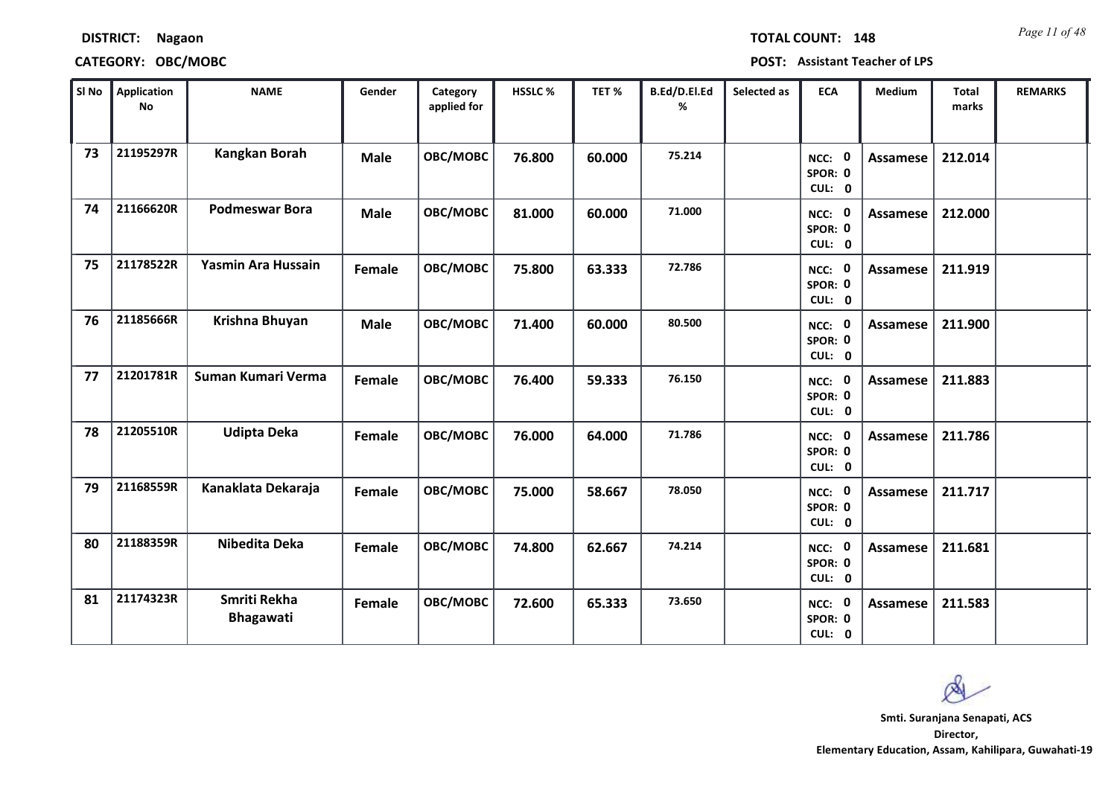| SI No | Application<br><b>No</b> | <b>NAME</b>                      | Gender      | Category<br>applied for | HSSLC % | TET%   | B.Ed/D.El.Ed<br>% | Selected as | <b>ECA</b>                  | Medium          | Total<br>marks | <b>REMARKS</b> |
|-------|--------------------------|----------------------------------|-------------|-------------------------|---------|--------|-------------------|-------------|-----------------------------|-----------------|----------------|----------------|
| 73    | 21195297R                | <b>Kangkan Borah</b>             | <b>Male</b> | OBC/MOBC                | 76.800  | 60.000 | 75.214            |             | NCC: 0<br>SPOR: 0<br>CUL: 0 | Assamese        | 212.014        |                |
| 74    | 21166620R                | <b>Podmeswar Bora</b>            | <b>Male</b> | OBC/MOBC                | 81.000  | 60.000 | 71.000            |             | NCC: 0<br>SPOR: 0<br>CUL: 0 | <b>Assamese</b> | 212.000        |                |
| 75    | 21178522R                | Yasmin Ara Hussain               | Female      | OBC/MOBC                | 75.800  | 63.333 | 72.786            |             | NCC: 0<br>SPOR: 0<br>CUL: 0 | Assamese        | 211.919        |                |
| 76    | 21185666R                | Krishna Bhuyan                   | <b>Male</b> | OBC/MOBC                | 71.400  | 60.000 | 80.500            |             | NCC: 0<br>SPOR: 0<br>CUL: 0 | <b>Assamese</b> | 211.900        |                |
| 77    | 21201781R                | Suman Kumari Verma               | Female      | OBC/MOBC                | 76.400  | 59.333 | 76.150            |             | NCC: 0<br>SPOR: 0<br>CUL: 0 | Assamese        | 211.883        |                |
| 78    | 21205510R                | <b>Udipta Deka</b>               | Female      | OBC/MOBC                | 76.000  | 64.000 | 71.786            |             | NCC: 0<br>SPOR: 0<br>CUL: 0 | Assamese        | 211.786        |                |
| 79    | 21168559R                | Kanaklata Dekaraja               | Female      | OBC/MOBC                | 75.000  | 58.667 | 78.050            |             | NCC: 0<br>SPOR: 0<br>CUL: 0 | Assamese        | 211.717        |                |
| 80    | 21188359R                | Nibedita Deka                    | Female      | OBC/MOBC                | 74.800  | 62.667 | 74.214            |             | NCC: 0<br>SPOR: 0<br>CUL: 0 | <b>Assamese</b> | 211.681        |                |
| 81    | 21174323R                | Smriti Rekha<br><b>Bhagawati</b> | Female      | OBC/MOBC                | 72.600  | 65.333 | 73.650            |             | NCC: 0<br>SPOR: 0<br>CUL: 0 | Assamese        | 211.583        |                |

### **CATEGORY: OBC/MOBC POST: Assistant Teacher of LPS**

*Page 11 of 48* **TOTAL COUNT: 148**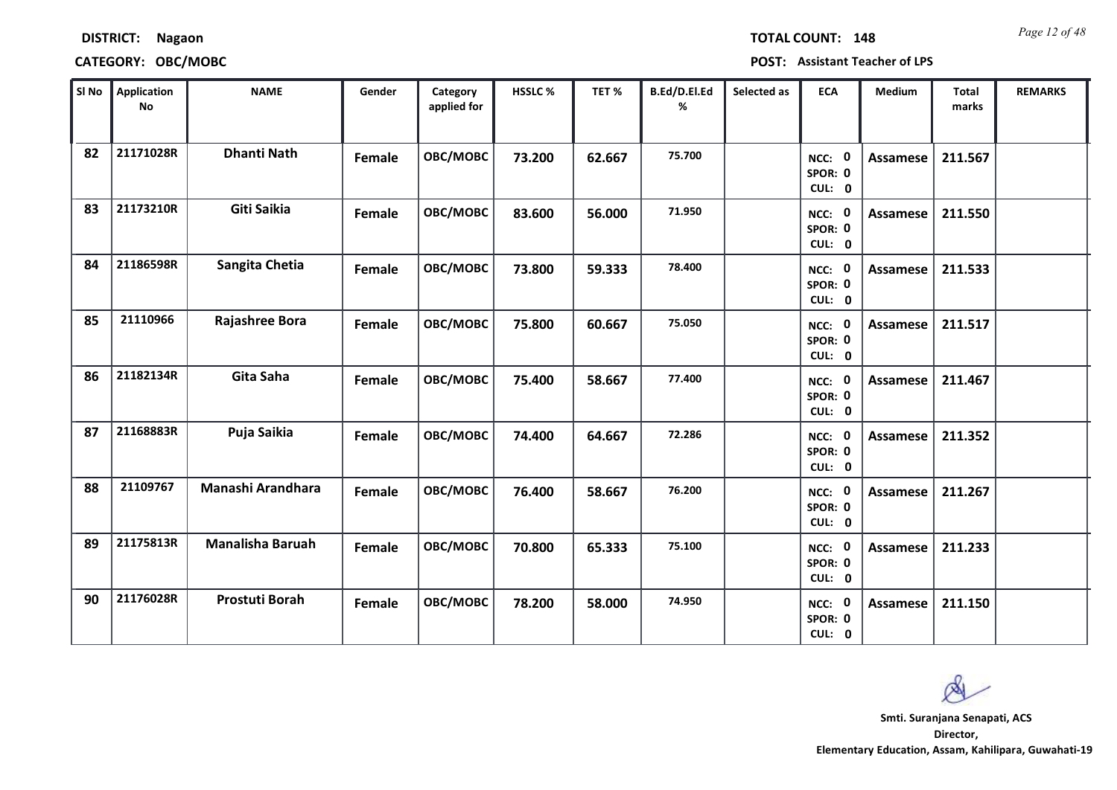| SI No | Application<br><b>No</b> | <b>NAME</b>             | Gender | Category<br>applied for | HSSLC% | TET%   | B.Ed/D.El.Ed<br>% | Selected as | <b>ECA</b>                  | Medium          | Total<br>marks | <b>REMARKS</b> |
|-------|--------------------------|-------------------------|--------|-------------------------|--------|--------|-------------------|-------------|-----------------------------|-----------------|----------------|----------------|
| 82    | 21171028R                | <b>Dhanti Nath</b>      | Female | <b>OBC/MOBC</b>         | 73.200 | 62.667 | 75.700            |             | NCC: 0<br>SPOR: 0<br>CUL: 0 | <b>Assamese</b> | 211.567        |                |
| 83    | 21173210R                | Giti Saikia             | Female | OBC/MOBC                | 83.600 | 56.000 | 71.950            |             | NCC: 0<br>SPOR: 0<br>CUL: 0 | Assamese        | 211.550        |                |
| 84    | 21186598R                | Sangita Chetia          | Female | <b>OBC/MOBC</b>         | 73.800 | 59.333 | 78.400            |             | NCC: 0<br>SPOR: 0<br>CUL: 0 | Assamese        | 211.533        |                |
| 85    | 21110966                 | Rajashree Bora          | Female | OBC/MOBC                | 75.800 | 60.667 | 75.050            |             | NCC: 0<br>SPOR: 0<br>CUL: 0 | Assamese        | 211.517        |                |
| 86    | 21182134R                | Gita Saha               | Female | OBC/MOBC                | 75.400 | 58.667 | 77.400            |             | NCC: 0<br>SPOR: 0<br>CUL: 0 | Assamese        | 211.467        |                |
| 87    | 21168883R                | Puja Saikia             | Female | OBC/MOBC                | 74.400 | 64.667 | 72.286            |             | NCC: 0<br>SPOR: 0<br>CUL: 0 | Assamese        | 211.352        |                |
| 88    | 21109767                 | Manashi Arandhara       | Female | OBC/MOBC                | 76.400 | 58.667 | 76.200            |             | NCC: 0<br>SPOR: 0<br>CUL: 0 | Assamese        | 211.267        |                |
| 89    | 21175813R                | <b>Manalisha Baruah</b> | Female | OBC/MOBC                | 70.800 | 65.333 | 75.100            |             | NCC: 0<br>SPOR: 0<br>CUL: 0 | Assamese        | 211.233        |                |
| 90    | 21176028R                | <b>Prostuti Borah</b>   | Female | OBC/MOBC                | 78.200 | 58.000 | 74.950            |             | NCC: 0<br>SPOR: 0<br>CUL: 0 | Assamese        | 211.150        |                |

## **DISTRICT: Nagaon CATEGORY: OBC/MOBC POST: Assistant Teacher of LPS**

*Page 12 of 48* **TOTAL COUNT: 148**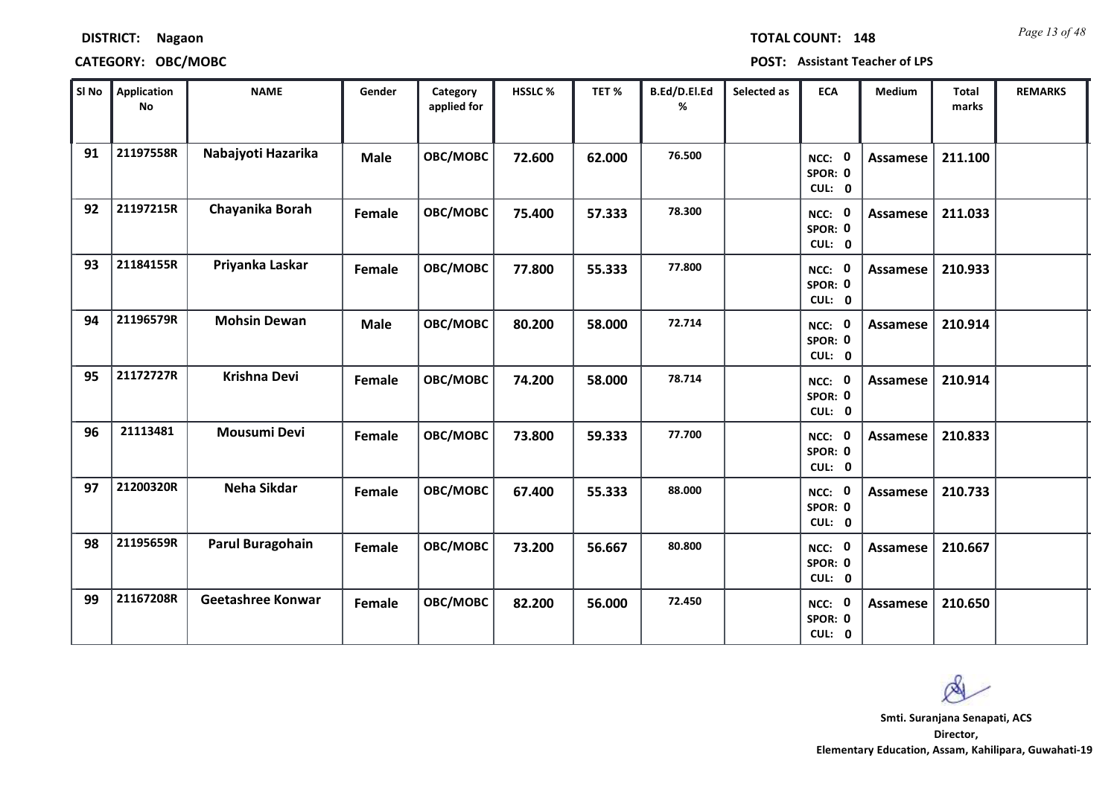| <b>DISTRICT:</b> | <b>Nagaon</b> |
|------------------|---------------|
|------------------|---------------|

*Page 13 of 48* **TOTAL COUNT: 148**

| SI No | <b>Application</b><br>No | <b>NAME</b>             | Gender      | Category<br>applied for | <b>HSSLC %</b> | TET %  | B.Ed/D.El.Ed<br>% | Selected as | <b>ECA</b>                  | <b>Medium</b>   | <b>Total</b><br>marks | <b>REMARKS</b> |
|-------|--------------------------|-------------------------|-------------|-------------------------|----------------|--------|-------------------|-------------|-----------------------------|-----------------|-----------------------|----------------|
| 91    | 21197558R                | Nabajyoti Hazarika      | <b>Male</b> | OBC/MOBC                | 72.600         | 62.000 | 76.500            |             | NCC: 0<br>SPOR: 0<br>CUL: 0 | <b>Assamese</b> | 211.100               |                |
| 92    | 21197215R                | Chayanika Borah         | Female      | OBC/MOBC                | 75.400         | 57.333 | 78.300            |             | NCC: 0<br>SPOR: 0<br>CUL: 0 | Assamese        | 211.033               |                |
| 93    | 21184155R                | Priyanka Laskar         | Female      | OBC/MOBC                | 77.800         | 55.333 | 77.800            |             | NCC: 0<br>SPOR: 0<br>CUL: 0 | <b>Assamese</b> | 210.933               |                |
| 94    | 21196579R                | <b>Mohsin Dewan</b>     | <b>Male</b> | OBC/MOBC                | 80.200         | 58.000 | 72.714            |             | NCC: 0<br>SPOR: 0<br>CUL: 0 | <b>Assamese</b> | 210.914               |                |
| 95    | 21172727R                | <b>Krishna Devi</b>     | Female      | OBC/MOBC                | 74.200         | 58.000 | 78.714            |             | NCC: 0<br>SPOR: 0<br>CUL: 0 | Assamese        | 210.914               |                |
| 96    | 21113481                 | Mousumi Devi            | Female      | OBC/MOBC                | 73.800         | 59.333 | 77.700            |             | NCC: 0<br>SPOR: 0<br>CUL: 0 | <b>Assamese</b> | 210.833               |                |
| 97    | 21200320R                | Neha Sikdar             | Female      | <b>OBC/MOBC</b>         | 67.400         | 55.333 | 88.000            |             | NCC: 0<br>SPOR: 0<br>CUL: 0 | <b>Assamese</b> | 210.733               |                |
| 98    | 21195659R                | <b>Parul Buragohain</b> | Female      | OBC/MOBC                | 73.200         | 56.667 | 80.800            |             | NCC: 0<br>SPOR: 0<br>CUL: 0 | <b>Assamese</b> | 210.667               |                |
| 99    | 21167208R                | Geetashree Konwar       | Female      | OBC/MOBC                | 82.200         | 56.000 | 72.450            |             | NCC: 0<br>SPOR: 0<br>CUL: 0 | <b>Assamese</b> | 210.650               |                |

 $\infty$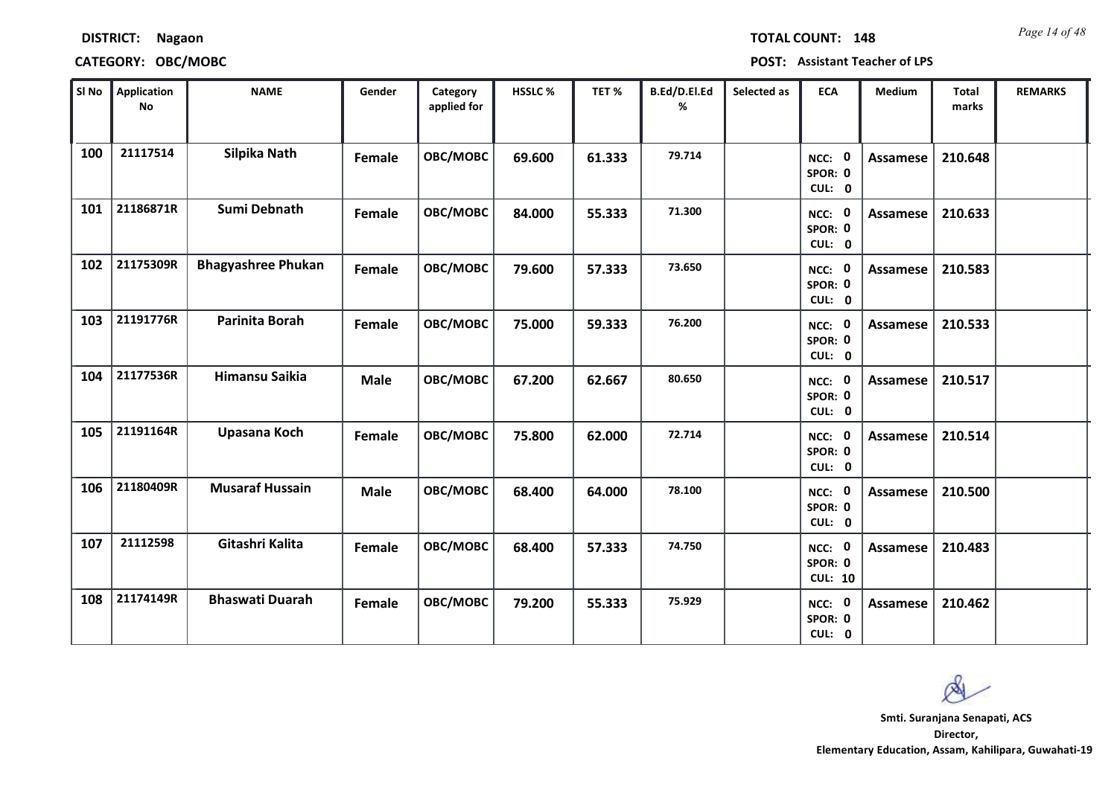| SI No | Application<br>No | <b>NAME</b>               | Gender      | Category<br>applied for | HSSLC% | TET%   | B.Ed/D.El.Ed<br>% | Selected as | <b>ECA</b>                          | Medium          | Total<br>marks | <b>REMARKS</b> |
|-------|-------------------|---------------------------|-------------|-------------------------|--------|--------|-------------------|-------------|-------------------------------------|-----------------|----------------|----------------|
| 100   | 21117514          | Silpika Nath              | Female      | <b>OBC/MOBC</b>         | 69.600 | 61.333 | 79.714            |             | NCC: 0<br>SPOR: 0<br>CUL: 0         | <b>Assamese</b> | 210.648        |                |
| 101   | 21186871R         | Sumi Debnath              | Female      | OBC/MOBC                | 84.000 | 55.333 | 71.300            |             | NCC: 0<br>SPOR: 0<br>CUL: 0         | <b>Assamese</b> | 210.633        |                |
| 102   | 21175309R         | <b>Bhagyashree Phukan</b> | Female      | <b>OBC/MOBC</b>         | 79.600 | 57.333 | 73.650            |             | NCC: 0<br>SPOR: 0<br>CUL: 0         | Assamese        | 210.583        |                |
| 103   | 21191776R         | Parinita Borah            | Female      | OBC/MOBC                | 75.000 | 59.333 | 76.200            |             | NCC: 0<br>SPOR: 0<br>CUL: 0         | <b>Assamese</b> | 210.533        |                |
| 104   | 21177536R         | <b>Himansu Saikia</b>     | <b>Male</b> | OBC/MOBC                | 67.200 | 62.667 | 80.650            |             | NCC: 0<br>SPOR: 0<br>CUL: 0         | Assamese        | 210.517        |                |
| 105   | 21191164R         | Upasana Koch              | Female      | OBC/MOBC                | 75.800 | 62.000 | 72.714            |             | NCC: 0<br>SPOR: 0<br>CUL: 0         | <b>Assamese</b> | 210.514        |                |
| 106   | 21180409R         | <b>Musaraf Hussain</b>    | <b>Male</b> | <b>OBC/MOBC</b>         | 68.400 | 64.000 | 78.100            |             | NCC: 0<br>SPOR: 0<br>CUL: 0         | Assamese        | 210.500        |                |
| 107   | 21112598          | Gitashri Kalita           | Female      | OBC/MOBC                | 68.400 | 57.333 | 74.750            |             | NCC: 0<br>SPOR: 0<br><b>CUL: 10</b> | Assamese        | 210.483        |                |
| 108   | 21174149R         | <b>Bhaswati Duarah</b>    | Female      | OBC/MOBC                | 79.200 | 55.333 | 75.929            |             | NCC: 0<br>SPOR: 0<br>CUL: 0         | Assamese        | 210.462        |                |

**CATEGORY: OBC/MOBC POST: Assistant Teacher of LPS**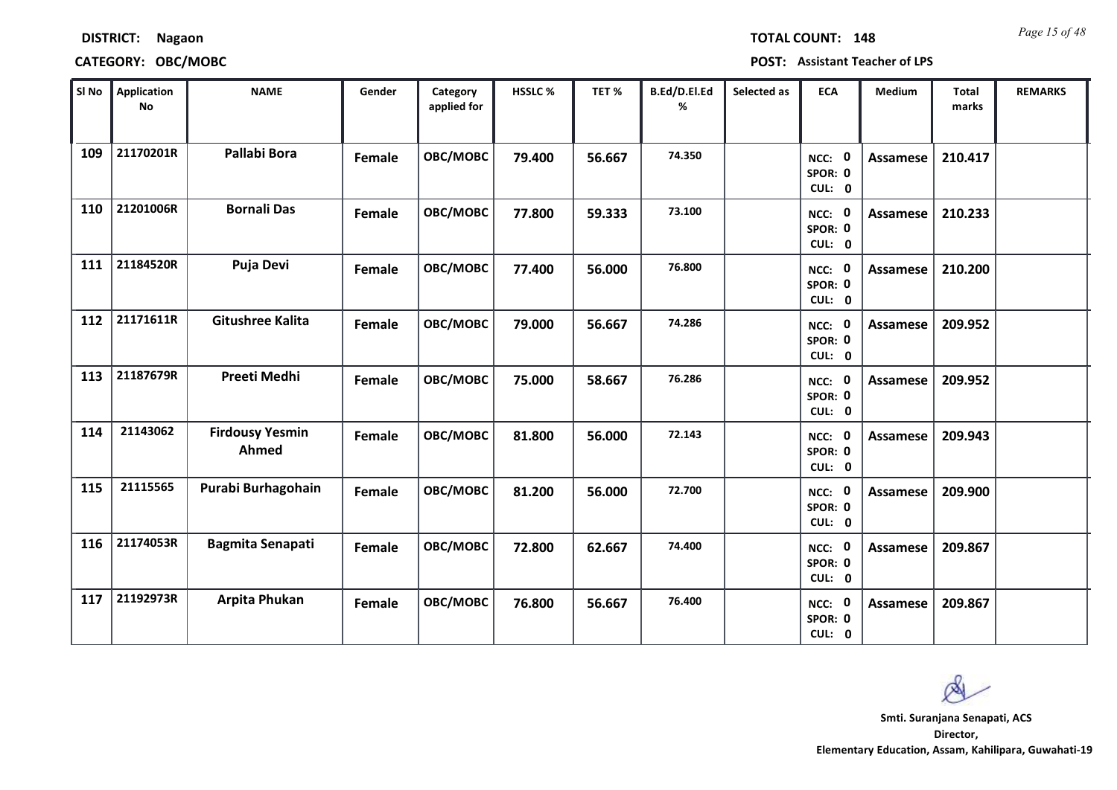| <b>DISTRICT:</b> | <b>Nagaon</b> |
|------------------|---------------|
|------------------|---------------|

*Page 15 of 48* **TOTAL COUNT: 148**

| SI No | <b>Application</b><br>No | <b>NAME</b>                     | Gender | Category<br>applied for | <b>HSSLC %</b> | TET%   | B.Ed/D.El.Ed<br>% | Selected as | <b>ECA</b>                     | <b>Medium</b>   | <b>Total</b><br>marks | <b>REMARKS</b> |
|-------|--------------------------|---------------------------------|--------|-------------------------|----------------|--------|-------------------|-------------|--------------------------------|-----------------|-----------------------|----------------|
| 109   | 21170201R                | Pallabi Bora                    | Female | OBC/MOBC                | 79.400         | 56.667 | 74.350            |             | 0<br>NCC:<br>SPOR: 0<br>CUL: 0 | <b>Assamese</b> | 210.417               |                |
| 110   | 21201006R                | <b>Bornali Das</b>              | Female | OBC/MOBC                | 77.800         | 59.333 | 73.100            |             | NCC: 0<br>SPOR: 0<br>CUL: 0    | Assamese        | 210.233               |                |
| 111   | 21184520R                | Puja Devi                       | Female | OBC/MOBC                | 77.400         | 56.000 | 76.800            |             | NCC: 0<br>SPOR: 0<br>CUL: 0    | <b>Assamese</b> | 210.200               |                |
| 112   | 21171611R                | <b>Gitushree Kalita</b>         | Female | OBC/MOBC                | 79.000         | 56.667 | 74.286            |             | NCC: 0<br>SPOR: 0<br>CUL: 0    | Assamese        | 209.952               |                |
| 113   | 21187679R                | Preeti Medhi                    | Female | OBC/MOBC                | 75.000         | 58.667 | 76.286            |             | NCC: 0<br>SPOR: 0<br>CUL: 0    | <b>Assamese</b> | 209.952               |                |
| 114   | 21143062                 | <b>Firdousy Yesmin</b><br>Ahmed | Female | OBC/MOBC                | 81.800         | 56.000 | 72.143            |             | NCC: 0<br>SPOR: 0<br>CUL: 0    | <b>Assamese</b> | 209.943               |                |
| 115   | 21115565                 | Purabi Burhagohain              | Female | OBC/MOBC                | 81.200         | 56.000 | 72.700            |             | NCC: 0<br>SPOR: 0<br>CUL: 0    | <b>Assamese</b> | 209.900               |                |
| 116   | 21174053R                | <b>Bagmita Senapati</b>         | Female | OBC/MOBC                | 72.800         | 62.667 | 74.400            |             | NCC: 0<br>SPOR: 0<br>CUL: 0    | Assamese        | 209.867               |                |
| 117   | 21192973R                | Arpita Phukan                   | Female | OBC/MOBC                | 76.800         | 56.667 | 76.400            |             | NCC: 0<br>SPOR: 0<br>CUL: 0    | Assamese        | 209.867               |                |

 $\infty$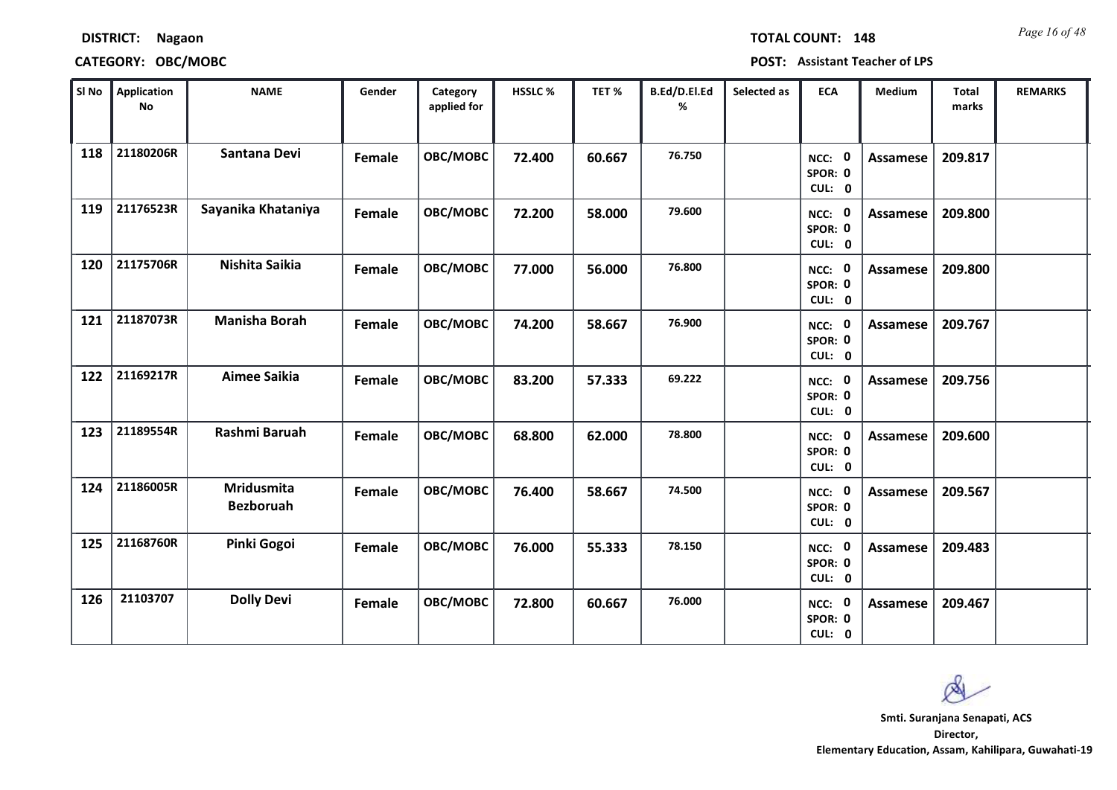| SI No | Application<br>No | <b>NAME</b>                           | Gender | Category<br>applied for | HSSLC% | TET%   | B.Ed/D.El.Ed<br>% | Selected as | <b>ECA</b>                  | Medium          | Total<br>marks | <b>REMARKS</b> |
|-------|-------------------|---------------------------------------|--------|-------------------------|--------|--------|-------------------|-------------|-----------------------------|-----------------|----------------|----------------|
| 118   | 21180206R         | Santana Devi                          | Female | OBC/MOBC                | 72.400 | 60.667 | 76.750            |             | NCC: 0<br>SPOR: 0<br>CUL: 0 | <b>Assamese</b> | 209.817        |                |
| 119   | 21176523R         | Sayanika Khataniya                    | Female | OBC/MOBC                | 72.200 | 58.000 | 79.600            |             | NCC: 0<br>SPOR: 0<br>CUL: 0 | Assamese        | 209.800        |                |
| 120   | 21175706R         | Nishita Saikia                        | Female | OBC/MOBC                | 77.000 | 56.000 | 76.800            |             | NCC: 0<br>SPOR: 0<br>CUL: 0 | <b>Assamese</b> | 209.800        |                |
| 121   | 21187073R         | <b>Manisha Borah</b>                  | Female | OBC/MOBC                | 74.200 | 58.667 | 76.900            |             | NCC: 0<br>SPOR: 0<br>CUL: 0 | Assamese        | 209.767        |                |
| 122   | 21169217R         | <b>Aimee Saikia</b>                   | Female | OBC/MOBC                | 83.200 | 57.333 | 69.222            |             | NCC: 0<br>SPOR: 0<br>CUL: 0 | Assamese        | 209.756        |                |
| 123   | 21189554R         | Rashmi Baruah                         | Female | OBC/MOBC                | 68.800 | 62.000 | 78.800            |             | NCC: 0<br>SPOR: 0<br>CUL: 0 | <b>Assamese</b> | 209.600        |                |
| 124   | 21186005R         | <b>Mridusmita</b><br><b>Bezboruah</b> | Female | OBC/MOBC                | 76.400 | 58.667 | 74.500            |             | NCC: 0<br>SPOR: 0<br>CUL: 0 | Assamese        | 209.567        |                |
| 125   | 21168760R         | Pinki Gogoi                           | Female | OBC/MOBC                | 76.000 | 55.333 | 78.150            |             | NCC: 0<br>SPOR: 0<br>CUL: 0 | Assamese        | 209.483        |                |
| 126   | 21103707          | <b>Dolly Devi</b>                     | Female | OBC/MOBC                | 72.800 | 60.667 | 76.000            |             | NCC: 0<br>SPOR: 0<br>CUL: 0 | Assamese        | 209.467        |                |

### **CATEGORY: OBC/MOBC POST: Assistant Teacher of LPS**

*Page 16 of 48* **TOTAL COUNT: 148**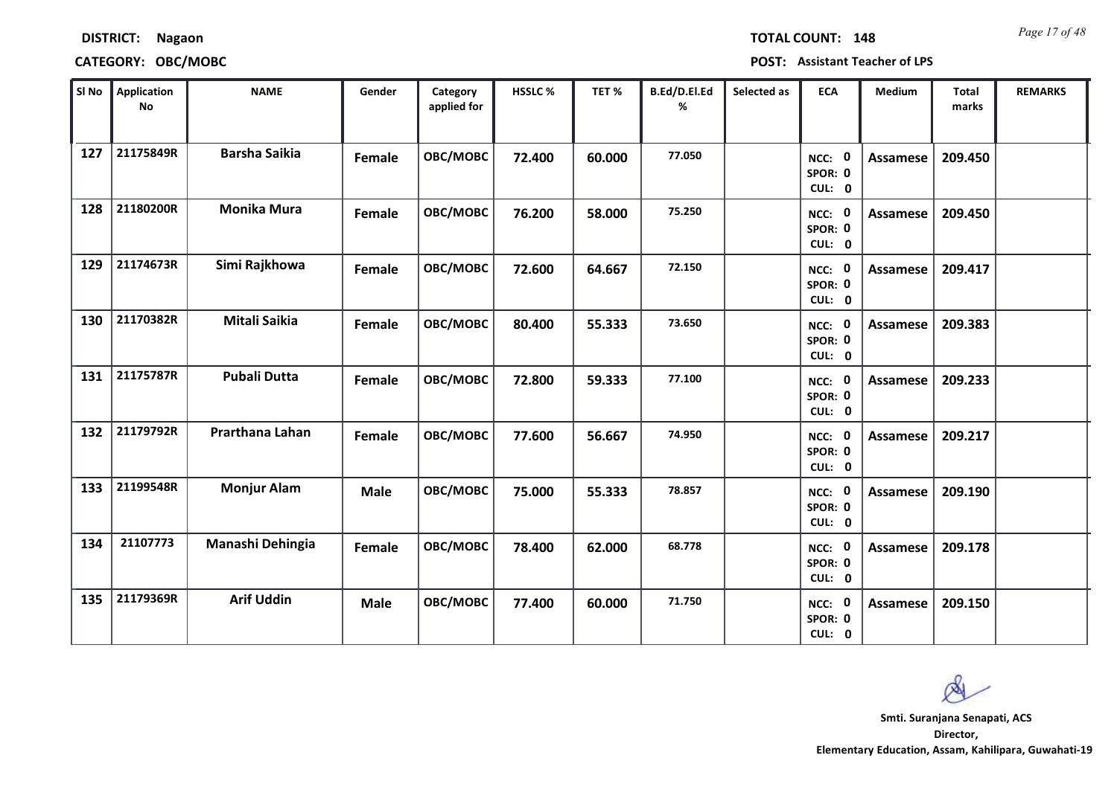| SI No | Application<br>No | <b>NAME</b>          | Gender      | Category<br>applied for | HSSLC% | TET%   | B.Ed/D.El.Ed<br>% | Selected as | <b>ECA</b>                  | Medium          | Total<br>marks | <b>REMARKS</b> |
|-------|-------------------|----------------------|-------------|-------------------------|--------|--------|-------------------|-------------|-----------------------------|-----------------|----------------|----------------|
| 127   | 21175849R         | <b>Barsha Saikia</b> | Female      | <b>OBC/MOBC</b>         | 72.400 | 60.000 | 77.050            |             | NCC: 0<br>SPOR: 0<br>CUL: 0 | <b>Assamese</b> | 209.450        |                |
| 128   | 21180200R         | <b>Monika Mura</b>   | Female      | OBC/MOBC                | 76.200 | 58.000 | 75.250            |             | NCC: 0<br>SPOR: 0<br>CUL: 0 | Assamese        | 209.450        |                |
| 129   | 21174673R         | Simi Rajkhowa        | Female      | <b>OBC/MOBC</b>         | 72.600 | 64.667 | 72.150            |             | NCC: 0<br>SPOR: 0<br>CUL: 0 | Assamese        | 209.417        |                |
| 130   | 21170382R         | <b>Mitali Saikia</b> | Female      | OBC/MOBC                | 80.400 | 55.333 | 73.650            |             | NCC: 0<br>SPOR: 0<br>CUL: 0 | Assamese        | 209.383        |                |
| 131   | 21175787R         | <b>Pubali Dutta</b>  | Female      | OBC/MOBC                | 72.800 | 59.333 | 77.100            |             | NCC: 0<br>SPOR: 0<br>CUL: 0 | Assamese        | 209.233        |                |
| 132   | 21179792R         | Prarthana Lahan      | Female      | OBC/MOBC                | 77.600 | 56.667 | 74.950            |             | NCC: 0<br>SPOR: 0<br>CUL: 0 | Assamese        | 209.217        |                |
| 133   | 21199548R         | <b>Monjur Alam</b>   | <b>Male</b> | OBC/MOBC                | 75.000 | 55.333 | 78.857            |             | NCC: 0<br>SPOR: 0<br>CUL: 0 | Assamese        | 209.190        |                |
| 134   | 21107773          | Manashi Dehingia     | Female      | OBC/MOBC                | 78.400 | 62.000 | 68.778            |             | NCC: 0<br>SPOR: 0<br>CUL: 0 | <b>Assamese</b> | 209.178        |                |
| 135   | 21179369R         | <b>Arif Uddin</b>    | <b>Male</b> | OBC/MOBC                | 77.400 | 60.000 | 71.750            |             | NCC: 0<br>SPOR: 0<br>CUL: 0 | Assamese        | 209.150        |                |

*Page 17 of 48* **TOTAL COUNT: 148**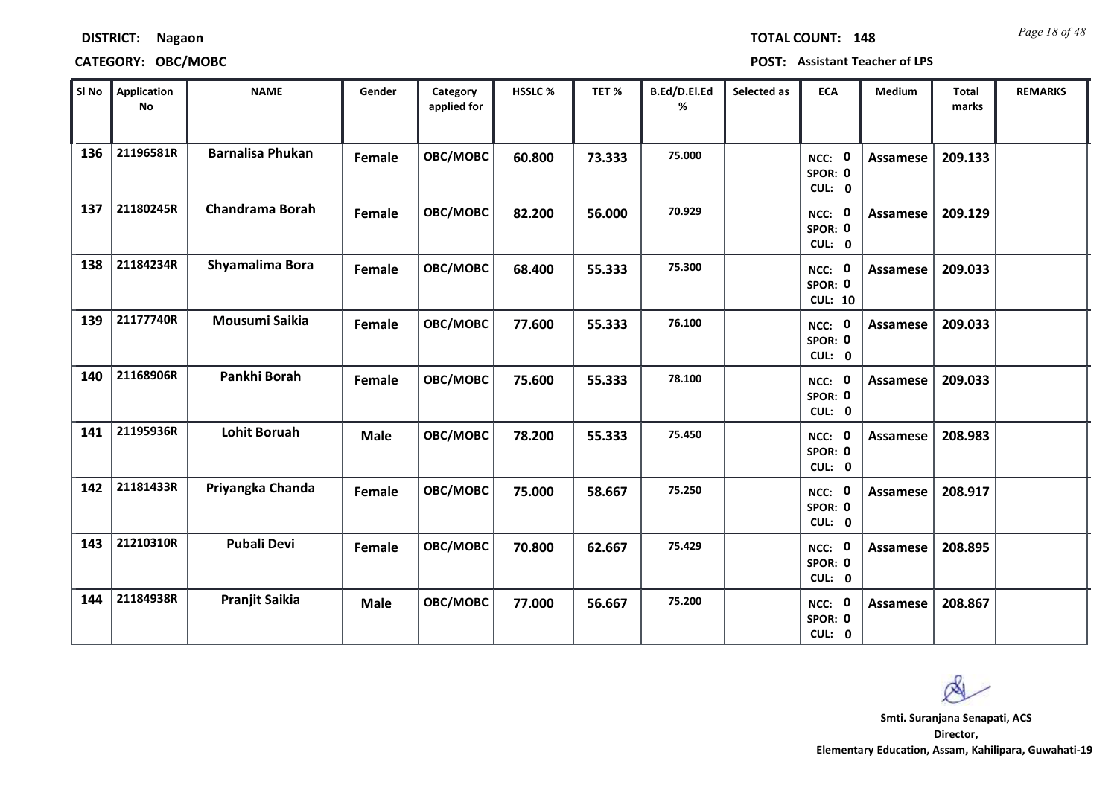| SI No | Application<br><b>No</b> | <b>NAME</b>             | Gender      | Category<br>applied for | HSSLC% | TET%   | B.Ed/D.El.Ed<br>% | Selected as | <b>ECA</b>                          | Medium          | Total<br>marks | <b>REMARKS</b> |
|-------|--------------------------|-------------------------|-------------|-------------------------|--------|--------|-------------------|-------------|-------------------------------------|-----------------|----------------|----------------|
| 136   | 21196581R                | <b>Barnalisa Phukan</b> | Female      | OBC/MOBC                | 60.800 | 73.333 | 75.000            |             | NCC: 0<br>SPOR: 0<br>CUL: 0         | <b>Assamese</b> | 209.133        |                |
| 137   | 21180245R                | <b>Chandrama Borah</b>  | Female      | OBC/MOBC                | 82.200 | 56.000 | 70.929            |             | NCC: 0<br>SPOR: 0<br>CUL: 0         | Assamese        | 209.129        |                |
| 138   | 21184234R                | Shyamalima Bora         | Female      | OBC/MOBC                | 68.400 | 55.333 | 75.300            |             | NCC: 0<br>SPOR: 0<br><b>CUL: 10</b> | Assamese        | 209.033        |                |
| 139   | 21177740R                | Mousumi Saikia          | Female      | OBC/MOBC                | 77.600 | 55.333 | 76.100            |             | NCC: 0<br>SPOR: 0<br>CUL: 0         | <b>Assamese</b> | 209.033        |                |
| 140   | 21168906R                | Pankhi Borah            | Female      | OBC/MOBC                | 75.600 | 55.333 | 78.100            |             | NCC: 0<br>SPOR: 0<br>CUL: 0         | Assamese        | 209.033        |                |
| 141   | 21195936R                | <b>Lohit Boruah</b>     | <b>Male</b> | OBC/MOBC                | 78.200 | 55.333 | 75.450            |             | NCC: 0<br>SPOR: 0<br>CUL: 0         | <b>Assamese</b> | 208.983        |                |
| 142   | 21181433R                | Priyangka Chanda        | Female      | OBC/MOBC                | 75.000 | 58.667 | 75.250            |             | NCC: 0<br>SPOR: 0<br>CUL: 0         | <b>Assamese</b> | 208.917        |                |
| 143   | 21210310R                | <b>Pubali Devi</b>      | Female      | OBC/MOBC                | 70.800 | 62.667 | 75.429            |             | NCC: 0<br>SPOR: 0<br>CUL: 0         | Assamese        | 208.895        |                |
| 144   | 21184938R                | <b>Pranjit Saikia</b>   | <b>Male</b> | OBC/MOBC                | 77.000 | 56.667 | 75.200            |             | NCC: 0<br>SPOR: 0<br>CUL: 0         | Assamese        | 208.867        |                |

## **DISTRICT: Nagaon CATEGORY: OBC/MOBC POST: Assistant Teacher of LPS**

*Page 18 of 48* **TOTAL COUNT: 148**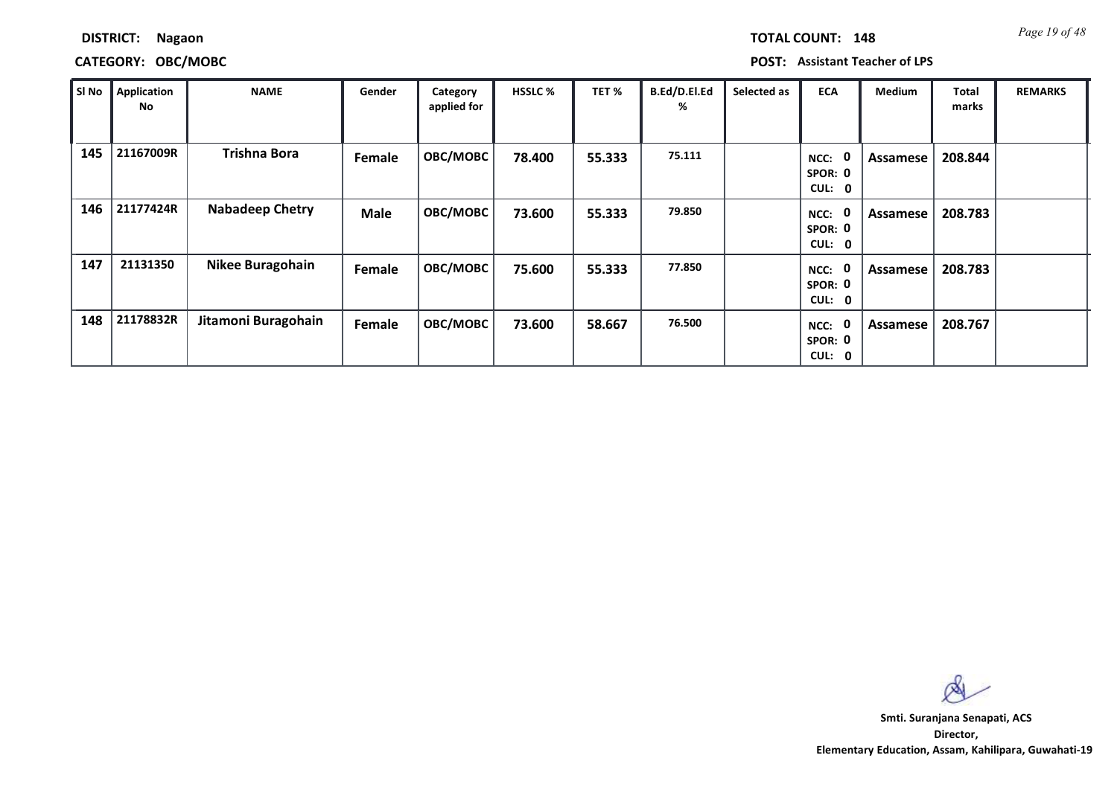| TOTAL COUNT:<br>14 |
|--------------------|
|--------------------|

### **CATEGORY: OBC/MOBC POST: Assistant Teacher of LPS**

| SI No | Application<br>No | <b>NAME</b>             | Gender      | Category<br>applied for | <b>HSSLC %</b> | TET %  | B.Ed/D.El.Ed<br>% | Selected as | <b>ECA</b>                                         | <b>Medium</b>   | <b>Total</b><br>marks | <b>REMARKS</b> |
|-------|-------------------|-------------------------|-------------|-------------------------|----------------|--------|-------------------|-------------|----------------------------------------------------|-----------------|-----------------------|----------------|
| 145   | 21167009R         | <b>Trishna Bora</b>     | Female      | OBC/MOBC                | 78.400         | 55.333 | 75.111            |             | 0<br>NCC:<br>SPOR: 0<br>CUL:<br>$\mathbf 0$        | <b>Assamese</b> | 208.844               |                |
| 146   | 21177424R         | <b>Nabadeep Chetry</b>  | <b>Male</b> | OBC/MOBC                | 73.600         | 55.333 | 79.850            |             | 0<br>NCC:<br>SPOR: 0<br><b>CUL:</b><br>$\mathbf 0$ | <b>Assamese</b> | 208.783               |                |
| 147   | 21131350          | <b>Nikee Buragohain</b> | Female      | OBC/MOBC                | 75.600         | 55.333 | 77.850            |             | 0<br>NCC:<br>SPOR: 0<br><b>CUL:</b><br>$\mathbf 0$ | Assamese        | 208.783               |                |
| 148   | 21178832R         | Jitamoni Buragohain     | Female      | OBC/MOBC                | 73.600         | 58.667 | 76.500            |             | 0<br>NCC:<br>SPOR: 0<br>CUL:<br>$\mathbf 0$        | Assamese        | 208.767               |                |

 $\infty$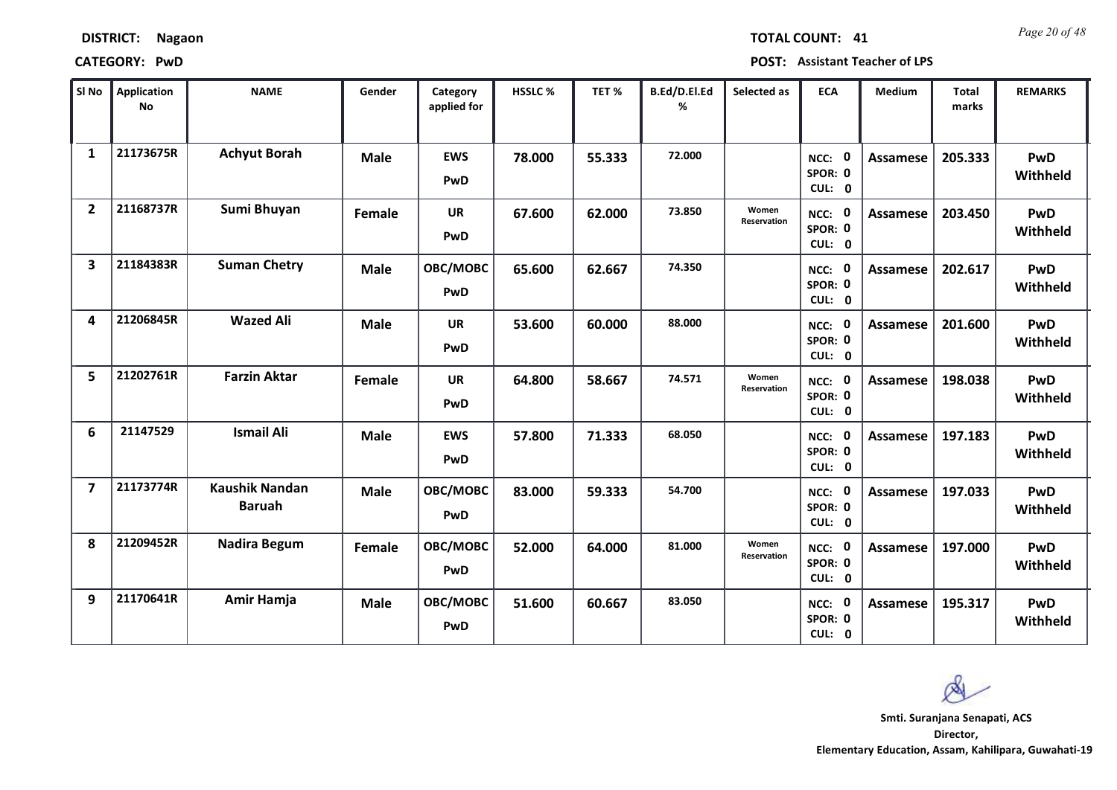*Page 20 of 48* **TOTAL COUNT: 41**

**CATEGORY: PwD POST: Assistant Teacher of LPS**

| SI No                   | <b>Application</b><br>No | <b>NAME</b>                            | Gender      | Category<br>applied for | <b>HSSLC%</b> | TET %  | B.Ed/D.El.Ed<br>% | Selected as                 | <b>ECA</b>                         | <b>Medium</b>   | <b>Total</b><br>marks | <b>REMARKS</b>         |
|-------------------------|--------------------------|----------------------------------------|-------------|-------------------------|---------------|--------|-------------------|-----------------------------|------------------------------------|-----------------|-----------------------|------------------------|
| $\mathbf{1}$            | 21173675R                | <b>Achyut Borah</b>                    | <b>Male</b> | <b>EWS</b><br>PwD       | 78.000        | 55.333 | 72.000            |                             | NCC: 0<br>SPOR: 0<br>CUL: 0        | <b>Assamese</b> | 205.333               | PwD<br>Withheld        |
| $\overline{2}$          | 21168737R                | Sumi Bhuyan                            | Female      | <b>UR</b><br>PwD        | 67.600        | 62.000 | 73.850            | Women<br><b>Reservation</b> | NCC: 0<br>SPOR: 0<br>CUL: 0        | Assamese        | 203.450               | <b>PwD</b><br>Withheld |
| $\overline{\mathbf{3}}$ | 21184383R                | <b>Suman Chetry</b>                    | <b>Male</b> | OBC/MOBC<br>PwD         | 65.600        | 62.667 | 74.350            |                             | <b>NCC: 0</b><br>SPOR: 0<br>CUL: 0 | <b>Assamese</b> | 202.617               | PwD<br>Withheld        |
| 4                       | 21206845R                | <b>Wazed Ali</b>                       | <b>Male</b> | <b>UR</b><br>PwD        | 53.600        | 60.000 | 88.000            |                             | NCC: 0<br>SPOR: 0<br>CUL: 0        | <b>Assamese</b> | 201.600               | PwD<br>Withheld        |
| 5                       | 21202761R                | <b>Farzin Aktar</b>                    | Female      | <b>UR</b><br>PwD        | 64.800        | 58.667 | 74.571            | Women<br><b>Reservation</b> | NCC: 0<br>SPOR: 0<br>CUL: 0        | Assamese        | 198.038               | PwD<br>Withheld        |
| 6                       | 21147529                 | <b>Ismail Ali</b>                      | <b>Male</b> | <b>EWS</b><br>PwD       | 57.800        | 71.333 | 68.050            |                             | NCC: 0<br>SPOR: 0<br>CUL: 0        | <b>Assamese</b> | 197.183               | PwD<br>Withheld        |
| $\overline{7}$          | 21173774R                | <b>Kaushik Nandan</b><br><b>Baruah</b> | <b>Male</b> | OBC/MOBC<br>PwD         | 83.000        | 59.333 | 54.700            |                             | NCC: 0<br>SPOR: 0<br>CUL: 0        | <b>Assamese</b> | 197.033               | PwD<br>Withheld        |
| 8                       | 21209452R                | <b>Nadira Begum</b>                    | Female      | OBC/MOBC<br>PwD         | 52.000        | 64.000 | 81.000            | Women<br><b>Reservation</b> | NCC: 0<br>SPOR: 0<br>CUL: 0        | Assamese        | 197.000               | PwD<br>Withheld        |
| 9                       | 21170641R                | Amir Hamja                             | <b>Male</b> | OBC/MOBC<br><b>PwD</b>  | 51.600        | 60.667 | 83.050            |                             | NCC: 0<br>SPOR: 0<br>CUL: 0        | Assamese        | 195.317               | PwD<br>Withheld        |

**Director, Smti. Suranjana Senapati, ACS**

Q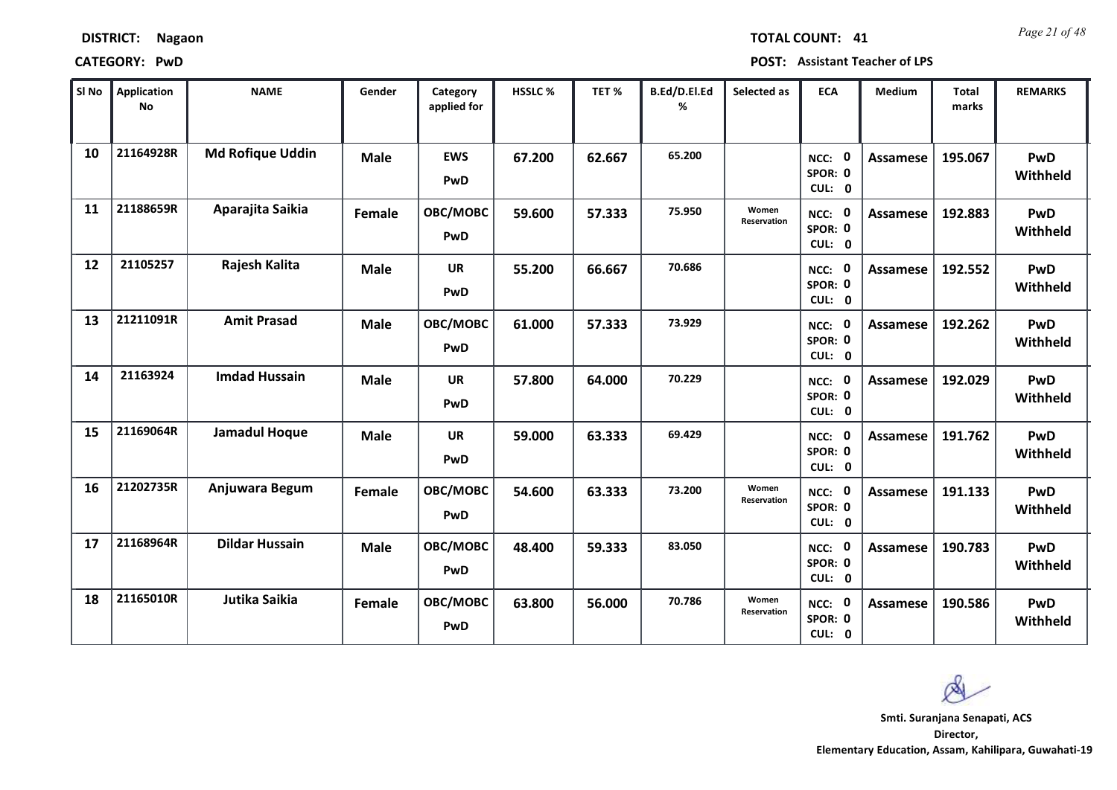*Page 21 of 48* **TOTAL COUNT: 41**

| SI No | <b>Application</b><br>No | <b>NAME</b>             | Gender        | Category<br>applied for | <b>HSSLC %</b> | TET %  | B.Ed/D.El.Ed<br>% | Selected as                 | <b>ECA</b>                       | <b>Medium</b>   | <b>Total</b><br>marks | <b>REMARKS</b>         |
|-------|--------------------------|-------------------------|---------------|-------------------------|----------------|--------|-------------------|-----------------------------|----------------------------------|-----------------|-----------------------|------------------------|
| 10    | 21164928R                | <b>Md Rofique Uddin</b> | <b>Male</b>   | <b>EWS</b><br>PwD       | 67.200         | 62.667 | 65.200            |                             | NCC: 0<br>SPOR: 0<br>CUL: 0      | Assamese        | 195.067               | PwD<br>Withheld        |
| 11    | 21188659R                | Aparajita Saikia        | Female        | OBC/MOBC<br>PwD         | 59.600         | 57.333 | 75.950            | Women<br>Reservation        | NCC: 0<br>SPOR: 0<br>CUL: 0      | Assamese        | 192.883               | <b>PwD</b><br>Withheld |
| 12    | 21105257                 | Rajesh Kalita           | <b>Male</b>   | <b>UR</b><br>PwD        | 55.200         | 66.667 | 70.686            |                             | NCC: 0<br>SPOR: 0<br>CUL: 0      | <b>Assamese</b> | 192.552               | PwD<br>Withheld        |
| 13    | 21211091R                | <b>Amit Prasad</b>      | <b>Male</b>   | OBC/MOBC<br>PwD         | 61.000         | 57.333 | 73.929            |                             | - 0<br>NCC:<br>SPOR: 0<br>CUL: 0 | Assamese        | 192.262               | <b>PwD</b><br>Withheld |
| 14    | 21163924                 | <b>Imdad Hussain</b>    | <b>Male</b>   | <b>UR</b><br>PwD        | 57.800         | 64.000 | 70.229            |                             | NCC: 0<br>SPOR: 0<br>CUL: 0      | Assamese        | 192.029               | PwD<br>Withheld        |
| 15    | 21169064R                | <b>Jamadul Hoque</b>    | <b>Male</b>   | <b>UR</b><br>PwD        | 59.000         | 63.333 | 69.429            |                             | NCC: 0<br>SPOR: 0<br>CUL: 0      | <b>Assamese</b> | 191.762               | <b>PwD</b><br>Withheld |
| 16    | 21202735R                | Anjuwara Begum          | Female        | OBC/MOBC<br>PwD         | 54.600         | 63.333 | 73.200            | Women<br><b>Reservation</b> | NCC: 0<br>SPOR: 0<br>CUL: 0      | <b>Assamese</b> | 191.133               | PwD<br>Withheld        |
| 17    | 21168964R                | <b>Dildar Hussain</b>   | <b>Male</b>   | OBC/MOBC<br>PwD         | 48.400         | 59.333 | 83.050            |                             | NCC: 0<br>SPOR: 0<br>CUL: 0      | <b>Assamese</b> | 190.783               | <b>PwD</b><br>Withheld |
| 18    | 21165010R                | Jutika Saikia           | <b>Female</b> | OBC/MOBC<br>PwD         | 63.800         | 56.000 | 70.786            | Women<br>Reservation        | NCC: 0<br>SPOR: 0<br>CUL: 0      | <b>Assamese</b> | 190.586               | <b>PwD</b><br>Withheld |

 $\infty$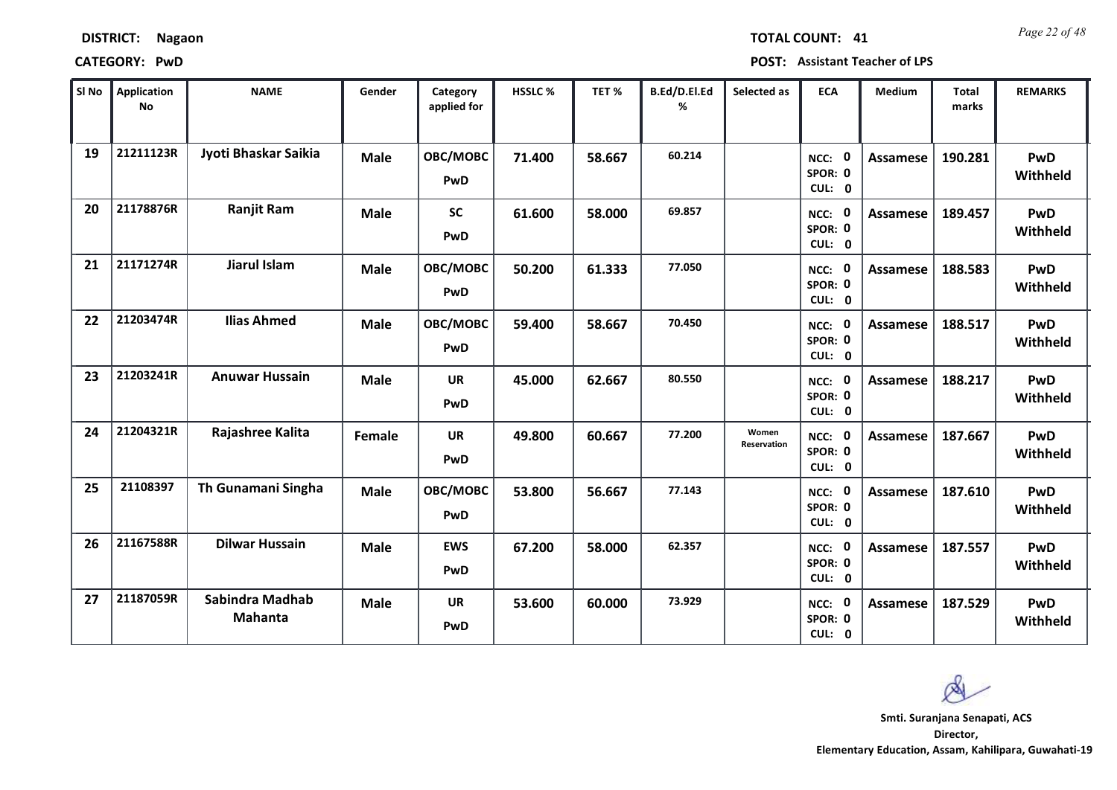*Page 22 of 48* **TOTAL COUNT: 41**

**CATEGORY: PwD POST: Assistant Teacher of LPS**

| SI No | <b>Application</b><br>No | <b>NAME</b>                | Gender      | Category<br>applied for | <b>HSSLC%</b> | TET %  | B.Ed/D.El.Ed<br>% | Selected as          | <b>ECA</b>                  | <b>Medium</b>   | <b>Total</b><br>marks | <b>REMARKS</b>         |
|-------|--------------------------|----------------------------|-------------|-------------------------|---------------|--------|-------------------|----------------------|-----------------------------|-----------------|-----------------------|------------------------|
| 19    | 21211123R                | Jyoti Bhaskar Saikia       | <b>Male</b> | OBC/MOBC<br>PwD         | 71.400        | 58.667 | 60.214            |                      | NCC: 0<br>SPOR: 0<br>CUL: 0 | <b>Assamese</b> | 190.281               | <b>PwD</b><br>Withheld |
| 20    | 21178876R                | <b>Ranjit Ram</b>          | <b>Male</b> | <b>SC</b><br>PwD        | 61.600        | 58.000 | 69.857            |                      | NCC: 0<br>SPOR: 0<br>CUL: 0 | <b>Assamese</b> | 189.457               | PwD<br>Withheld        |
| 21    | 21171274R                | Jiarul Islam               | <b>Male</b> | OBC/MOBC<br>PwD         | 50.200        | 61.333 | 77.050            |                      | NCC: 0<br>SPOR: 0<br>CUL: 0 | <b>Assamese</b> | 188.583               | PwD<br>Withheld        |
| 22    | 21203474R                | <b>Ilias Ahmed</b>         | <b>Male</b> | OBC/MOBC<br>PwD         | 59.400        | 58.667 | 70.450            |                      | NCC: 0<br>SPOR: 0<br>CUL: 0 | Assamese        | 188.517               | <b>PwD</b><br>Withheld |
| 23    | 21203241R                | <b>Anuwar Hussain</b>      | <b>Male</b> | <b>UR</b><br>PwD        | 45.000        | 62.667 | 80.550            |                      | NCC: 0<br>SPOR: 0<br>CUL: 0 | <b>Assamese</b> | 188.217               | <b>PwD</b><br>Withheld |
| 24    | 21204321R                | Rajashree Kalita           | Female      | <b>UR</b><br>PwD        | 49.800        | 60.667 | 77.200            | Women<br>Reservation | NCC: 0<br>SPOR: 0<br>CUL: 0 | <b>Assamese</b> | 187.667               | <b>PwD</b><br>Withheld |
| 25    | 21108397                 | Th Gunamani Singha         | <b>Male</b> | OBC/MOBC<br>PwD         | 53.800        | 56.667 | 77.143            |                      | NCC: 0<br>SPOR: 0<br>CUL: 0 | Assamese        | 187.610               | <b>PwD</b><br>Withheld |
| 26    | 21167588R                | <b>Dilwar Hussain</b>      | <b>Male</b> | <b>EWS</b><br>PwD       | 67.200        | 58.000 | 62.357            |                      | NCC: 0<br>SPOR: 0<br>CUL: 0 | <b>Assamese</b> | 187.557               | <b>PwD</b><br>Withheld |
| 27    | 21187059R                | Sabindra Madhab<br>Mahanta | <b>Male</b> | UR<br>PwD               | 53.600        | 60.000 | 73.929            |                      | NCC: 0<br>SPOR: 0<br>CUL: 0 | <b>Assamese</b> | 187.529               | <b>PwD</b><br>Withheld |

 $\infty$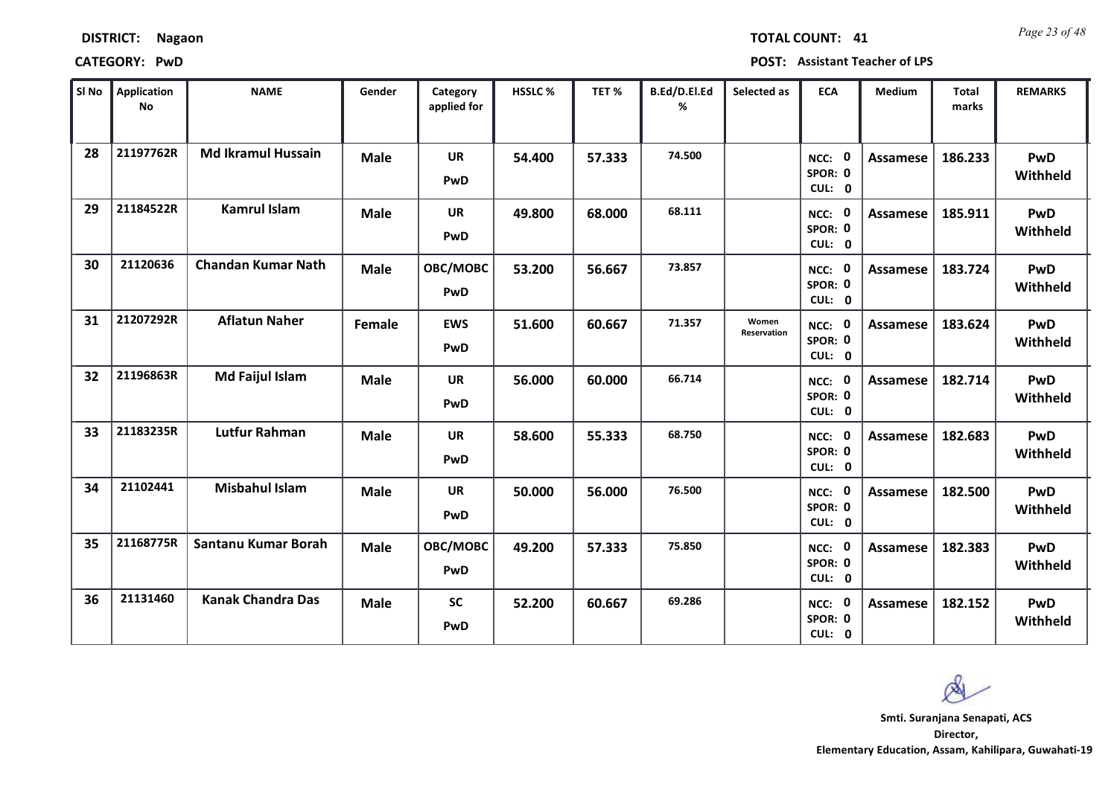| <b>DISTRICT:</b> | <b>Nagaon</b> |
|------------------|---------------|
|------------------|---------------|

*Page 23 of 48* **TOTAL COUNT: 41**

| SI No | <b>Application</b><br><b>No</b> | <b>NAME</b>               | Gender      | Category<br>applied for | <b>HSSLC %</b> | TET %  | B.Ed/D.El.Ed<br>% | Selected as          | <b>ECA</b>                     | <b>Medium</b>   | <b>Total</b><br>marks | <b>REMARKS</b>         |
|-------|---------------------------------|---------------------------|-------------|-------------------------|----------------|--------|-------------------|----------------------|--------------------------------|-----------------|-----------------------|------------------------|
| 28    | 21197762R                       | <b>Md Ikramul Hussain</b> | <b>Male</b> | <b>UR</b><br>PwD        | 54.400         | 57.333 | 74.500            |                      | 0<br>NCC:<br>SPOR: 0<br>CUL: 0 | <b>Assamese</b> | 186.233               | PwD<br>Withheld        |
| 29    | 21184522R                       | <b>Kamrul Islam</b>       | <b>Male</b> | <b>UR</b><br>PwD        | 49.800         | 68.000 | 68.111            |                      | NCC: 0<br>SPOR: 0<br>CUL: 0    | <b>Assamese</b> | 185.911               | PwD<br>Withheld        |
| 30    | 21120636                        | <b>Chandan Kumar Nath</b> | <b>Male</b> | OBC/MOBC<br>PwD         | 53.200         | 56.667 | 73.857            |                      | NCC: 0<br>SPOR: 0<br>CUL: 0    | <b>Assamese</b> | 183.724               | PwD<br>Withheld        |
| 31    | 21207292R                       | <b>Aflatun Naher</b>      | Female      | <b>EWS</b><br>PwD       | 51.600         | 60.667 | 71.357            | Women<br>Reservation | 0<br>NCC:<br>SPOR: 0<br>CUL: 0 | Assamese        | 183.624               | <b>PwD</b><br>Withheld |
| 32    | 21196863R                       | <b>Md Faijul Islam</b>    | <b>Male</b> | <b>UR</b><br>PwD        | 56.000         | 60.000 | 66.714            |                      | NCC: 0<br>SPOR: 0<br>CUL: 0    | Assamese        | 182.714               | PwD<br>Withheld        |
| 33    | 21183235R                       | <b>Lutfur Rahman</b>      | <b>Male</b> | <b>UR</b><br>PwD        | 58.600         | 55.333 | 68.750            |                      | NCC: 0<br>SPOR: 0<br>CUL: 0    | Assamese        | 182.683               | <b>PwD</b><br>Withheld |
| 34    | 21102441                        | <b>Misbahul Islam</b>     | <b>Male</b> | <b>UR</b><br>PwD        | 50.000         | 56.000 | 76.500            |                      | NCC: 0<br>SPOR: 0<br>CUL: 0    | <b>Assamese</b> | 182.500               | <b>PwD</b><br>Withheld |
| 35    | 21168775R                       | Santanu Kumar Borah       | <b>Male</b> | OBC/MOBC<br>PwD         | 49.200         | 57.333 | 75.850            |                      | NCC: 0<br>SPOR: 0<br>CUL: 0    | <b>Assamese</b> | 182.383               | PwD<br>Withheld        |
| 36    | 21131460                        | <b>Kanak Chandra Das</b>  | <b>Male</b> | <b>SC</b><br>PwD        | 52.200         | 60.667 | 69.286            |                      | NCC: 0<br>SPOR: 0<br>CUL: 0    | Assamese        | 182.152               | <b>PwD</b><br>Withheld |

 $\infty$ **Smti. Suranjana Senapati, ACS**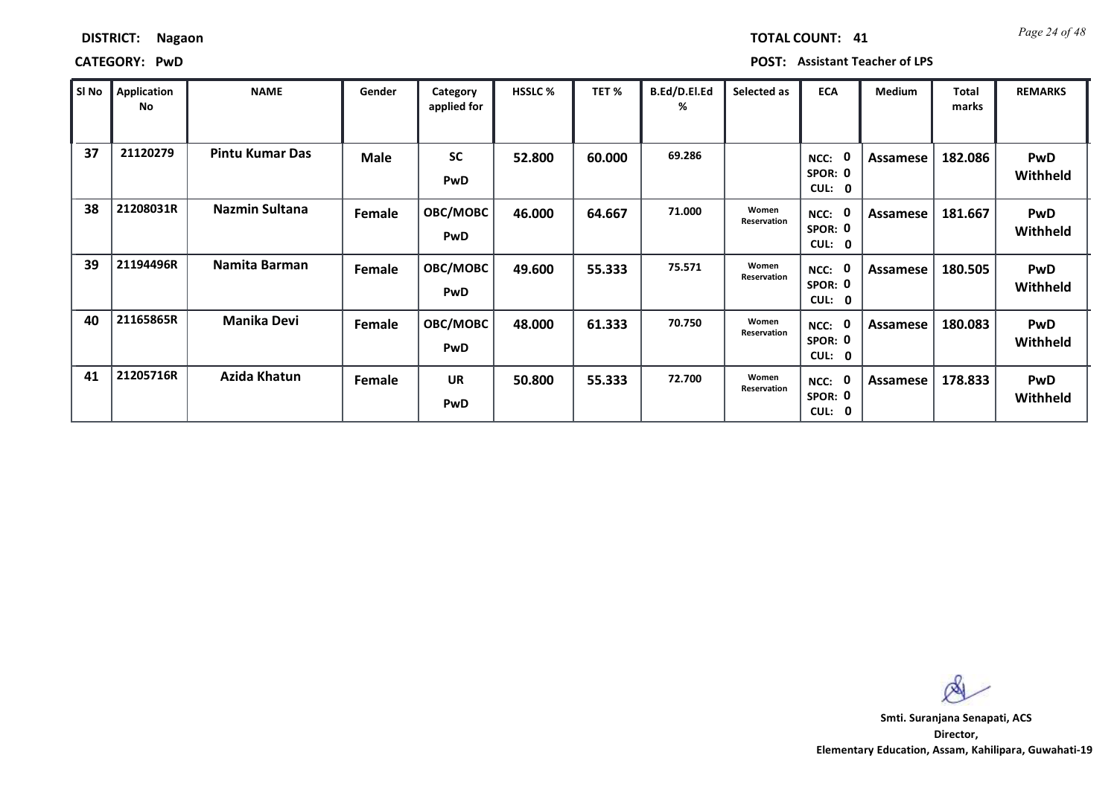| <b>DISTRICT:</b> | <b>Nagaon</b> |
|------------------|---------------|
|------------------|---------------|

*Page 24 of 48* **TOTAL COUNT: 41**

| SI No | <b>Application</b><br>No | <b>NAME</b>            | Gender | Category<br>applied for | <b>HSSLC %</b> | TET %  | B.Ed/D.El.Ed<br>% | Selected as          | <b>ECA</b>                             | <b>Medium</b>   | <b>Total</b><br>marks | <b>REMARKS</b>         |
|-------|--------------------------|------------------------|--------|-------------------------|----------------|--------|-------------------|----------------------|----------------------------------------|-----------------|-----------------------|------------------------|
| 37    | 21120279                 | <b>Pintu Kumar Das</b> | Male   | <b>SC</b><br><b>PwD</b> | 52.800         | 60.000 | 69.286            |                      | NCC:<br>SPOR: 0<br><b>CUL:</b><br>0    | <b>Assamese</b> | 182.086               | <b>PwD</b><br>Withheld |
| 38    | 21208031R                | Nazmin Sultana         | Female | OBC/MOBC<br><b>PwD</b>  | 46.000         | 64.667 | 71.000            | Women<br>Reservation | NCC:<br>SPOR: 0<br>CUL:<br>$\mathbf 0$ | Assamese        | 181.667               | <b>PwD</b><br>Withheld |
| 39    | 21194496R                | Namita Barman          | Female | OBC/MOBC<br><b>PwD</b>  | 49.600         | 55.333 | 75.571            | Women<br>Reservation | NCC:<br>SPOR: 0<br>CUL:<br>0           | <b>Assamese</b> | 180.505               | <b>PwD</b><br>Withheld |
| 40    | 21165865R                | <b>Manika Devi</b>     | Female | OBC/MOBC<br><b>PwD</b>  | 48.000         | 61.333 | 70.750            | Women<br>Reservation | NCC:<br>SPOR: 0<br>CUL:<br>0           | Assamese        | 180.083               | <b>PwD</b><br>Withheld |
| 41    | 21205716R                | Azida Khatun           | Female | <b>UR</b><br>PwD        | 50.800         | 55.333 | 72.700            | Women<br>Reservation | NCC:<br>SPOR: 0<br>CUL:<br>0           | Assamese        | 178.833               | <b>PwD</b><br>Withheld |

 $\infty$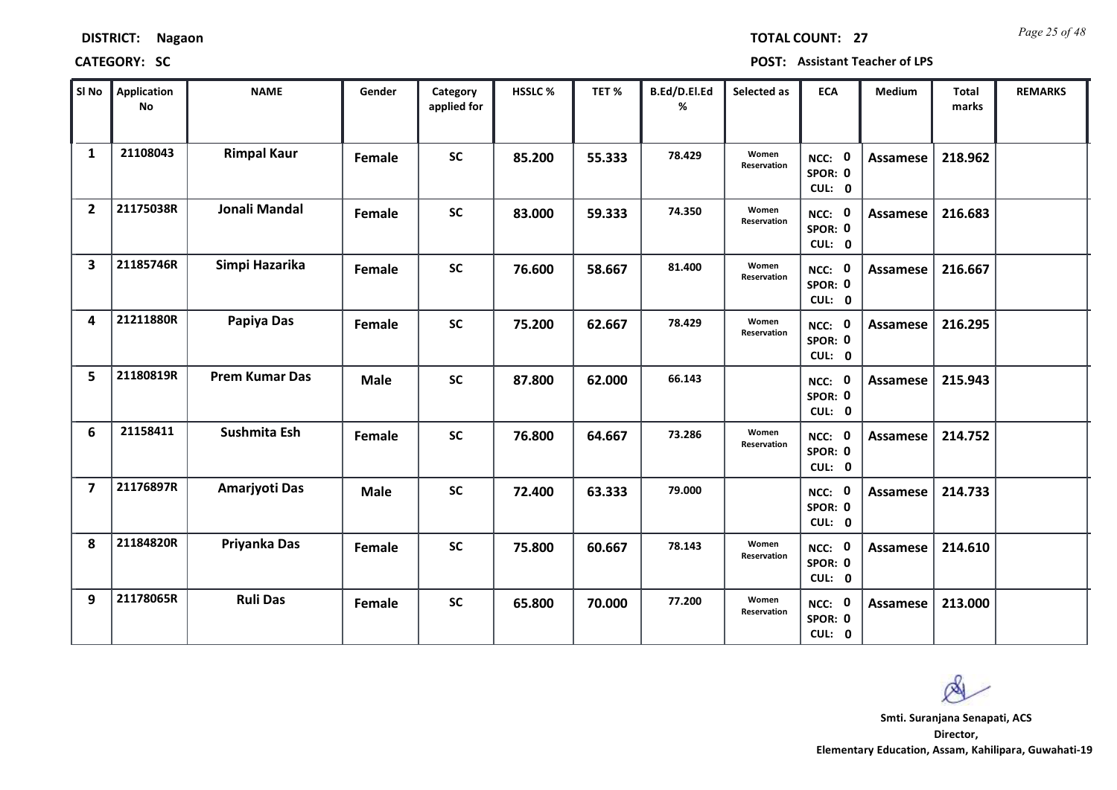| <b>DISTRICT:</b> | <b>Nagaon</b> |
|------------------|---------------|
|------------------|---------------|

*Page 25 of 48* **TOTAL COUNT: 27**

| SI <sub>No</sub>        | Application<br>No | <b>NAME</b>           | Gender      | Category<br>applied for | <b>HSSLC%</b> | TET %  | B.Ed/D.El.Ed<br>% | Selected as                 | <b>ECA</b>                  | <b>Medium</b>   | Total<br>marks | <b>REMARKS</b> |
|-------------------------|-------------------|-----------------------|-------------|-------------------------|---------------|--------|-------------------|-----------------------------|-----------------------------|-----------------|----------------|----------------|
| $\mathbf{1}$            | 21108043          | <b>Rimpal Kaur</b>    | Female      | <b>SC</b>               | 85.200        | 55.333 | 78.429            | Women<br><b>Reservation</b> | NCC: 0<br>SPOR: 0<br>CUL: 0 | <b>Assamese</b> | 218.962        |                |
| $\overline{2}$          | 21175038R         | Jonali Mandal         | Female      | <b>SC</b>               | 83.000        | 59.333 | 74.350            | Women<br>Reservation        | NCC: 0<br>SPOR: 0<br>CUL: 0 | Assamese        | 216.683        |                |
| $\overline{\mathbf{3}}$ | 21185746R         | Simpi Hazarika        | Female      | <b>SC</b>               | 76.600        | 58.667 | 81.400            | Women<br>Reservation        | NCC: 0<br>SPOR: 0<br>CUL: 0 | <b>Assamese</b> | 216.667        |                |
| 4                       | 21211880R         | Papiya Das            | Female      | <b>SC</b>               | 75.200        | 62.667 | 78.429            | Women<br>Reservation        | NCC: 0<br>SPOR: 0<br>CUL: 0 | Assamese        | 216.295        |                |
| 5                       | 21180819R         | <b>Prem Kumar Das</b> | <b>Male</b> | <b>SC</b>               | 87.800        | 62.000 | 66.143            |                             | NCC: 0<br>SPOR: 0<br>CUL: 0 | Assamese        | 215.943        |                |
| 6                       | 21158411          | Sushmita Esh          | Female      | <b>SC</b>               | 76.800        | 64.667 | 73.286            | Women<br>Reservation        | NCC: 0<br>SPOR: 0<br>CUL: 0 | Assamese        | 214.752        |                |
| $\overline{7}$          | 21176897R         | Amarjyoti Das         | <b>Male</b> | <b>SC</b>               | 72.400        | 63.333 | 79.000            |                             | NCC: 0<br>SPOR: 0<br>CUL: 0 | <b>Assamese</b> | 214.733        |                |
| 8                       | 21184820R         | Priyanka Das          | Female      | <b>SC</b>               | 75.800        | 60.667 | 78.143            | Women<br>Reservation        | NCC: 0<br>SPOR: 0<br>CUL: 0 | <b>Assamese</b> | 214.610        |                |
| 9                       | 21178065R         | <b>Ruli Das</b>       | Female      | <b>SC</b>               | 65.800        | 70.000 | 77.200            | Women<br>Reservation        | NCC: 0<br>SPOR: 0<br>CUL: 0 | Assamese        | 213.000        |                |

 $\infty$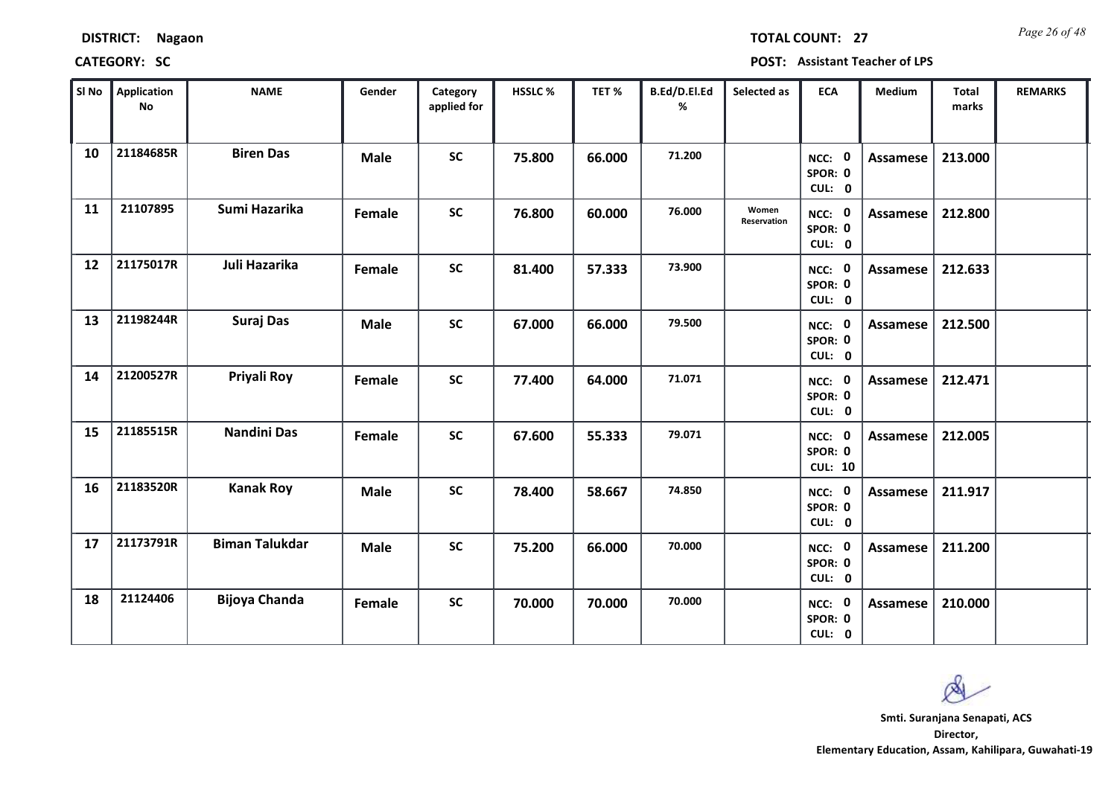| <b>DISTRICT:</b> | Nagaon |
|------------------|--------|
|------------------|--------|

*Page 26 of 48* **TOTAL COUNT: 27**

| SI No | <b>Application</b><br>No | <b>NAME</b>           | Gender      | Category<br>applied for | <b>HSSLC%</b> | TET %  | B.Ed/D.El.Ed<br>% | Selected as                 | <b>ECA</b>                          | Medium          | Total<br>marks | <b>REMARKS</b> |
|-------|--------------------------|-----------------------|-------------|-------------------------|---------------|--------|-------------------|-----------------------------|-------------------------------------|-----------------|----------------|----------------|
| 10    | 21184685R                | <b>Biren Das</b>      | <b>Male</b> | <b>SC</b>               | 75.800        | 66.000 | 71.200            |                             | NCC: 0<br>SPOR: 0<br>CUL: 0         | <b>Assamese</b> | 213.000        |                |
| 11    | 21107895                 | Sumi Hazarika         | Female      | <b>SC</b>               | 76.800        | 60.000 | 76.000            | Women<br><b>Reservation</b> | NCC: 0<br>SPOR: 0<br>CUL: 0         | Assamese        | 212.800        |                |
| 12    | 21175017R                | Juli Hazarika         | Female      | <b>SC</b>               | 81.400        | 57.333 | 73.900            |                             | NCC: 0<br>SPOR: 0<br>CUL: 0         | <b>Assamese</b> | 212.633        |                |
| 13    | 21198244R                | <b>Suraj Das</b>      | <b>Male</b> | <b>SC</b>               | 67.000        | 66.000 | 79.500            |                             | 0<br>NCC:<br>SPOR: 0<br>CUL: 0      | Assamese        | 212.500        |                |
| 14    | 21200527R                | Priyali Roy           | Female      | <b>SC</b>               | 77.400        | 64.000 | 71.071            |                             | NCC: 0<br>SPOR: 0<br>CUL: 0         | Assamese        | 212.471        |                |
| 15    | 21185515R                | <b>Nandini Das</b>    | Female      | <b>SC</b>               | 67.600        | 55.333 | 79.071            |                             | NCC: 0<br>SPOR: 0<br><b>CUL: 10</b> | Assamese        | 212.005        |                |
| 16    | 21183520R                | <b>Kanak Roy</b>      | <b>Male</b> | <b>SC</b>               | 78.400        | 58.667 | 74.850            |                             | NCC: 0<br>SPOR: 0<br>CUL: 0         | Assamese        | 211.917        |                |
| 17    | 21173791R                | <b>Biman Talukdar</b> | <b>Male</b> | <b>SC</b>               | 75.200        | 66.000 | 70.000            |                             | NCC: 0<br>SPOR: 0<br>CUL: 0         | <b>Assamese</b> | 211.200        |                |
| 18    | 21124406                 | <b>Bijoya Chanda</b>  | Female      | <b>SC</b>               | 70.000        | 70.000 | 70.000            |                             | NCC: 0<br>SPOR: 0<br>CUL: 0         | Assamese        | 210.000        |                |

 $\infty$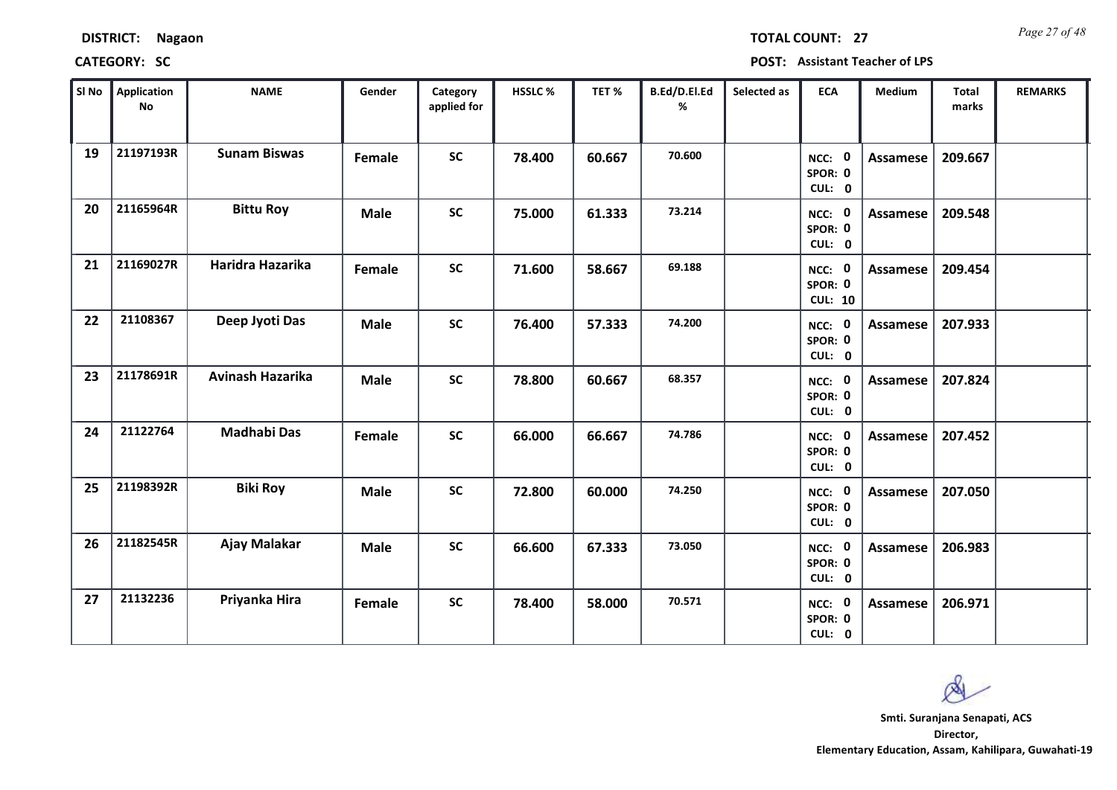*Page 27 of 48* **TOTAL COUNT: 27**

| SI No | <b>Application</b><br><b>No</b> | <b>NAME</b>         | Gender      | Category<br>applied for | <b>HSSLC %</b> | TET %  | B.Ed/D.El.Ed<br>% | Selected as | <b>ECA</b>                          | <b>Medium</b> | Total<br>marks | <b>REMARKS</b> |
|-------|---------------------------------|---------------------|-------------|-------------------------|----------------|--------|-------------------|-------------|-------------------------------------|---------------|----------------|----------------|
| 19    | 21197193R                       | <b>Sunam Biswas</b> | Female      | <b>SC</b>               | 78.400         | 60.667 | 70.600            |             | NCC: 0<br>SPOR: 0<br>CUL: 0         | Assamese      | 209.667        |                |
| 20    | 21165964R                       | <b>Bittu Roy</b>    | <b>Male</b> | <b>SC</b>               | 75.000         | 61.333 | 73.214            |             | NCC: 0<br>SPOR: 0<br>CUL: 0         | Assamese      | 209.548        |                |
| 21    | 21169027R                       | Haridra Hazarika    | Female      | <b>SC</b>               | 71.600         | 58.667 | 69.188            |             | NCC: 0<br>SPOR: 0<br><b>CUL: 10</b> | Assamese      | 209.454        |                |
| 22    | 21108367                        | Deep Jyoti Das      | <b>Male</b> | <b>SC</b>               | 76.400         | 57.333 | 74.200            |             | NCC: 0<br>SPOR: 0<br>CUL: 0         | Assamese      | 207.933        |                |
| 23    | 21178691R                       | Avinash Hazarika    | <b>Male</b> | <b>SC</b>               | 78.800         | 60.667 | 68.357            |             | NCC: 0<br>SPOR: 0<br>CUL: 0         | Assamese      | 207.824        |                |
| 24    | 21122764                        | <b>Madhabi Das</b>  | Female      | <b>SC</b>               | 66.000         | 66.667 | 74.786            |             | NCC: 0<br>SPOR: 0<br>CUL: 0         | Assamese      | 207.452        |                |
| 25    | 21198392R                       | <b>Biki Roy</b>     | <b>Male</b> | <b>SC</b>               | 72.800         | 60.000 | 74.250            |             | NCC: 0<br>SPOR: 0<br>CUL: 0         | Assamese      | 207.050        |                |
| 26    | 21182545R                       | Ajay Malakar        | <b>Male</b> | <b>SC</b>               | 66.600         | 67.333 | 73.050            |             | NCC: 0<br>SPOR: 0<br>CUL: 0         | Assamese      | 206.983        |                |
| 27    | 21132236                        | Priyanka Hira       | Female      | <b>SC</b>               | 78.400         | 58.000 | 70.571            |             | NCC: 0<br>SPOR: 0<br>CUL: 0         | Assamese      | 206.971        |                |

 $\infty$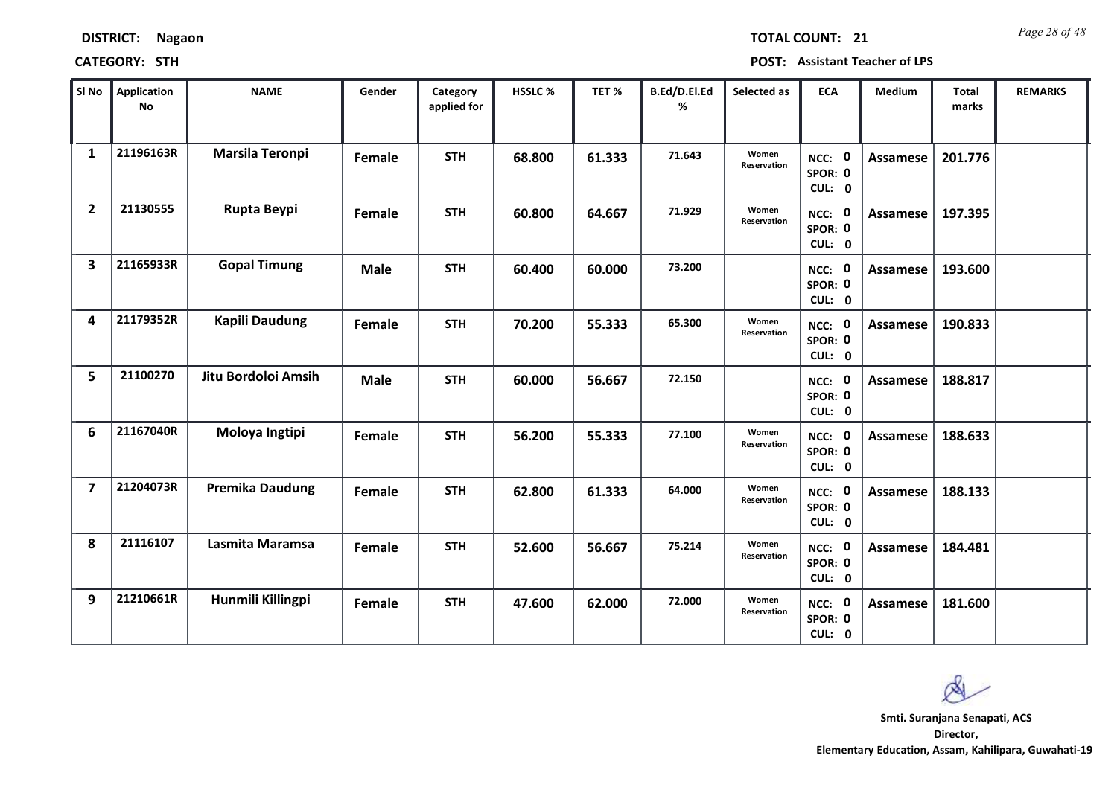| <b>DISTRICT:</b> | <b>Nagaon</b> |
|------------------|---------------|
|------------------|---------------|

*Page 28 of 48* **TOTAL COUNT: 21**

| SI No                   | <b>Application</b><br><b>No</b> | <b>NAME</b>            | Gender      | Category<br>applied for | HSSLC % | TET %  | B.Ed/D.El.Ed<br>% | Selected as          | <b>ECA</b>                  | <b>Medium</b>   | <b>Total</b><br>marks | <b>REMARKS</b> |
|-------------------------|---------------------------------|------------------------|-------------|-------------------------|---------|--------|-------------------|----------------------|-----------------------------|-----------------|-----------------------|----------------|
| 1                       | 21196163R                       | Marsila Teronpi        | Female      | <b>STH</b>              | 68.800  | 61.333 | 71.643            | Women<br>Reservation | NCC: 0<br>SPOR: 0<br>CUL: 0 | <b>Assamese</b> | 201.776               |                |
| $\overline{2}$          | 21130555                        | Rupta Beypi            | Female      | <b>STH</b>              | 60.800  | 64.667 | 71.929            | Women<br>Reservation | NCC: 0<br>SPOR: 0<br>CUL: 0 | <b>Assamese</b> | 197.395               |                |
| $\overline{\mathbf{3}}$ | 21165933R                       | <b>Gopal Timung</b>    | <b>Male</b> | <b>STH</b>              | 60.400  | 60.000 | 73.200            |                      | NCC: 0<br>SPOR: 0<br>CUL: 0 | <b>Assamese</b> | 193.600               |                |
| 4                       | 21179352R                       | <b>Kapili Daudung</b>  | Female      | <b>STH</b>              | 70.200  | 55.333 | 65.300            | Women<br>Reservation | NCC: 0<br>SPOR: 0<br>CUL: 0 | <b>Assamese</b> | 190.833               |                |
| 5                       | 21100270                        | Jitu Bordoloi Amsih    | <b>Male</b> | <b>STH</b>              | 60.000  | 56.667 | 72.150            |                      | NCC: 0<br>SPOR: 0<br>CUL: 0 | <b>Assamese</b> | 188.817               |                |
| 6                       | 21167040R                       | Moloya Ingtipi         | Female      | <b>STH</b>              | 56.200  | 55.333 | 77.100            | Women<br>Reservation | NCC: 0<br>SPOR: 0<br>CUL: 0 | <b>Assamese</b> | 188.633               |                |
| $\overline{\mathbf{z}}$ | 21204073R                       | <b>Premika Daudung</b> | Female      | <b>STH</b>              | 62.800  | 61.333 | 64.000            | Women<br>Reservation | NCC: 0<br>SPOR: 0<br>CUL: 0 | Assamese        | 188.133               |                |
| 8                       | 21116107                        | Lasmita Maramsa        | Female      | <b>STH</b>              | 52.600  | 56.667 | 75.214            | Women<br>Reservation | NCC: 0<br>SPOR: 0<br>CUL: 0 | <b>Assamese</b> | 184.481               |                |
| 9                       | 21210661R                       | Hunmili Killingpi      | Female      | <b>STH</b>              | 47.600  | 62.000 | 72.000            | Women<br>Reservation | NCC: 0<br>SPOR: 0<br>CUL: 0 | Assamese        | 181.600               |                |

 $\infty$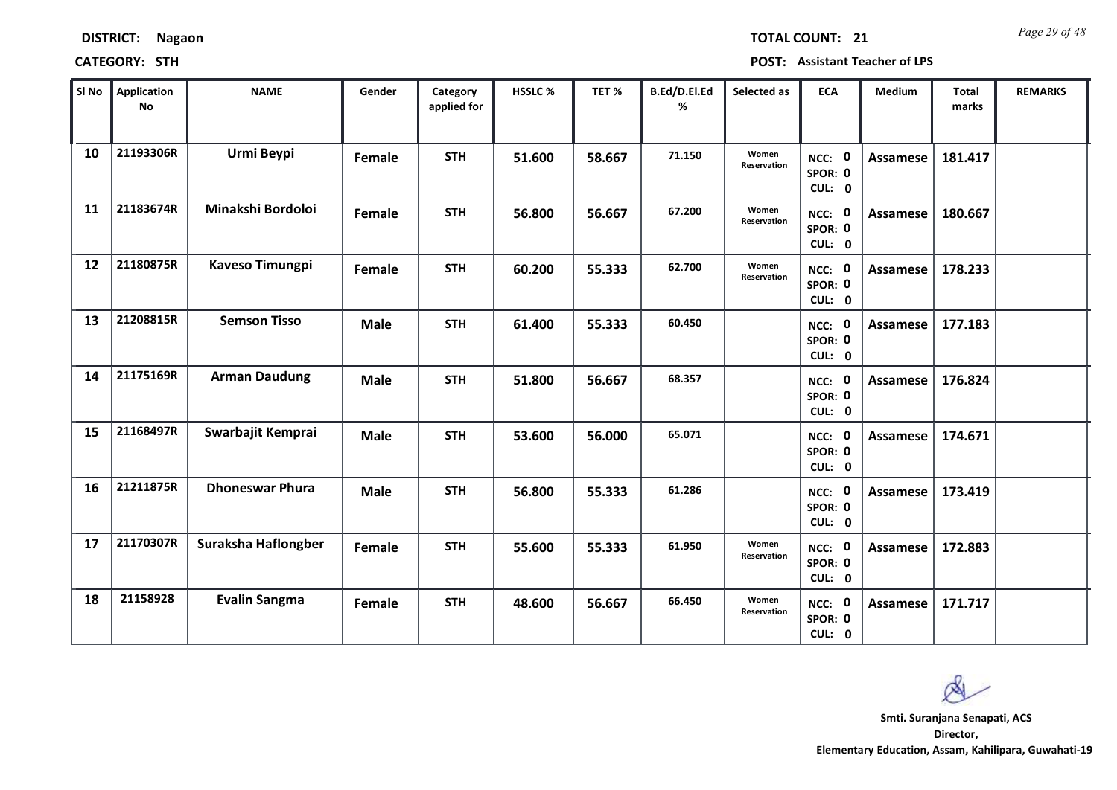|    | SI No $\parallel$ Application<br><b>No</b> | <b>NAME</b>            | Gender      | Category<br>applied for | HSSLC% | TET %  | B.Ed/D.El.Ed<br>% | Selected as                 | <b>ECA</b>                  | Medium          | Total<br>marks | <b>REMARKS</b> |
|----|--------------------------------------------|------------------------|-------------|-------------------------|--------|--------|-------------------|-----------------------------|-----------------------------|-----------------|----------------|----------------|
| 10 | 21193306R                                  | Urmi Beypi             | Female      | <b>STH</b>              | 51.600 | 58.667 | 71.150            | Women<br><b>Reservation</b> | NCC: 0<br>SPOR: 0<br>CUL: 0 | Assamese        | 181.417        |                |
| 11 | 21183674R                                  | Minakshi Bordoloi      | Female      | <b>STH</b>              | 56.800 | 56.667 | 67.200            | Women<br>Reservation        | NCC: 0<br>SPOR: 0<br>CUL: 0 | <b>Assamese</b> | 180.667        |                |
| 12 | 21180875R                                  | <b>Kaveso Timungpi</b> | Female      | <b>STH</b>              | 60.200 | 55.333 | 62.700            | Women<br>Reservation        | NCC: 0<br>SPOR: 0<br>CUL: 0 | Assamese        | 178.233        |                |
| 13 | 21208815R                                  | <b>Semson Tisso</b>    | <b>Male</b> | <b>STH</b>              | 61.400 | 55.333 | 60.450            |                             | NCC: 0<br>SPOR: 0<br>CUL: 0 | <b>Assamese</b> | 177.183        |                |
| 14 | 21175169R                                  | <b>Arman Daudung</b>   | <b>Male</b> | <b>STH</b>              | 51.800 | 56.667 | 68.357            |                             | NCC: 0<br>SPOR: 0<br>CUL: 0 | <b>Assamese</b> | 176.824        |                |
| 15 | 21168497R                                  | Swarbajit Kemprai      | <b>Male</b> | <b>STH</b>              | 53.600 | 56.000 | 65.071            |                             | NCC: 0<br>SPOR: 0<br>CUL: 0 | Assamese        | 174.671        |                |
| 16 | 21211875R                                  | <b>Dhoneswar Phura</b> | <b>Male</b> | <b>STH</b>              | 56.800 | 55.333 | 61.286            |                             | NCC: 0<br>SPOR: 0<br>CUL: 0 | Assamese        | 173.419        |                |
| 17 | 21170307R                                  | Suraksha Haflongber    | Female      | <b>STH</b>              | 55.600 | 55.333 | 61.950            | Women<br>Reservation        | NCC: 0<br>SPOR: 0<br>CUL: 0 | Assamese        | 172.883        |                |
| 18 | 21158928                                   | <b>Evalin Sangma</b>   | Female      | <b>STH</b>              | 48.600 | 56.667 | 66.450            | Women<br>Reservation        | NCC: 0<br>SPOR: 0<br>CUL: 0 | Assamese        | 171.717        |                |

**CATEGORY: STH POST: Assistant Teacher of LPS**

**DISTRICT: Nagaon**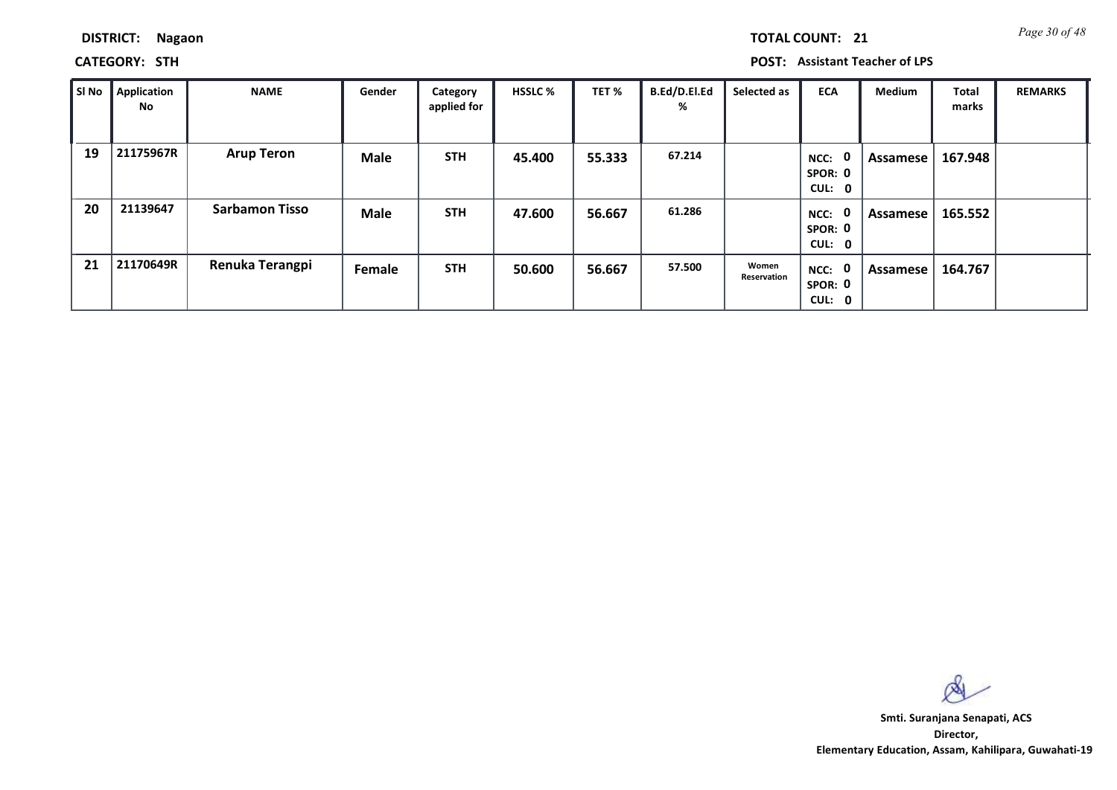| <b>TOTAL COUNT:</b> | $\mathbf{2}$ |
|---------------------|--------------|
|---------------------|--------------|

**CATEGORY: STH POST: Assistant Teacher of LPS**

| SI No | <b>Application</b><br>No | <b>NAME</b>           | Gender      | Category<br>applied for | <b>HSSLC %</b> | TET %  | B.Ed/D.El.Ed<br>% | Selected as          | <b>ECA</b>                       | <b>Medium</b> | Total<br>marks | <b>REMARKS</b> |
|-------|--------------------------|-----------------------|-------------|-------------------------|----------------|--------|-------------------|----------------------|----------------------------------|---------------|----------------|----------------|
| 19    | 21175967R                | <b>Arup Teron</b>     | <b>Male</b> | <b>STH</b>              | 45.400         | 55.333 | 67.214            |                      | - 0<br>NCC:<br>SPOR: 0<br>CUL: 0 | Assamese      | 167.948        |                |
| 20    | 21139647                 | <b>Sarbamon Tisso</b> | <b>Male</b> | <b>STH</b>              | 47.600         | 56.667 | 61.286            |                      | 0<br>NCC:<br>SPOR: 0<br>CUL: 0   | Assamese      | 165.552        |                |
| 21    | 21170649R                | Renuka Terangpi       | Female      | <b>STH</b>              | 50.600         | 56.667 | 57.500            | Women<br>Reservation | - 0<br>NCC:<br>SPOR: 0<br>CUL: 0 | Assamese      | 164.767        |                |

 $\infty$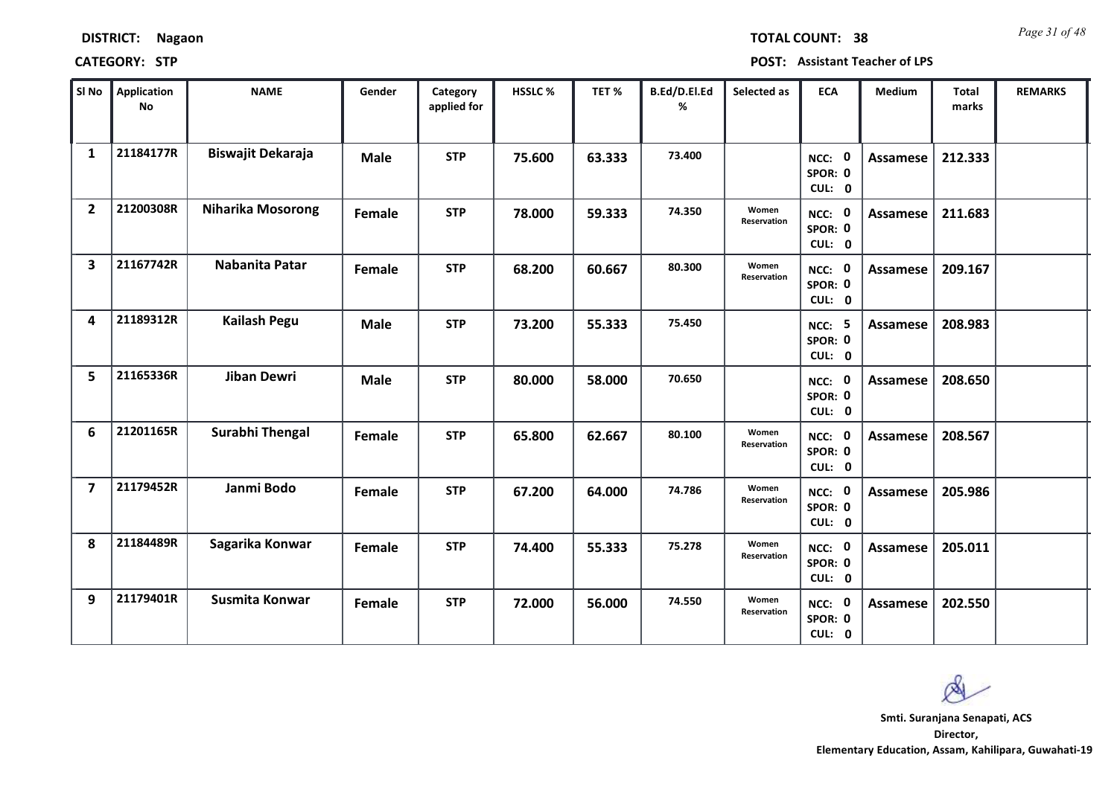| <b>DISTRICT:</b> | <b>Nagaon</b> |
|------------------|---------------|
|------------------|---------------|

*Page 31 of 48* **TOTAL COUNT: 38**

| SI No                   | Application<br>No | <b>NAME</b>              | Gender      | Category<br>applied for | <b>HSSLC%</b> | TET %  | B.Ed/D.El.Ed<br>% | Selected as          | <b>ECA</b>                         | <b>Medium</b>   | <b>Total</b><br>marks | <b>REMARKS</b> |
|-------------------------|-------------------|--------------------------|-------------|-------------------------|---------------|--------|-------------------|----------------------|------------------------------------|-----------------|-----------------------|----------------|
| $\mathbf{1}$            | 21184177R         | Biswajit Dekaraja        | <b>Male</b> | <b>STP</b>              | 75.600        | 63.333 | 73.400            |                      | NCC: 0<br>SPOR: 0<br>CUL: 0        | Assamese        | 212.333               |                |
| $\overline{2}$          | 21200308R         | <b>Niharika Mosorong</b> | Female      | <b>STP</b>              | 78.000        | 59.333 | 74.350            | Women<br>Reservation | NCC: 0<br>SPOR: 0<br>CUL: 0        | Assamese        | 211.683               |                |
| $\overline{\mathbf{3}}$ | 21167742R         | Nabanita Patar           | Female      | <b>STP</b>              | 68.200        | 60.667 | 80.300            | Women<br>Reservation | NCC: 0<br>SPOR: 0<br>CUL: 0        | <b>Assamese</b> | 209.167               |                |
| $\overline{\mathbf{A}}$ | 21189312R         | <b>Kailash Pegu</b>      | <b>Male</b> | <b>STP</b>              | 73.200        | 55.333 | 75.450            |                      | <b>NCC: 5</b><br>SPOR: 0<br>CUL: 0 | Assamese        | 208.983               |                |
| 5                       | 21165336R         | <b>Jiban Dewri</b>       | <b>Male</b> | <b>STP</b>              | 80.000        | 58.000 | 70.650            |                      | NCC: 0<br>SPOR: 0<br>CUL: 0        | <b>Assamese</b> | 208.650               |                |
| 6                       | 21201165R         | <b>Surabhi Thengal</b>   | Female      | <b>STP</b>              | 65.800        | 62.667 | 80.100            | Women<br>Reservation | NCC: 0<br>SPOR: 0<br>CUL: 0        | <b>Assamese</b> | 208.567               |                |
| $\overline{\mathbf{z}}$ | 21179452R         | Janmi Bodo               | Female      | <b>STP</b>              | 67.200        | 64.000 | 74.786            | Women<br>Reservation | NCC: 0<br>SPOR: 0<br>CUL: 0        | Assamese        | 205.986               |                |
| 8                       | 21184489R         | Sagarika Konwar          | Female      | <b>STP</b>              | 74.400        | 55.333 | 75.278            | Women<br>Reservation | NCC: 0<br>SPOR: 0<br>CUL: 0        | <b>Assamese</b> | 205.011               |                |
| 9                       | 21179401R         | Susmita Konwar           | Female      | <b>STP</b>              | 72.000        | 56.000 | 74.550            | Women<br>Reservation | NCC: 0<br>SPOR: 0<br>CUL: 0        | <b>Assamese</b> | 202.550               |                |

 $\infty$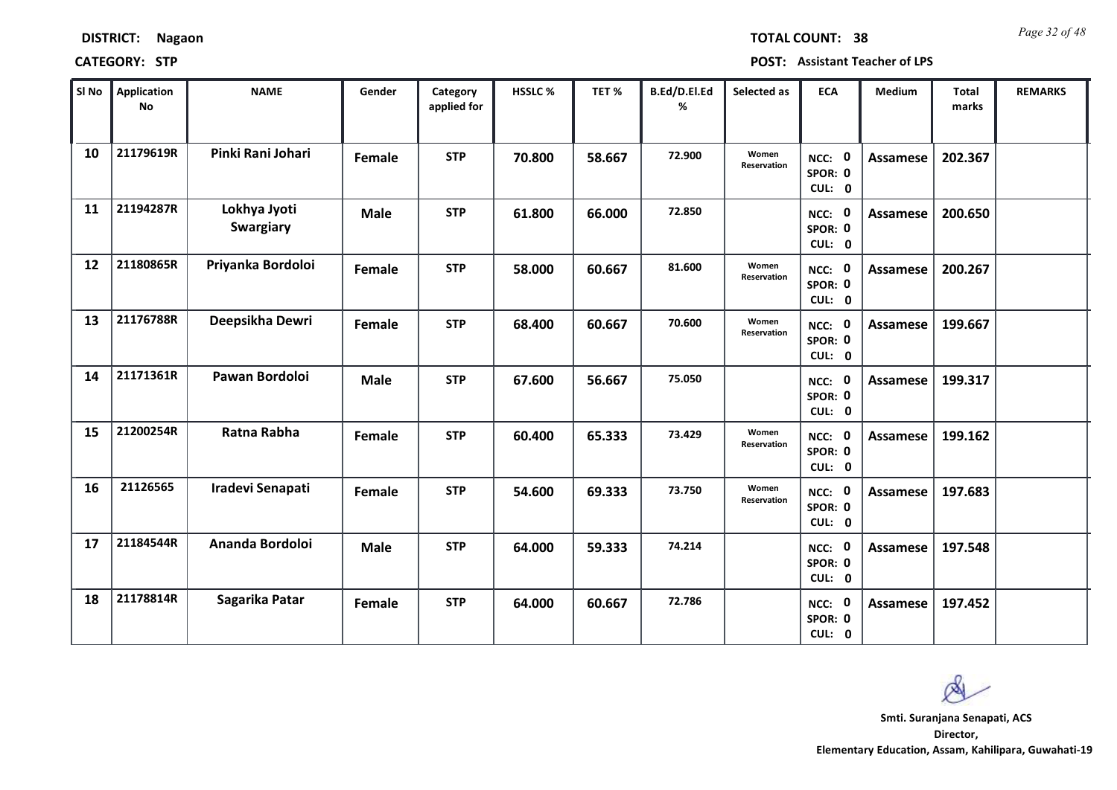| <b>DISTRICT:</b> | <b>Nagaon</b> |
|------------------|---------------|
|------------------|---------------|

*Page 32 of 48* **TOTAL COUNT: 38**

| SI No | <b>Application</b><br>No | <b>NAME</b>                      | Gender      | Category<br>applied for | <b>HSSLC %</b> | TET %  | B.Ed/D.El.Ed<br>% | Selected as          | <b>ECA</b>                  | <b>Medium</b>   | <b>Total</b><br>marks | <b>REMARKS</b> |
|-------|--------------------------|----------------------------------|-------------|-------------------------|----------------|--------|-------------------|----------------------|-----------------------------|-----------------|-----------------------|----------------|
| 10    | 21179619R                | Pinki Rani Johari                | Female      | <b>STP</b>              | 70.800         | 58.667 | 72.900            | Women<br>Reservation | NCC: 0<br>SPOR: 0<br>CUL: 0 | Assamese        | 202.367               |                |
| 11    | 21194287R                | Lokhya Jyoti<br><b>Swargiary</b> | <b>Male</b> | <b>STP</b>              | 61.800         | 66.000 | 72.850            |                      | NCC: 0<br>SPOR: 0<br>CUL: 0 | <b>Assamese</b> | 200.650               |                |
| 12    | 21180865R                | Priyanka Bordoloi                | Female      | <b>STP</b>              | 58.000         | 60.667 | 81.600            | Women<br>Reservation | NCC: 0<br>SPOR: 0<br>CUL: 0 | Assamese        | 200.267               |                |
| 13    | 21176788R                | Deepsikha Dewri                  | Female      | <b>STP</b>              | 68.400         | 60.667 | 70.600            | Women<br>Reservation | NCC: 0<br>SPOR: 0<br>CUL: 0 | Assamese        | 199.667               |                |
| 14    | 21171361R                | Pawan Bordoloi                   | <b>Male</b> | <b>STP</b>              | 67.600         | 56.667 | 75.050            |                      | NCC: 0<br>SPOR: 0<br>CUL: 0 | Assamese        | 199.317               |                |
| 15    | 21200254R                | Ratna Rabha                      | Female      | <b>STP</b>              | 60.400         | 65.333 | 73.429            | Women<br>Reservation | NCC: 0<br>SPOR: 0<br>CUL: 0 | Assamese        | 199.162               |                |
| 16    | 21126565                 | Iradevi Senapati                 | Female      | <b>STP</b>              | 54.600         | 69.333 | 73.750            | Women<br>Reservation | NCC: 0<br>SPOR: 0<br>CUL: 0 | Assamese        | 197.683               |                |
| 17    | 21184544R                | Ananda Bordoloi                  | <b>Male</b> | <b>STP</b>              | 64.000         | 59.333 | 74.214            |                      | NCC: 0<br>SPOR: 0<br>CUL: 0 | <b>Assamese</b> | 197.548               |                |
| 18    | 21178814R                | Sagarika Patar                   | Female      | <b>STP</b>              | 64.000         | 60.667 | 72.786            |                      | NCC: 0<br>SPOR: 0<br>CUL: 0 | Assamese        | 197.452               |                |

 $\infty$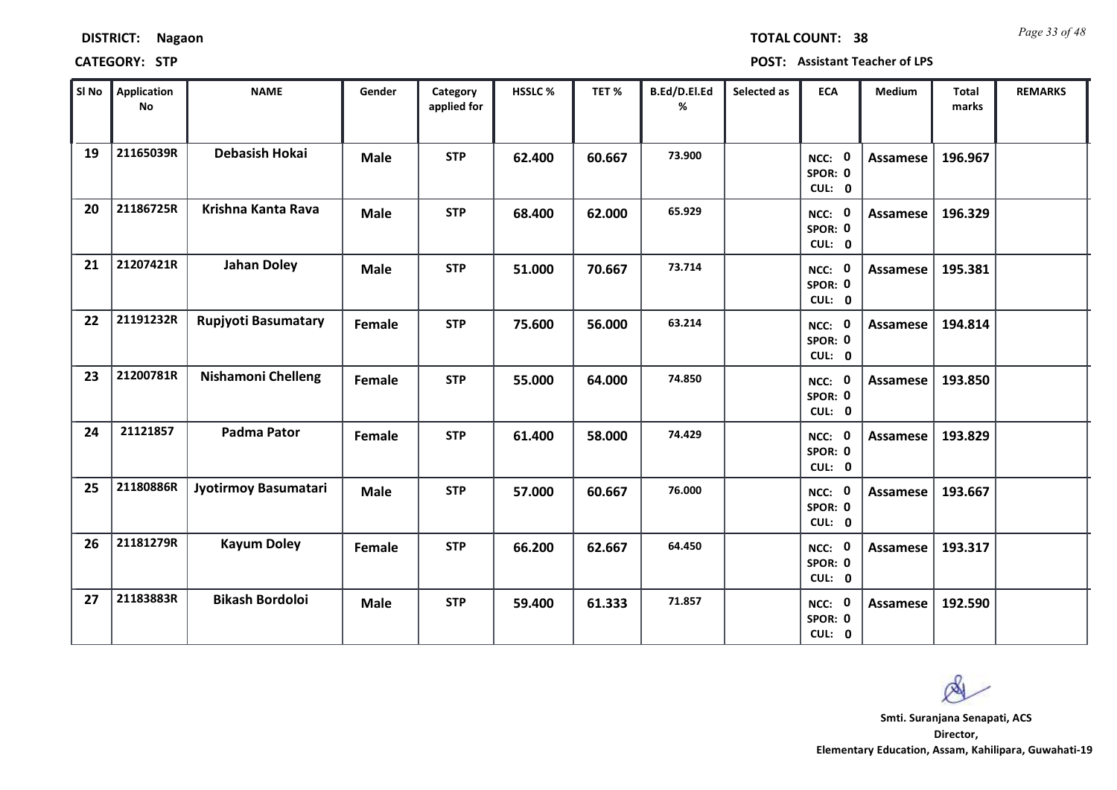| <b>DISTRICT:</b> | <b>Nagaon</b> |
|------------------|---------------|
|------------------|---------------|

*Page 33 of 48* **TOTAL COUNT: 38**

| SI No | Application<br>No | <b>NAME</b>                | Gender      | Category<br>applied for | HSSLC % | TET%   | B.Ed/D.El.Ed<br>% | Selected as | <b>ECA</b>                  | <b>Medium</b>   | <b>Total</b><br>marks | <b>REMARKS</b> |
|-------|-------------------|----------------------------|-------------|-------------------------|---------|--------|-------------------|-------------|-----------------------------|-----------------|-----------------------|----------------|
| 19    | 21165039R         | <b>Debasish Hokai</b>      | <b>Male</b> | <b>STP</b>              | 62.400  | 60.667 | 73.900            |             | NCC: 0<br>SPOR: 0<br>CUL: 0 | <b>Assamese</b> | 196.967               |                |
| 20    | 21186725R         | Krishna Kanta Rava         | <b>Male</b> | <b>STP</b>              | 68.400  | 62.000 | 65.929            |             | NCC: 0<br>SPOR: 0<br>CUL: 0 | <b>Assamese</b> | 196.329               |                |
| 21    | 21207421R         | <b>Jahan Doley</b>         | <b>Male</b> | <b>STP</b>              | 51.000  | 70.667 | 73.714            |             | NCC: 0<br>SPOR: 0<br>CUL: 0 | Assamese        | 195.381               |                |
| 22    | 21191232R         | <b>Rupjyoti Basumatary</b> | Female      | <b>STP</b>              | 75.600  | 56.000 | 63.214            |             | NCC: 0<br>SPOR: 0<br>CUL: 0 | Assamese        | 194.814               |                |
| 23    | 21200781R         | Nishamoni Chelleng         | Female      | <b>STP</b>              | 55.000  | 64.000 | 74.850            |             | NCC: 0<br>SPOR: 0<br>CUL: 0 | <b>Assamese</b> | 193.850               |                |
| 24    | 21121857          | <b>Padma Pator</b>         | Female      | <b>STP</b>              | 61.400  | 58.000 | 74.429            |             | NCC: 0<br>SPOR: 0<br>CUL: 0 | <b>Assamese</b> | 193.829               |                |
| 25    | 21180886R         | Jyotirmoy Basumatari       | <b>Male</b> | <b>STP</b>              | 57.000  | 60.667 | 76.000            |             | NCC: 0<br>SPOR: 0<br>CUL: 0 | Assamese        | 193.667               |                |
| 26    | 21181279R         | <b>Kayum Doley</b>         | Female      | <b>STP</b>              | 66.200  | 62.667 | 64.450            |             | NCC: 0<br>SPOR: 0<br>CUL: 0 | <b>Assamese</b> | 193.317               |                |
| 27    | 21183883R         | <b>Bikash Bordoloi</b>     | <b>Male</b> | <b>STP</b>              | 59.400  | 61.333 | 71.857            |             | NCC: 0<br>SPOR: 0<br>CUL: 0 | Assamese        | 192.590               |                |

 $\infty$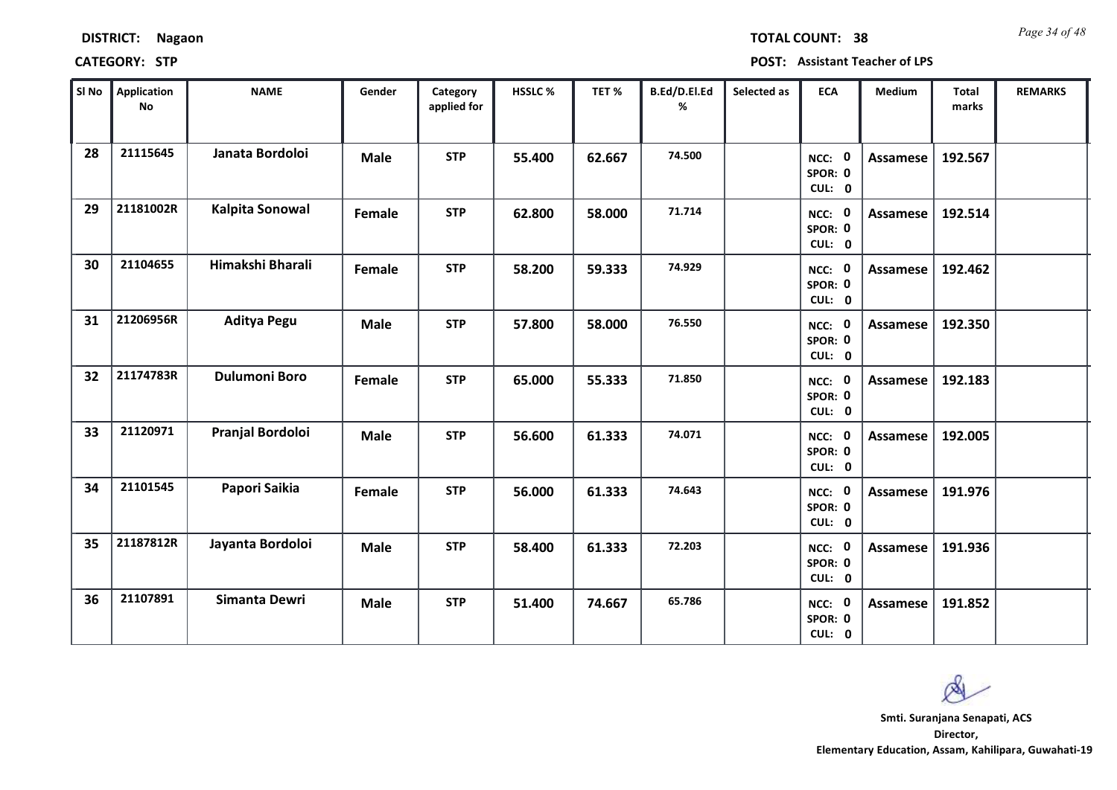| <b>DISTRICT:</b> | <b>Nagaon</b> |
|------------------|---------------|
|------------------|---------------|

*Page 34 of 48* **TOTAL COUNT: 38**

| SI No | <b>Application</b><br>No | <b>NAME</b>          | Gender      | Category<br>applied for | <b>HSSLC %</b> | TET %  | B.Ed/D.El.Ed<br>% | Selected as | <b>ECA</b>                  | <b>Medium</b>   | <b>Total</b><br>marks | <b>REMARKS</b> |
|-------|--------------------------|----------------------|-------------|-------------------------|----------------|--------|-------------------|-------------|-----------------------------|-----------------|-----------------------|----------------|
| 28    | 21115645                 | Janata Bordoloi      | <b>Male</b> | <b>STP</b>              | 55.400         | 62.667 | 74.500            |             | NCC: 0<br>SPOR: 0<br>CUL: 0 | Assamese        | 192.567               |                |
| 29    | 21181002R                | Kalpita Sonowal      | Female      | <b>STP</b>              | 62.800         | 58.000 | 71.714            |             | NCC: 0<br>SPOR: 0<br>CUL: 0 | Assamese        | 192.514               |                |
| 30    | 21104655                 | Himakshi Bharali     | Female      | <b>STP</b>              | 58.200         | 59.333 | 74.929            |             | NCC: 0<br>SPOR: 0<br>CUL: 0 | Assamese        | 192.462               |                |
| 31    | 21206956R                | <b>Aditya Pegu</b>   | <b>Male</b> | <b>STP</b>              | 57.800         | 58.000 | 76.550            |             | NCC: 0<br>SPOR: 0<br>CUL: 0 | Assamese        | 192.350               |                |
| 32    | 21174783R                | <b>Dulumoni Boro</b> | Female      | <b>STP</b>              | 65.000         | 55.333 | 71.850            |             | NCC: 0<br>SPOR: 0<br>CUL: 0 | Assamese        | 192.183               |                |
| 33    | 21120971                 | Pranjal Bordoloi     | <b>Male</b> | <b>STP</b>              | 56.600         | 61.333 | 74.071            |             | NCC: 0<br>SPOR: 0<br>CUL: 0 | Assamese        | 192.005               |                |
| 34    | 21101545                 | Papori Saikia        | Female      | <b>STP</b>              | 56.000         | 61.333 | 74.643            |             | NCC: 0<br>SPOR: 0<br>CUL: 0 | Assamese        | 191.976               |                |
| 35    | 21187812R                | Jayanta Bordoloi     | <b>Male</b> | <b>STP</b>              | 58.400         | 61.333 | 72.203            |             | NCC: 0<br>SPOR: 0<br>CUL: 0 | <b>Assamese</b> | 191.936               |                |
| 36    | 21107891                 | Simanta Dewri        | <b>Male</b> | <b>STP</b>              | 51.400         | 74.667 | 65.786            |             | NCC: 0<br>SPOR: 0<br>CUL: 0 | Assamese        | 191.852               |                |

 $\infty$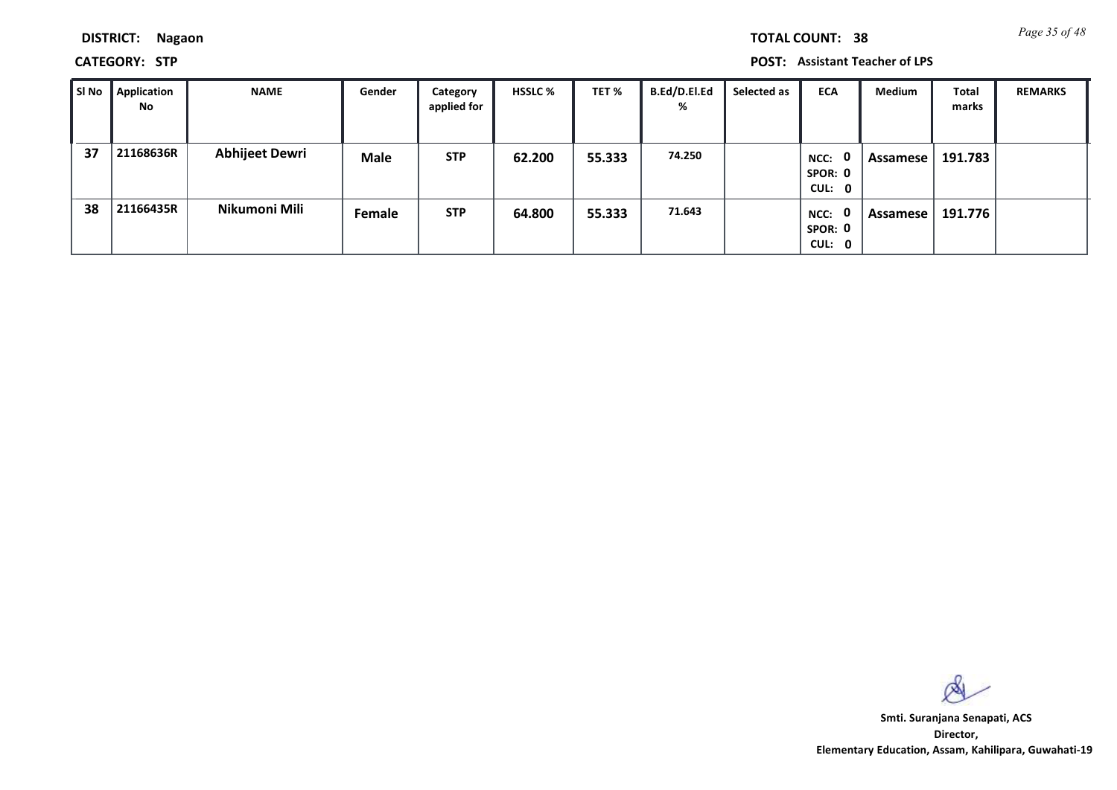**CATEGORY: STP POST: Assistant Teacher of LPS**

| SI No | Application<br>No | <b>NAME</b>           | Gender      | Category<br>applied for | <b>HSSLC %</b> | TET %  | <b>B.Ed/D.El.Ed</b><br>% | Selected as | <b>ECA</b>                       | Medium   | Total<br>marks | <b>REMARKS</b> |
|-------|-------------------|-----------------------|-------------|-------------------------|----------------|--------|--------------------------|-------------|----------------------------------|----------|----------------|----------------|
| 37    | 21168636R         | <b>Abhijeet Dewri</b> | <b>Male</b> | <b>STP</b>              | 62.200         | 55.333 | 74.250                   |             | - 0<br>NCC:<br>SPOR: 0<br>CUL: 0 | Assamese | 191.783        |                |
| 38    | 21166435R         | Nikumoni Mili         | Female      | <b>STP</b>              | 64.800         | 55.333 | 71.643                   |             | 0<br>NCC:<br>SPOR: 0<br>CUL: 0   | Assamese | 191.776        |                |

 $\infty$ 

**Director, Elementary Education, Assam, Kahilipara, Guwahati-19 Smti. Suranjana Senapati, ACS**

*Page 35 of 48* **TOTAL COUNT: 38**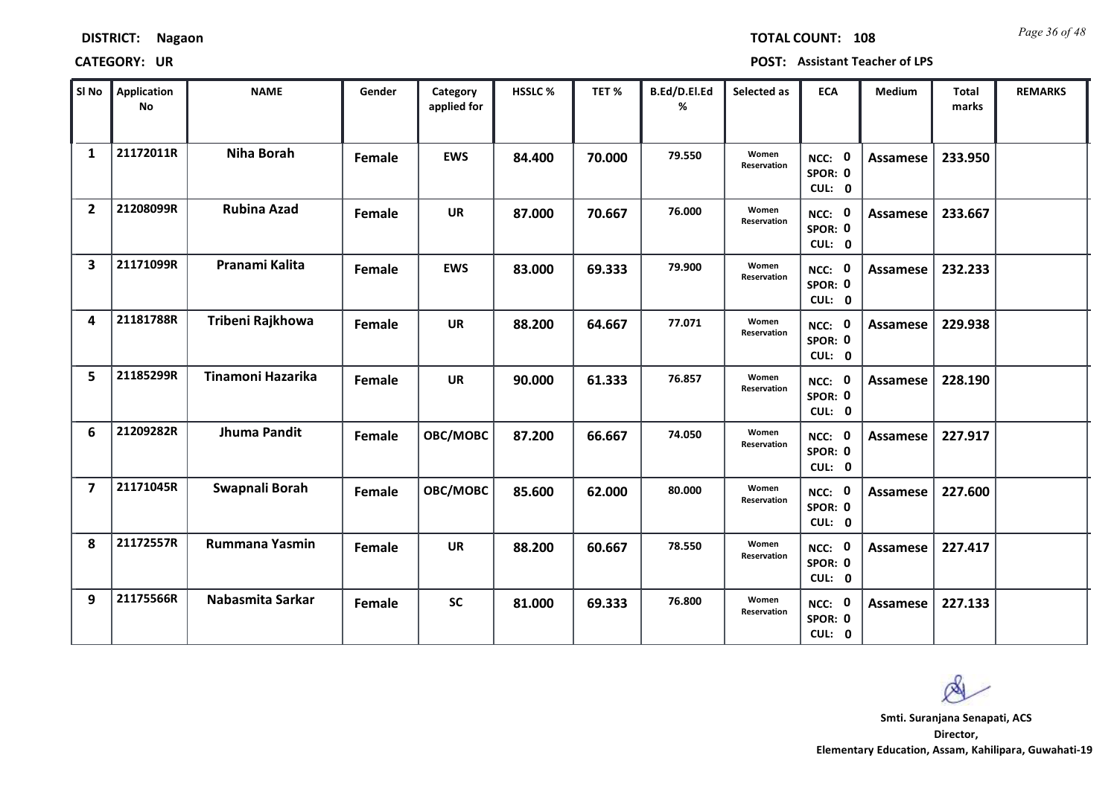| <b>DISTRICT:</b> | <b>Nagaon</b> |
|------------------|---------------|
|------------------|---------------|

*Page 36 of 48* **TOTAL COUNT: 108**

| SI No                   | <b>Application</b><br>No | <b>NAME</b>           | Gender | Category<br>applied for | <b>HSSLC %</b> | TET %  | B.Ed/D.El.Ed<br>% | Selected as          | <b>ECA</b>                  | <b>Medium</b> | <b>Total</b><br>marks | <b>REMARKS</b> |
|-------------------------|--------------------------|-----------------------|--------|-------------------------|----------------|--------|-------------------|----------------------|-----------------------------|---------------|-----------------------|----------------|
| $\mathbf{1}$            | 21172011R                | <b>Niha Borah</b>     | Female | <b>EWS</b>              | 84.400         | 70.000 | 79.550            | Women<br>Reservation | NCC: 0<br>SPOR: 0<br>CUL: 0 | Assamese      | 233.950               |                |
| $\overline{2}$          | 21208099R                | <b>Rubina Azad</b>    | Female | <b>UR</b>               | 87.000         | 70.667 | 76.000            | Women<br>Reservation | NCC: 0<br>SPOR: 0<br>CUL: 0 | Assamese      | 233.667               |                |
| $\overline{\mathbf{3}}$ | 21171099R                | Pranami Kalita        | Female | <b>EWS</b>              | 83.000         | 69.333 | 79.900            | Women<br>Reservation | NCC: 0<br>SPOR: 0<br>CUL: 0 | Assamese      | 232.233               |                |
| 4                       | 21181788R                | Tribeni Rajkhowa      | Female | <b>UR</b>               | 88.200         | 64.667 | 77.071            | Women<br>Reservation | NCC: 0<br>SPOR: 0<br>CUL: 0 | Assamese      | 229.938               |                |
| 5                       | 21185299R                | Tinamoni Hazarika     | Female | <b>UR</b>               | 90.000         | 61.333 | 76.857            | Women<br>Reservation | NCC: 0<br>SPOR: 0<br>CUL: 0 | Assamese      | 228.190               |                |
| 6                       | 21209282R                | <b>Jhuma Pandit</b>   | Female | OBC/MOBC                | 87.200         | 66.667 | 74.050            | Women<br>Reservation | NCC: 0<br>SPOR: 0<br>CUL: 0 | Assamese      | 227.917               |                |
| $\overline{\mathbf{z}}$ | 21171045R                | Swapnali Borah        | Female | OBC/MOBC                | 85.600         | 62.000 | 80.000            | Women<br>Reservation | NCC: 0<br>SPOR: 0<br>CUL: 0 | Assamese      | 227.600               |                |
| 8                       | 21172557R                | <b>Rummana Yasmin</b> | Female | <b>UR</b>               | 88.200         | 60.667 | 78.550            | Women<br>Reservation | NCC: 0<br>SPOR: 0<br>CUL: 0 | Assamese      | 227.417               |                |
| 9                       | 21175566R                | Nabasmita Sarkar      | Female | <b>SC</b>               | 81.000         | 69.333 | 76.800            | Women<br>Reservation | NCC: 0<br>SPOR: 0<br>CUL: 0 | Assamese      | 227.133               |                |

 $\infty$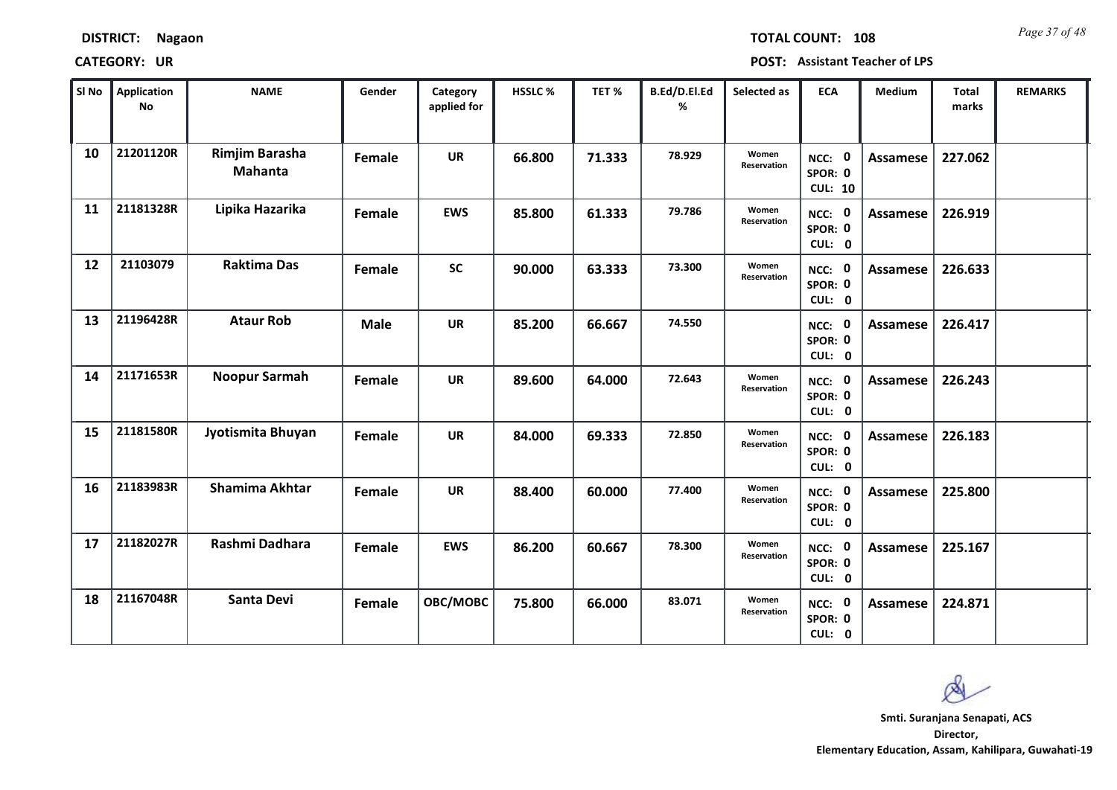*Page 37 of 48* **TOTAL COUNT: 108**

| SI No | <b>Application</b><br>No | <b>NAME</b>                      | Gender      | Category<br>applied for | HSSLC % | TET %  | B.Ed/D.El.Ed<br>% | Selected as          | <b>ECA</b>                          | <b>Medium</b>   | Total<br>marks | <b>REMARKS</b> |
|-------|--------------------------|----------------------------------|-------------|-------------------------|---------|--------|-------------------|----------------------|-------------------------------------|-----------------|----------------|----------------|
| 10    | 21201120R                | Rimjim Barasha<br><b>Mahanta</b> | Female      | <b>UR</b>               | 66.800  | 71.333 | 78.929            | Women<br>Reservation | NCC: 0<br>SPOR: 0<br><b>CUL: 10</b> | <b>Assamese</b> | 227.062        |                |
| 11    | 21181328R                | Lipika Hazarika                  | Female      | <b>EWS</b>              | 85.800  | 61.333 | 79.786            | Women<br>Reservation | NCC: 0<br>SPOR: 0<br>CUL: 0         | Assamese        | 226.919        |                |
| 12    | 21103079                 | <b>Raktima Das</b>               | Female      | <b>SC</b>               | 90.000  | 63.333 | 73.300            | Women<br>Reservation | NCC: 0<br>SPOR: 0<br>CUL: 0         | Assamese        | 226.633        |                |
| 13    | 21196428R                | <b>Ataur Rob</b>                 | <b>Male</b> | <b>UR</b>               | 85.200  | 66.667 | 74.550            |                      | NCC: 0<br>SPOR: 0<br>CUL: 0         | Assamese        | 226.417        |                |
| 14    | 21171653R                | Noopur Sarmah                    | Female      | <b>UR</b>               | 89.600  | 64.000 | 72.643            | Women<br>Reservation | NCC: 0<br>SPOR: 0<br>CUL: 0         | <b>Assamese</b> | 226.243        |                |
| 15    | 21181580R                | Jyotismita Bhuyan                | Female      | <b>UR</b>               | 84.000  | 69.333 | 72.850            | Women<br>Reservation | NCC: 0<br>SPOR: 0<br>CUL: 0         | Assamese        | 226.183        |                |
| 16    | 21183983R                | Shamima Akhtar                   | Female      | <b>UR</b>               | 88.400  | 60.000 | 77.400            | Women<br>Reservation | NCC: 0<br>SPOR: 0<br>CUL: 0         | Assamese        | 225.800        |                |
| 17    | 21182027R                | Rashmi Dadhara                   | Female      | <b>EWS</b>              | 86.200  | 60.667 | 78.300            | Women<br>Reservation | NCC: 0<br>SPOR: 0<br>CUL: 0         | <b>Assamese</b> | 225.167        |                |
| 18    | 21167048R                | <b>Santa Devi</b>                | Female      | OBC/MOBC                | 75.800  | 66.000 | 83.071            | Women<br>Reservation | NCC: 0<br>SPOR: 0<br>CUL: 0         | Assamese        | 224.871        |                |

Ø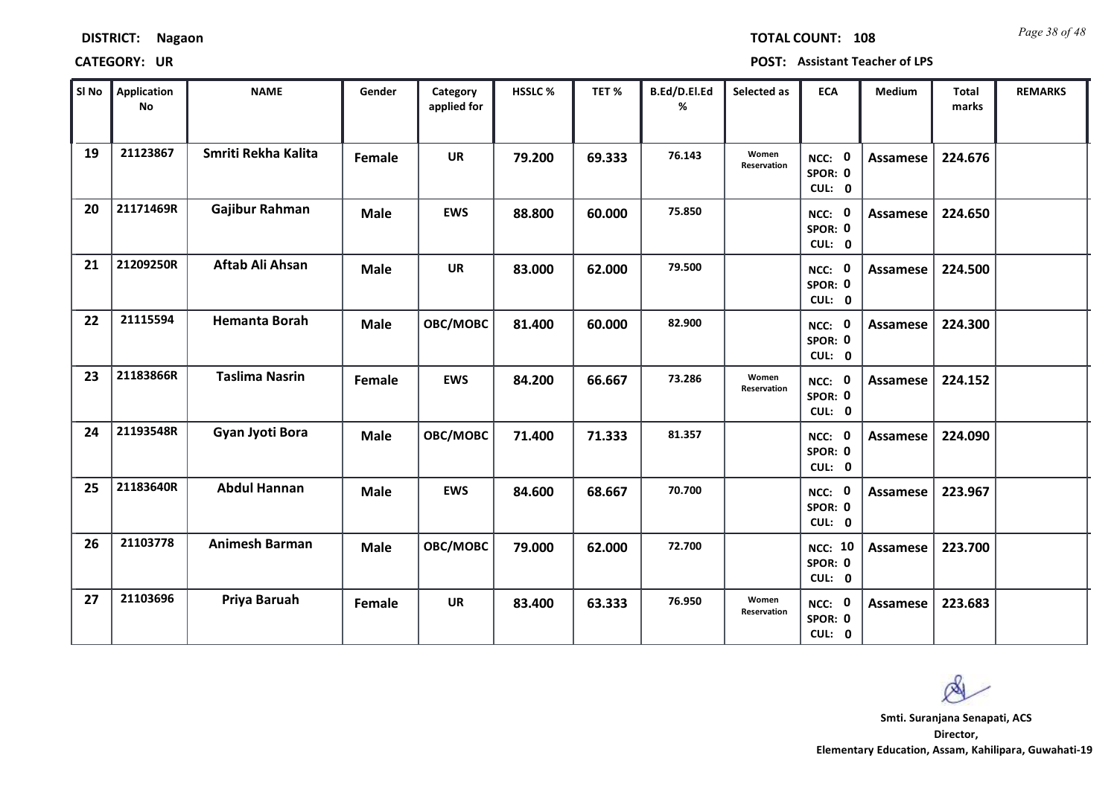*Page 38 of 48* **TOTAL COUNT: 108**

| SI No | <b>Application</b><br>No | <b>NAME</b>           | Gender      | Category<br>applied for | <b>HSSLC %</b> | TET %  | B.Ed/D.El.Ed<br>% | Selected as          | <b>ECA</b>                          | <b>Medium</b>   | <b>Total</b><br>marks | <b>REMARKS</b> |
|-------|--------------------------|-----------------------|-------------|-------------------------|----------------|--------|-------------------|----------------------|-------------------------------------|-----------------|-----------------------|----------------|
| 19    | 21123867                 | Smriti Rekha Kalita   | Female      | <b>UR</b>               | 79.200         | 69.333 | 76.143            | Women<br>Reservation | NCC: 0<br>SPOR: 0<br>CUL: 0         | <b>Assamese</b> | 224.676               |                |
| 20    | 21171469R                | Gajibur Rahman        | <b>Male</b> | <b>EWS</b>              | 88.800         | 60.000 | 75.850            |                      | NCC: 0<br>SPOR: 0<br>CUL: 0         | <b>Assamese</b> | 224.650               |                |
| 21    | 21209250R                | Aftab Ali Ahsan       | <b>Male</b> | <b>UR</b>               | 83.000         | 62.000 | 79.500            |                      | NCC: 0<br>SPOR: 0<br>CUL: 0         | <b>Assamese</b> | 224.500               |                |
| 22    | 21115594                 | <b>Hemanta Borah</b>  | <b>Male</b> | OBC/MOBC                | 81.400         | 60.000 | 82.900            |                      | NCC: 0<br>SPOR: 0<br>CUL: 0         | <b>Assamese</b> | 224.300               |                |
| 23    | 21183866R                | <b>Taslima Nasrin</b> | Female      | <b>EWS</b>              | 84.200         | 66.667 | 73.286            | Women<br>Reservation | NCC: 0<br>SPOR: 0<br>CUL: 0         | <b>Assamese</b> | 224.152               |                |
| 24    | 21193548R                | Gyan Jyoti Bora       | <b>Male</b> | OBC/MOBC                | 71.400         | 71.333 | 81.357            |                      | NCC: 0<br>SPOR: 0<br>CUL: 0         | <b>Assamese</b> | 224.090               |                |
| 25    | 21183640R                | <b>Abdul Hannan</b>   | <b>Male</b> | <b>EWS</b>              | 84.600         | 68.667 | 70.700            |                      | NCC: 0<br>SPOR: 0<br>CUL: 0         | <b>Assamese</b> | 223.967               |                |
| 26    | 21103778                 | <b>Animesh Barman</b> | <b>Male</b> | OBC/MOBC                | 79.000         | 62.000 | 72.700            |                      | <b>NCC: 10</b><br>SPOR: 0<br>CUL: 0 | <b>Assamese</b> | 223.700               |                |
| 27    | 21103696                 | Priya Baruah          | Female      | <b>UR</b>               | 83.400         | 63.333 | 76.950            | Women<br>Reservation | NCC: 0<br>SPOR: 0<br>CUL: 0         | <b>Assamese</b> | 223.683               |                |

 $\infty$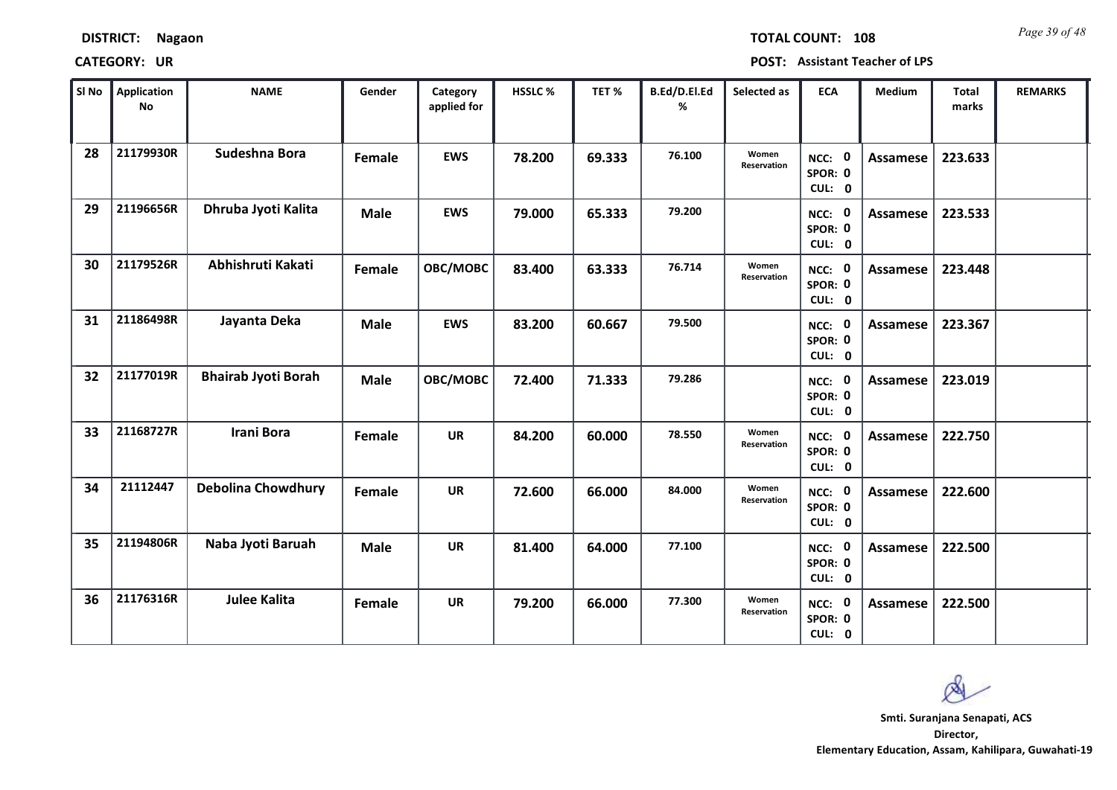| <b>DISTRICT:</b> | Nagaon |
|------------------|--------|
|------------------|--------|

*Page 39 of 48* **TOTAL COUNT: 108**

| SI No | Application<br>No | <b>NAME</b>                | Gender      | Category<br>applied for | <b>HSSLC%</b> | TET%   | B.Ed/D.El.Ed<br>% | Selected as          | <b>ECA</b>                  | <b>Medium</b>   | <b>Total</b><br>marks | <b>REMARKS</b> |
|-------|-------------------|----------------------------|-------------|-------------------------|---------------|--------|-------------------|----------------------|-----------------------------|-----------------|-----------------------|----------------|
| 28    | 21179930R         | Sudeshna Bora              | Female      | <b>EWS</b>              | 78.200        | 69.333 | 76.100            | Women<br>Reservation | NCC: 0<br>SPOR: 0<br>CUL: 0 | Assamese        | 223.633               |                |
| 29    | 21196656R         | Dhruba Jyoti Kalita        | <b>Male</b> | <b>EWS</b>              | 79.000        | 65.333 | 79.200            |                      | NCC: 0<br>SPOR: 0<br>CUL: 0 | Assamese        | 223.533               |                |
| 30    | 21179526R         | Abhishruti Kakati          | Female      | OBC/MOBC                | 83.400        | 63.333 | 76.714            | Women<br>Reservation | NCC: 0<br>SPOR: 0<br>CUL: 0 | <b>Assamese</b> | 223.448               |                |
| 31    | 21186498R         | Jayanta Deka               | <b>Male</b> | <b>EWS</b>              | 83.200        | 60.667 | 79.500            |                      | NCC: 0<br>SPOR: 0<br>CUL: 0 | Assamese        | 223.367               |                |
| 32    | 21177019R         | <b>Bhairab Jyoti Borah</b> | <b>Male</b> | OBC/MOBC                | 72.400        | 71.333 | 79.286            |                      | NCC: 0<br>SPOR: 0<br>CUL: 0 | Assamese        | 223.019               |                |
| 33    | 21168727R         | Irani Bora                 | Female      | <b>UR</b>               | 84.200        | 60.000 | 78.550            | Women<br>Reservation | NCC: 0<br>SPOR: 0<br>CUL: 0 | Assamese        | 222.750               |                |
| 34    | 21112447          | <b>Debolina Chowdhury</b>  | Female      | <b>UR</b>               | 72.600        | 66.000 | 84.000            | Women<br>Reservation | NCC: 0<br>SPOR: 0<br>CUL: 0 | Assamese        | 222.600               |                |
| 35    | 21194806R         | Naba Jyoti Baruah          | <b>Male</b> | <b>UR</b>               | 81.400        | 64.000 | 77.100            |                      | NCC: 0<br>SPOR: 0<br>CUL: 0 | Assamese        | 222.500               |                |
| 36    | 21176316R         | <b>Julee Kalita</b>        | Female      | <b>UR</b>               | 79.200        | 66.000 | 77.300            | Women<br>Reservation | NCC: 0<br>SPOR: 0<br>CUL: 0 | Assamese        | 222.500               |                |

 $\infty$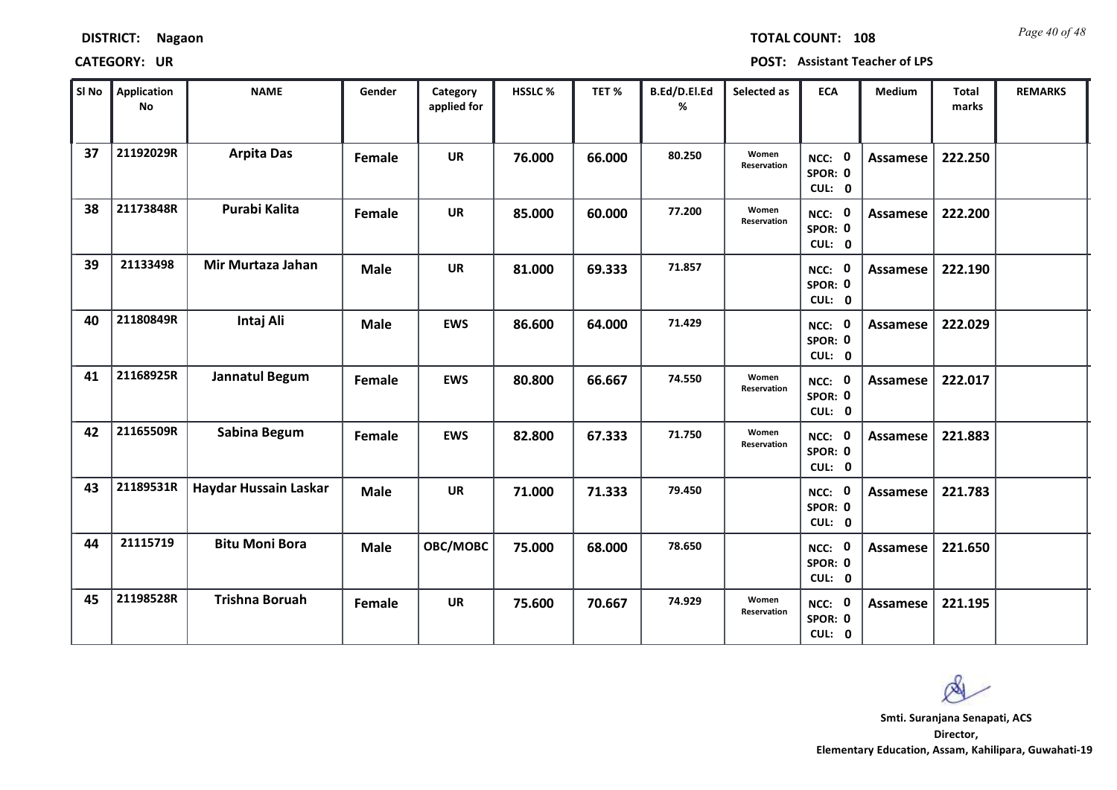| <b>DISTRICT:</b> | <b>Nagaon</b> |
|------------------|---------------|
|------------------|---------------|

*Page 40 of 48* **TOTAL COUNT: 108**

| SI No | <b>Application</b><br>No | <b>NAME</b>           | Gender      | Category<br>applied for | <b>HSSLC %</b> | TET %  | B.Ed/D.El.Ed<br>% | Selected as          | <b>ECA</b>                  | <b>Medium</b>   | <b>Total</b><br>marks | <b>REMARKS</b> |
|-------|--------------------------|-----------------------|-------------|-------------------------|----------------|--------|-------------------|----------------------|-----------------------------|-----------------|-----------------------|----------------|
| 37    | 21192029R                | <b>Arpita Das</b>     | Female      | <b>UR</b>               | 76.000         | 66.000 | 80.250            | Women<br>Reservation | NCC: 0<br>SPOR: 0<br>CUL: 0 | Assamese        | 222.250               |                |
| 38    | 21173848R                | Purabi Kalita         | Female      | <b>UR</b>               | 85.000         | 60.000 | 77.200            | Women<br>Reservation | NCC: 0<br>SPOR: 0<br>CUL: 0 | Assamese        | 222.200               |                |
| 39    | 21133498                 | Mir Murtaza Jahan     | <b>Male</b> | <b>UR</b>               | 81.000         | 69.333 | 71.857            |                      | NCC: 0<br>SPOR: 0<br>CUL: 0 | <b>Assamese</b> | 222.190               |                |
| 40    | 21180849R                | Intaj Ali             | <b>Male</b> | <b>EWS</b>              | 86.600         | 64.000 | 71.429            |                      | NCC: 0<br>SPOR: 0<br>CUL: 0 | Assamese        | 222.029               |                |
| 41    | 21168925R                | Jannatul Begum        | Female      | <b>EWS</b>              | 80.800         | 66.667 | 74.550            | Women<br>Reservation | NCC: 0<br>SPOR: 0<br>CUL: 0 | Assamese        | 222.017               |                |
| 42    | 21165509R                | Sabina Begum          | Female      | <b>EWS</b>              | 82.800         | 67.333 | 71.750            | Women<br>Reservation | NCC: 0<br>SPOR: 0<br>CUL: 0 | Assamese        | 221.883               |                |
| 43    | 21189531R                | Haydar Hussain Laskar | <b>Male</b> | <b>UR</b>               | 71.000         | 71.333 | 79.450            |                      | NCC: 0<br>SPOR: 0<br>CUL: 0 | Assamese        | 221.783               |                |
| 44    | 21115719                 | <b>Bitu Moni Bora</b> | <b>Male</b> | OBC/MOBC                | 75.000         | 68.000 | 78.650            |                      | NCC: 0<br>SPOR: 0<br>CUL: 0 | Assamese        | 221.650               |                |
| 45    | 21198528R                | <b>Trishna Boruah</b> | Female      | <b>UR</b>               | 75.600         | 70.667 | 74.929            | Women<br>Reservation | NCC: 0<br>SPOR: 0<br>CUL: 0 | Assamese        | 221.195               |                |

 $\infty$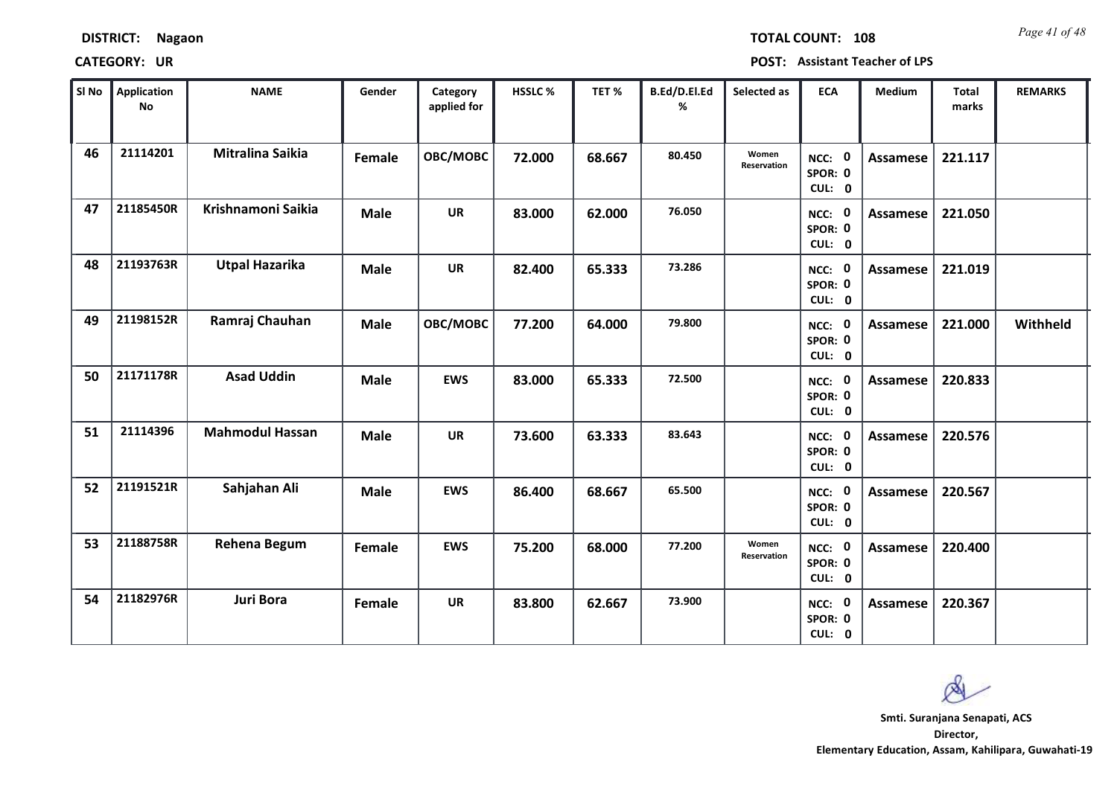| <b>DISTRICT:</b> | Nagaon |
|------------------|--------|
|------------------|--------|

*Page 41 of 48* **TOTAL COUNT: 108**

| SI No | <b>Application</b><br>No | <b>NAME</b>            | Gender      | Category<br>applied for | <b>HSSLC %</b> | TET%   | B.Ed/D.El.Ed<br>% | Selected as          | <b>ECA</b>                  | <b>Medium</b>   | <b>Total</b><br>marks | <b>REMARKS</b> |
|-------|--------------------------|------------------------|-------------|-------------------------|----------------|--------|-------------------|----------------------|-----------------------------|-----------------|-----------------------|----------------|
| 46    | 21114201                 | Mitralina Saikia       | Female      | OBC/MOBC                | 72.000         | 68.667 | 80.450            | Women<br>Reservation | NCC: 0<br>SPOR: 0<br>CUL: 0 | Assamese        | 221.117               |                |
| 47    | 21185450R                | Krishnamoni Saikia     | <b>Male</b> | <b>UR</b>               | 83.000         | 62.000 | 76.050            |                      | NCC: 0<br>SPOR: 0<br>CUL: 0 | Assamese        | 221.050               |                |
| 48    | 21193763R                | <b>Utpal Hazarika</b>  | <b>Male</b> | <b>UR</b>               | 82.400         | 65.333 | 73.286            |                      | NCC: 0<br>SPOR: 0<br>CUL: 0 | Assamese        | 221.019               |                |
| 49    | 21198152R                | Ramraj Chauhan         | <b>Male</b> | OBC/MOBC                | 77.200         | 64.000 | 79.800            |                      | NCC: 0<br>SPOR: 0<br>CUL: 0 | Assamese        | 221.000               | Withheld       |
| 50    | 21171178R                | <b>Asad Uddin</b>      | <b>Male</b> | <b>EWS</b>              | 83.000         | 65.333 | 72.500            |                      | NCC: 0<br>SPOR: 0<br>CUL: 0 | Assamese        | 220.833               |                |
| 51    | 21114396                 | <b>Mahmodul Hassan</b> | <b>Male</b> | <b>UR</b>               | 73.600         | 63.333 | 83.643            |                      | NCC: 0<br>SPOR: 0<br>CUL: 0 | <b>Assamese</b> | 220.576               |                |
| 52    | 21191521R                | Sahjahan Ali           | <b>Male</b> | <b>EWS</b>              | 86.400         | 68.667 | 65.500            |                      | NCC: 0<br>SPOR: 0<br>CUL: 0 | Assamese        | 220.567               |                |
| 53    | 21188758R                | Rehena Begum           | Female      | <b>EWS</b>              | 75.200         | 68.000 | 77.200            | Women<br>Reservation | NCC: 0<br>SPOR: 0<br>CUL: 0 | <b>Assamese</b> | 220.400               |                |
| 54    | 21182976R                | Juri Bora              | Female      | <b>UR</b>               | 83.800         | 62.667 | 73.900            |                      | NCC: 0<br>SPOR: 0<br>CUL: 0 | <b>Assamese</b> | 220.367               |                |

 $\infty$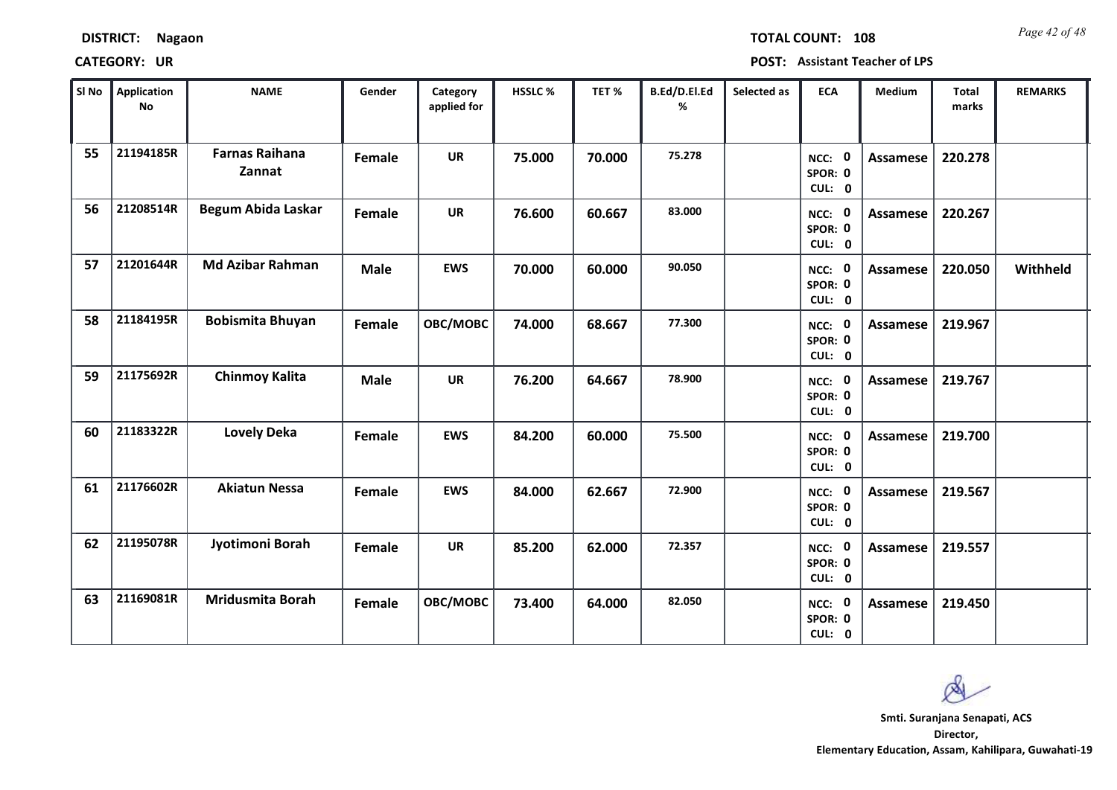*Page 42 of 48* **TOTAL COUNT: 108**

| SI No | <b>Application</b><br>No | <b>NAME</b>                     | Gender      | Category<br>applied for | HSSLC % | TET%   | B.Ed/D.El.Ed<br>% | Selected as | <b>ECA</b>                  | <b>Medium</b>   | <b>Total</b><br>marks | <b>REMARKS</b> |
|-------|--------------------------|---------------------------------|-------------|-------------------------|---------|--------|-------------------|-------------|-----------------------------|-----------------|-----------------------|----------------|
| 55    | 21194185R                | <b>Farnas Raihana</b><br>Zannat | Female      | <b>UR</b>               | 75.000  | 70.000 | 75.278            |             | NCC: 0<br>SPOR: 0<br>CUL: 0 | <b>Assamese</b> | 220.278               |                |
| 56    | 21208514R                | <b>Begum Abida Laskar</b>       | Female      | <b>UR</b>               | 76.600  | 60.667 | 83.000            |             | NCC: 0<br>SPOR: 0<br>CUL: 0 | Assamese        | 220.267               |                |
| 57    | 21201644R                | <b>Md Azibar Rahman</b>         | <b>Male</b> | <b>EWS</b>              | 70.000  | 60.000 | 90.050            |             | NCC: 0<br>SPOR: 0<br>CUL: 0 | <b>Assamese</b> | 220.050               | Withheld       |
| 58    | 21184195R                | <b>Bobismita Bhuyan</b>         | Female      | OBC/MOBC                | 74.000  | 68.667 | 77.300            |             | NCC: 0<br>SPOR: 0<br>CUL: 0 | Assamese        | 219.967               |                |
| 59    | 21175692R                | <b>Chinmoy Kalita</b>           | <b>Male</b> | <b>UR</b>               | 76.200  | 64.667 | 78.900            |             | NCC: 0<br>SPOR: 0<br>CUL: 0 | Assamese        | 219.767               |                |
| 60    | 21183322R                | <b>Lovely Deka</b>              | Female      | <b>EWS</b>              | 84.200  | 60.000 | 75.500            |             | NCC: 0<br>SPOR: 0<br>CUL: 0 | Assamese        | 219.700               |                |
| 61    | 21176602R                | <b>Akiatun Nessa</b>            | Female      | <b>EWS</b>              | 84.000  | 62.667 | 72.900            |             | NCC: 0<br>SPOR: 0<br>CUL: 0 | <b>Assamese</b> | 219.567               |                |
| 62    | 21195078R                | Jyotimoni Borah                 | Female      | <b>UR</b>               | 85.200  | 62.000 | 72.357            |             | NCC: 0<br>SPOR: 0<br>CUL: 0 | <b>Assamese</b> | 219.557               |                |
| 63    | 21169081R                | <b>Mridusmita Borah</b>         | Female      | OBC/MOBC                | 73.400  | 64.000 | 82.050            |             | NCC: 0<br>SPOR: 0<br>CUL: 0 | Assamese        | 219.450               |                |

 $\infty$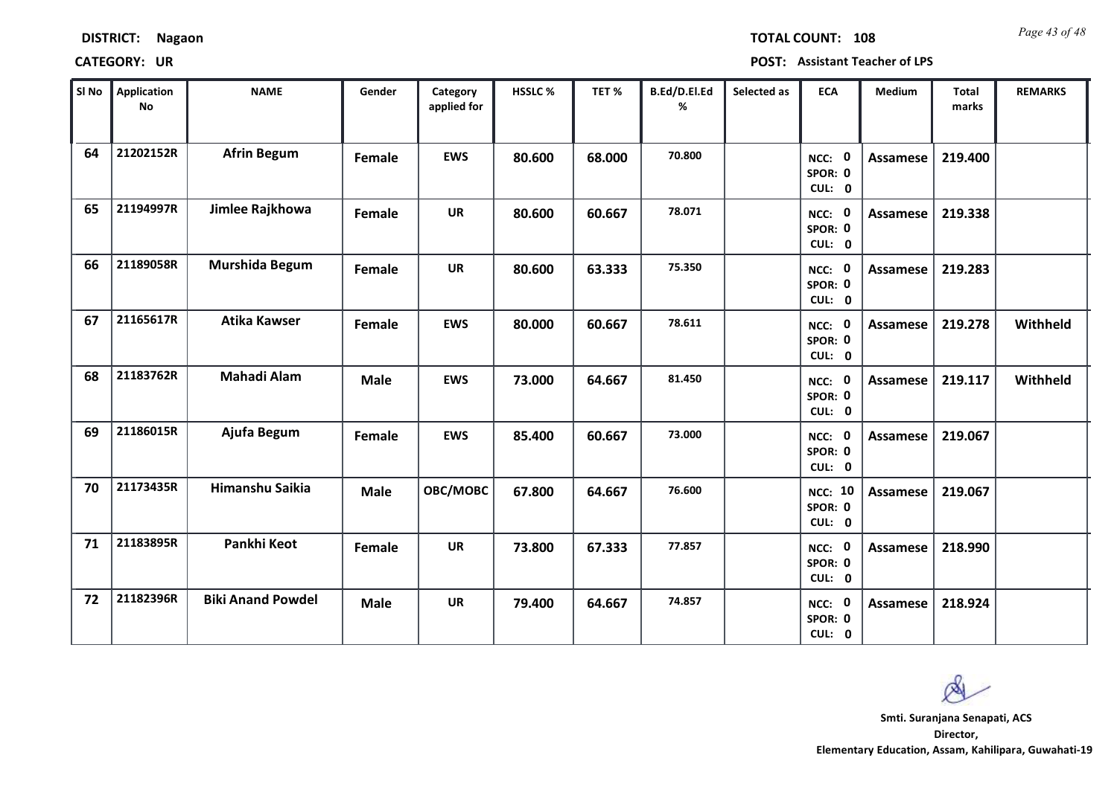| Sl No | Application<br><b>No</b> | <b>NAME</b>              | Gender      | Category<br>applied for | HSSLC% | TET %  | B.Ed/D.El.Ed<br>% | Selected as | <b>ECA</b>                          | Medium          | <b>Total</b><br>marks | <b>REMARKS</b> |  |
|-------|--------------------------|--------------------------|-------------|-------------------------|--------|--------|-------------------|-------------|-------------------------------------|-----------------|-----------------------|----------------|--|
| 64    | 21202152R                | <b>Afrin Begum</b>       | Female      | <b>EWS</b>              | 80.600 | 68.000 | 70.800            |             | NCC: 0<br>SPOR: 0<br>CUL: 0         | Assamese        | 219.400               |                |  |
| 65    | 21194997R                | Jimlee Rajkhowa          | Female      | <b>UR</b>               | 80.600 | 60.667 | 78.071            |             | NCC: 0<br>SPOR: 0<br>CUL: 0         | <b>Assamese</b> | 219.338               |                |  |
| 66    | 21189058R                | Murshida Begum           | Female      | <b>UR</b>               | 80.600 | 63.333 | 75.350            |             | NCC: 0<br>SPOR: 0<br>CUL: 0         | Assamese        | 219.283               |                |  |
| 67    | 21165617R                | <b>Atika Kawser</b>      | Female      | <b>EWS</b>              | 80.000 | 60.667 | 78.611            |             | NCC: 0<br>SPOR: 0<br>CUL: 0         | Assamese        | 219.278               | Withheld       |  |
| 68    | 21183762R                | <b>Mahadi Alam</b>       | <b>Male</b> | <b>EWS</b>              | 73.000 | 64.667 | 81.450            |             | NCC: 0<br>SPOR: 0<br>CUL: 0         | Assamese        | 219.117               | Withheld       |  |
| 69    | 21186015R                | Ajufa Begum              | Female      | <b>EWS</b>              | 85.400 | 60.667 | 73.000            |             | NCC: 0<br>SPOR: 0<br>CUL: 0         | <b>Assamese</b> | 219.067               |                |  |
| 70    | 21173435R                | Himanshu Saikia          | Male        | OBC/MOBC                | 67.800 | 64.667 | 76.600            |             | <b>NCC: 10</b><br>SPOR: 0<br>CUL: 0 | Assamese        | 219.067               |                |  |
| 71    | 21183895R                | Pankhi Keot              | Female      | <b>UR</b>               | 73.800 | 67.333 | 77.857            |             | NCC: 0<br>SPOR: 0<br>CUL: 0         | <b>Assamese</b> | 218.990               |                |  |
| 72    | 21182396R                | <b>Biki Anand Powdel</b> | <b>Male</b> | <b>UR</b>               | 79.400 | 64.667 | 74.857            |             | NCC: 0<br>SPOR: 0<br>CUL: 0         | Assamese        | 218.924               |                |  |

### **CATEGORY: UR POST: Assistant Teacher of LPS**

**Director, Elementary Education, Assam, Kahilipara, Guwahati-19 Smti. Suranjana Senapati, ACS**

Q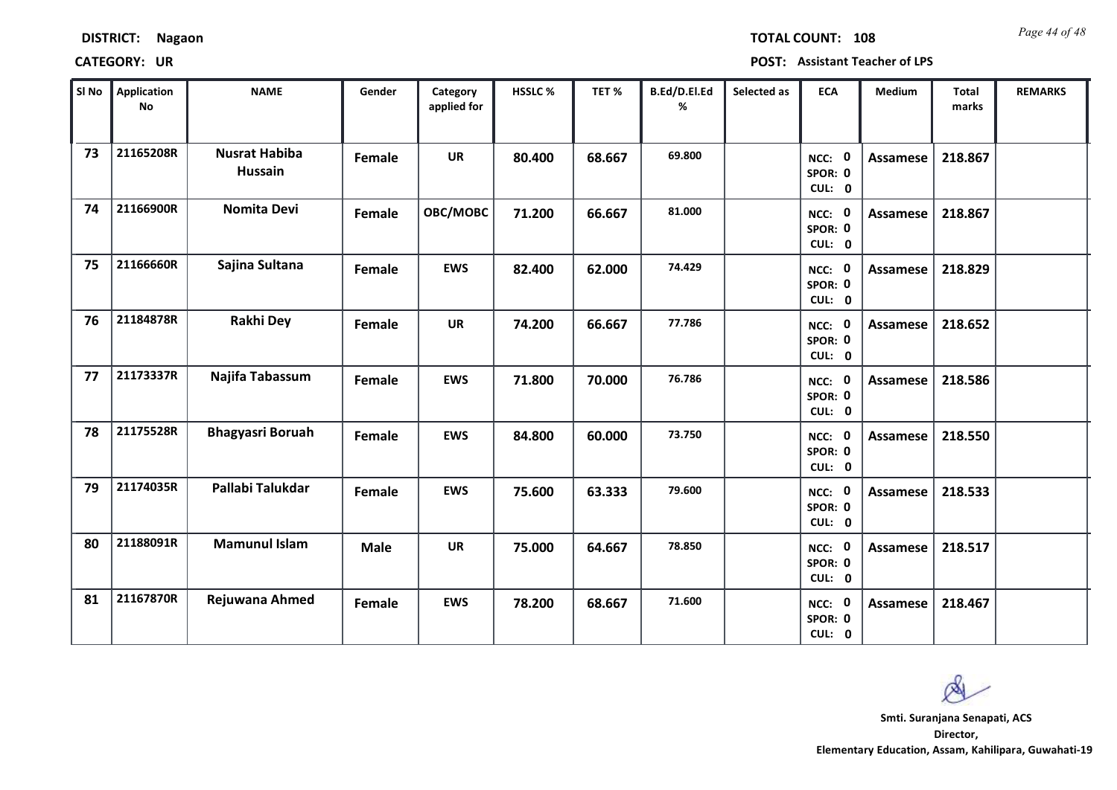*Page 44 of 48* **TOTAL COUNT: 108**

| SI No | <b>Application</b><br>No | <b>NAME</b>                     | Gender        | Category<br>applied for | HSSLC % | TET%   | B.Ed/D.El.Ed<br>% | Selected as | <b>ECA</b>                  | Medium          | Total<br>marks | <b>REMARKS</b> |
|-------|--------------------------|---------------------------------|---------------|-------------------------|---------|--------|-------------------|-------------|-----------------------------|-----------------|----------------|----------------|
| 73    | 21165208R                | <b>Nusrat Habiba</b><br>Hussain | Female        | <b>UR</b>               | 80.400  | 68.667 | 69.800            |             | NCC: 0<br>SPOR: 0<br>CUL: 0 | Assamese        | 218.867        |                |
| 74    | 21166900R                | <b>Nomita Devi</b>              | Female        | OBC/MOBC                | 71.200  | 66.667 | 81.000            |             | NCC: 0<br>SPOR: 0<br>CUL: 0 | Assamese        | 218.867        |                |
| 75    | 21166660R                | Sajina Sultana                  | Female        | <b>EWS</b>              | 82.400  | 62.000 | 74.429            |             | NCC: 0<br>SPOR: 0<br>CUL: 0 | Assamese        | 218.829        |                |
| 76    | 21184878R                | <b>Rakhi Dey</b>                | Female        | <b>UR</b>               | 74.200  | 66.667 | 77.786            |             | NCC: 0<br>SPOR: 0<br>CUL: 0 | <b>Assamese</b> | 218.652        |                |
| 77    | 21173337R                | Najifa Tabassum                 | Female        | <b>EWS</b>              | 71.800  | 70.000 | 76.786            |             | NCC: 0<br>SPOR: 0<br>CUL: 0 | <b>Assamese</b> | 218.586        |                |
| 78    | 21175528R                | <b>Bhagyasri Boruah</b>         | <b>Female</b> | <b>EWS</b>              | 84.800  | 60.000 | 73.750            |             | NCC: 0<br>SPOR: 0<br>CUL: 0 | Assamese        | 218.550        |                |
| 79    | 21174035R                | Pallabi Talukdar                | <b>Female</b> | <b>EWS</b>              | 75.600  | 63.333 | 79.600            |             | NCC: 0<br>SPOR: 0<br>CUL: 0 | Assamese        | 218.533        |                |
| 80    | 21188091R                | <b>Mamunul Islam</b>            | <b>Male</b>   | <b>UR</b>               | 75.000  | 64.667 | 78.850            |             | NCC: 0<br>SPOR: 0<br>CUL: 0 | Assamese        | 218.517        |                |
| 81    | 21167870R                | Rejuwana Ahmed                  | Female        | <b>EWS</b>              | 78.200  | 68.667 | 71.600            |             | NCC: 0<br>SPOR: 0<br>CUL: 0 | <b>Assamese</b> | 218.467        |                |

Ø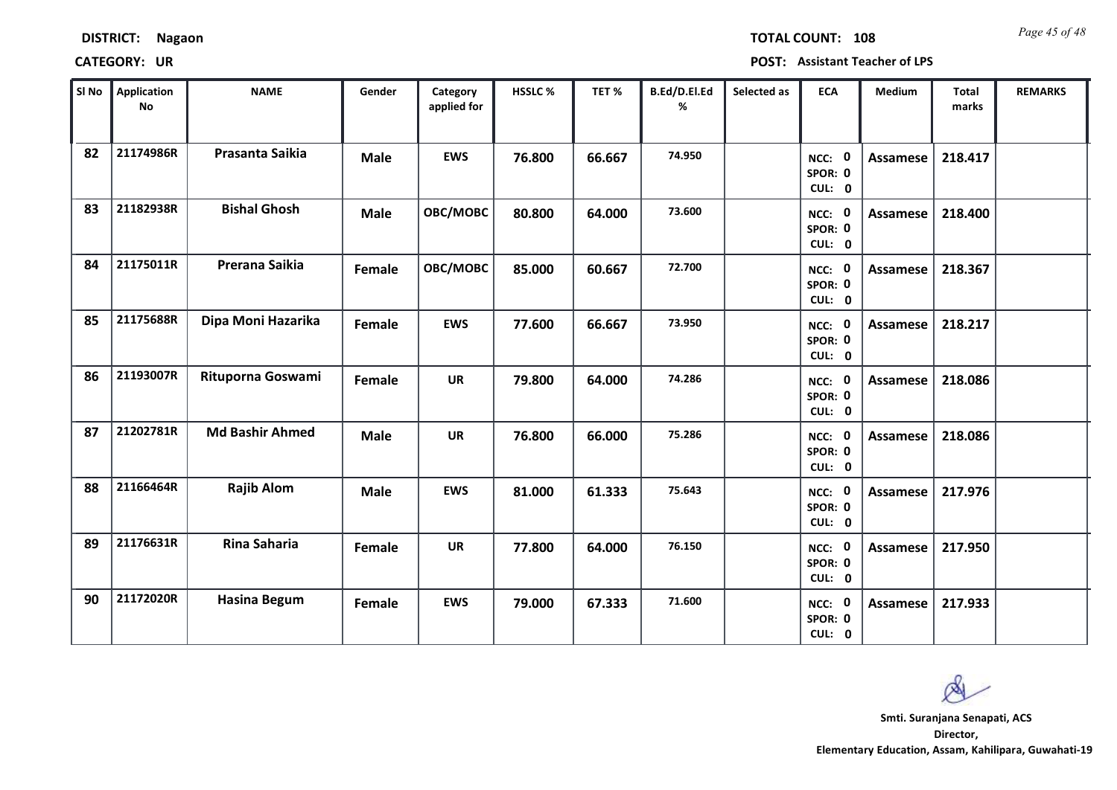| <b>DISTRICT:</b> | <b>Nagaon</b> |
|------------------|---------------|
|------------------|---------------|

*Page 45 of 48* **TOTAL COUNT: 108**

| SI No | <b>Application</b><br>No | <b>NAME</b>            | Gender      | Category<br>applied for | <b>HSSLC%</b> | TET %  | B.Ed/D.El.Ed<br>% | Selected as | <b>ECA</b>                  | <b>Medium</b>   | Total<br>marks | <b>REMARKS</b> |
|-------|--------------------------|------------------------|-------------|-------------------------|---------------|--------|-------------------|-------------|-----------------------------|-----------------|----------------|----------------|
| 82    | 21174986R                | Prasanta Saikia        | <b>Male</b> | <b>EWS</b>              | 76.800        | 66.667 | 74.950            |             | NCC: 0<br>SPOR: 0<br>CUL: 0 | Assamese        | 218.417        |                |
| 83    | 21182938R                | <b>Bishal Ghosh</b>    | <b>Male</b> | OBC/MOBC                | 80.800        | 64.000 | 73.600            |             | NCC: 0<br>SPOR: 0<br>CUL: 0 | Assamese        | 218.400        |                |
| 84    | 21175011R                | Prerana Saikia         | Female      | OBC/MOBC                | 85.000        | 60.667 | 72.700            |             | NCC: 0<br>SPOR: 0<br>CUL: 0 | <b>Assamese</b> | 218.367        |                |
| 85    | 21175688R                | Dipa Moni Hazarika     | Female      | <b>EWS</b>              | 77.600        | 66.667 | 73.950            |             | NCC: 0<br>SPOR: 0<br>CUL: 0 | Assamese        | 218.217        |                |
| 86    | 21193007R                | Rituporna Goswami      | Female      | <b>UR</b>               | 79.800        | 64.000 | 74.286            |             | NCC: 0<br>SPOR: 0<br>CUL: 0 | Assamese        | 218.086        |                |
| 87    | 21202781R                | <b>Md Bashir Ahmed</b> | <b>Male</b> | <b>UR</b>               | 76.800        | 66.000 | 75.286            |             | NCC: 0<br>SPOR: 0<br>CUL: 0 | <b>Assamese</b> | 218.086        |                |
| 88    | 21166464R                | <b>Rajib Alom</b>      | <b>Male</b> | <b>EWS</b>              | 81.000        | 61.333 | 75.643            |             | NCC: 0<br>SPOR: 0<br>CUL: 0 | Assamese        | 217.976        |                |
| 89    | 21176631R                | <b>Rina Saharia</b>    | Female      | <b>UR</b>               | 77.800        | 64.000 | 76.150            |             | NCC: 0<br>SPOR: 0<br>CUL: 0 | <b>Assamese</b> | 217.950        |                |
| 90    | 21172020R                | <b>Hasina Begum</b>    | Female      | <b>EWS</b>              | 79.000        | 67.333 | 71.600            |             | NCC: 0<br>SPOR: 0<br>CUL: 0 | Assamese        | 217.933        |                |

 $\infty$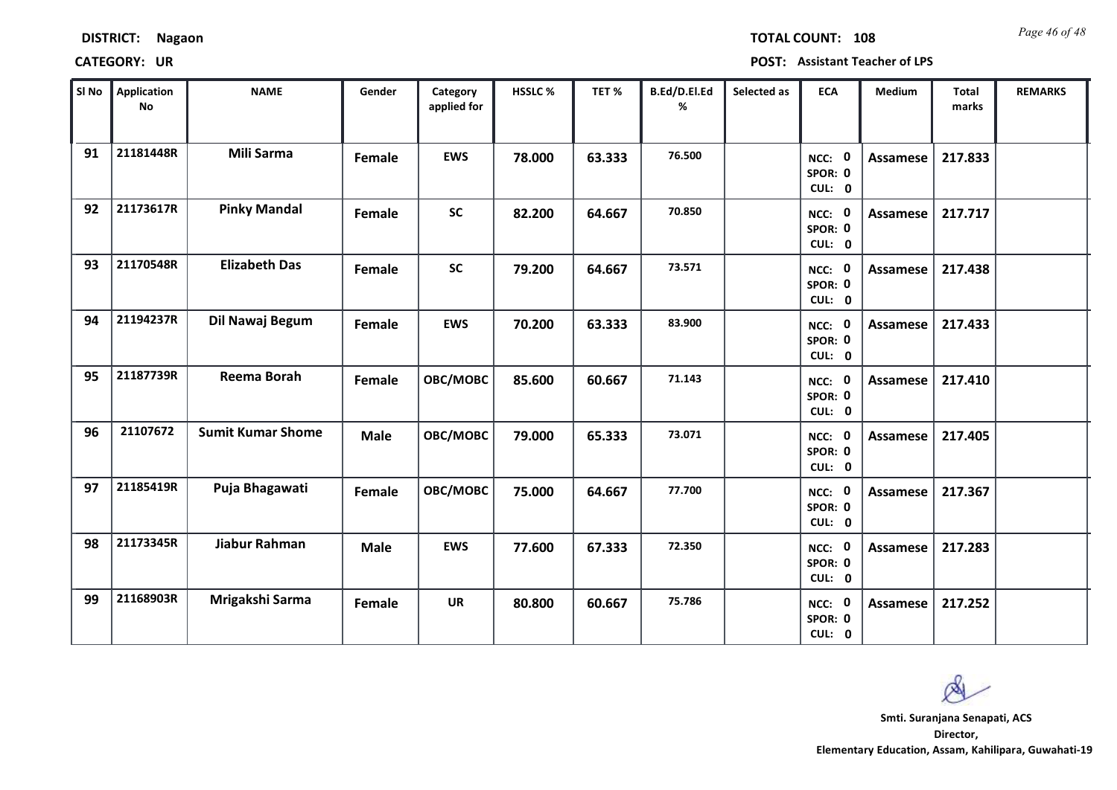| <b>DISTRICT:</b> | <b>Nagaon</b> |
|------------------|---------------|
|------------------|---------------|

*Page 46 of 48* **TOTAL COUNT: 108**

| SI No | <b>Application</b><br><b>No</b> | <b>NAME</b>              | Gender      | Category<br>applied for | <b>HSSLC %</b> | TET %  | B.Ed/D.El.Ed<br>% | Selected as | <b>ECA</b>                  | <b>Medium</b>   | <b>Total</b><br>marks | <b>REMARKS</b> |
|-------|---------------------------------|--------------------------|-------------|-------------------------|----------------|--------|-------------------|-------------|-----------------------------|-----------------|-----------------------|----------------|
| 91    | 21181448R                       | <b>Mili Sarma</b>        | Female      | <b>EWS</b>              | 78.000         | 63.333 | 76.500            |             | NCC: 0<br>SPOR: 0<br>CUL: 0 | Assamese        | 217.833               |                |
| 92    | 21173617R                       | <b>Pinky Mandal</b>      | Female      | <b>SC</b>               | 82.200         | 64.667 | 70.850            |             | NCC: 0<br>SPOR: 0<br>CUL: 0 | Assamese        | 217.717               |                |
| 93    | 21170548R                       | <b>Elizabeth Das</b>     | Female      | <b>SC</b>               | 79.200         | 64.667 | 73.571            |             | NCC: 0<br>SPOR: 0<br>CUL: 0 | <b>Assamese</b> | 217.438               |                |
| 94    | 21194237R                       | Dil Nawaj Begum          | Female      | <b>EWS</b>              | 70.200         | 63.333 | 83.900            |             | NCC: 0<br>SPOR: 0<br>CUL: 0 | <b>Assamese</b> | 217.433               |                |
| 95    | 21187739R                       | Reema Borah              | Female      | OBC/MOBC                | 85.600         | 60.667 | 71.143            |             | NCC: 0<br>SPOR: 0<br>CUL: 0 | Assamese        | 217.410               |                |
| 96    | 21107672                        | <b>Sumit Kumar Shome</b> | <b>Male</b> | OBC/MOBC                | 79.000         | 65.333 | 73.071            |             | NCC: 0<br>SPOR: 0<br>CUL: 0 | <b>Assamese</b> | 217.405               |                |
| 97    | 21185419R                       | Puja Bhagawati           | Female      | OBC/MOBC                | 75.000         | 64.667 | 77.700            |             | NCC: 0<br>SPOR: 0<br>CUL: 0 | <b>Assamese</b> | 217.367               |                |
| 98    | 21173345R                       | Jiabur Rahman            | <b>Male</b> | <b>EWS</b>              | 77.600         | 67.333 | 72.350            |             | NCC: 0<br>SPOR: 0<br>CUL: 0 | <b>Assamese</b> | 217.283               |                |
| 99    | 21168903R                       | Mrigakshi Sarma          | Female      | <b>UR</b>               | 80.800         | 60.667 | 75.786            |             | NCC: 0<br>SPOR: 0<br>CUL: 0 | <b>Assamese</b> | 217.252               |                |

 $\infty$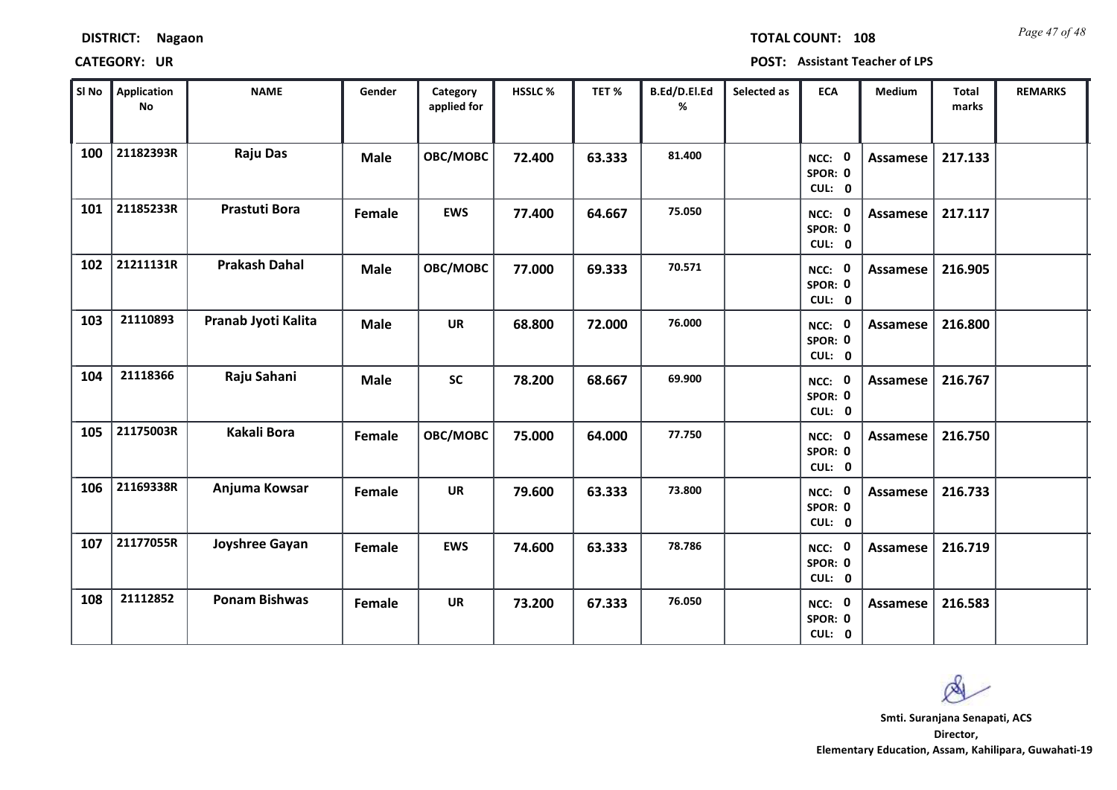| <b>DISTRICT:</b> | Nagaon |
|------------------|--------|
|------------------|--------|

*Page 47 of 48* **TOTAL COUNT: 108**

| SI No | <b>Application</b><br>No | <b>NAME</b>          | Gender      | Category<br>applied for | HSSLC% | TET%   | B.Ed/D.El.Ed<br>% | Selected as | <b>ECA</b>                  | Medium          | <b>Total</b><br>marks | <b>REMARKS</b> |
|-------|--------------------------|----------------------|-------------|-------------------------|--------|--------|-------------------|-------------|-----------------------------|-----------------|-----------------------|----------------|
| 100   | 21182393R                | <b>Raju Das</b>      | <b>Male</b> | OBC/MOBC                | 72.400 | 63.333 | 81.400            |             | NCC: 0<br>SPOR: 0<br>CUL: 0 | <b>Assamese</b> | 217.133               |                |
| 101   | 21185233R                | <b>Prastuti Bora</b> | Female      | <b>EWS</b>              | 77.400 | 64.667 | 75.050            |             | NCC: 0<br>SPOR: 0<br>CUL: 0 | Assamese        | 217.117               |                |
| 102   | 21211131R                | <b>Prakash Dahal</b> | <b>Male</b> | OBC/MOBC                | 77.000 | 69.333 | 70.571            |             | NCC: 0<br>SPOR: 0<br>CUL: 0 | <b>Assamese</b> | 216.905               |                |
| 103   | 21110893                 | Pranab Jyoti Kalita  | <b>Male</b> | <b>UR</b>               | 68.800 | 72.000 | 76.000            |             | NCC: 0<br>SPOR: 0<br>CUL: 0 | <b>Assamese</b> | 216.800               |                |
| 104   | 21118366                 | Raju Sahani          | <b>Male</b> | <b>SC</b>               | 78.200 | 68.667 | 69.900            |             | NCC: 0<br>SPOR: 0<br>CUL: 0 | Assamese        | 216.767               |                |
| 105   | 21175003R                | Kakali Bora          | Female      | OBC/MOBC                | 75.000 | 64.000 | 77.750            |             | NCC: 0<br>SPOR: 0<br>CUL: 0 | <b>Assamese</b> | 216.750               |                |
| 106   | 21169338R                | Anjuma Kowsar        | Female      | <b>UR</b>               | 79.600 | 63.333 | 73.800            |             | NCC: 0<br>SPOR: 0<br>CUL: 0 | <b>Assamese</b> | 216.733               |                |
| 107   | 21177055R                | Joyshree Gayan       | Female      | <b>EWS</b>              | 74.600 | 63.333 | 78.786            |             | NCC: 0<br>SPOR: 0<br>CUL: 0 | <b>Assamese</b> | 216.719               |                |
| 108   | 21112852                 | <b>Ponam Bishwas</b> | Female      | <b>UR</b>               | 73.200 | 67.333 | 76.050            |             | NCC: 0<br>SPOR: 0<br>CUL: 0 | Assamese        | 216.583               |                |

 $\infty$